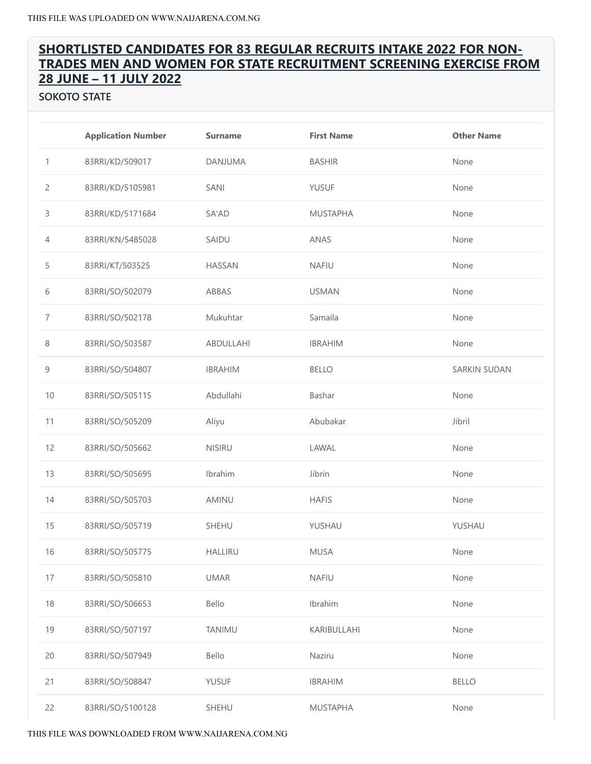# SHORTLISTED CANDIDATES FOR 83 REGULAR RECRUITS INTAKE 2022 FOR NON‐ TRADES MEN AND WOMEN FOR STATE RECRUITMENT SCREENING EXERCISE FROM JUNE – 11 JULY 2022

SOKOTO STATE

|                | <b>Application Number</b> | <b>Surname</b> | <b>First Name</b> | <b>Other Name</b>   |
|----------------|---------------------------|----------------|-------------------|---------------------|
| 1              | 83RRI/KD/509017           | DANJUMA        | <b>BASHIR</b>     | None                |
| $\overline{c}$ | 83RRI/KD/5105981          | <b>SANI</b>    | <b>YUSUF</b>      | None                |
| 3              | 83RRI/KD/5171684          | SA'AD          | <b>MUSTAPHA</b>   | None                |
| $\overline{4}$ | 83RRI/KN/5485028          | SAIDU          | ANAS              | None                |
| 5              | 83RRI/KT/503525           | <b>HASSAN</b>  | <b>NAFIU</b>      | None                |
| 6              | 83RRI/SO/502079           | ABBAS          | <b>USMAN</b>      | None                |
| $\overline{7}$ | 83RRI/SO/502178           | Mukuhtar       | Samaila           | None                |
| $\,8\,$        | 83RRI/SO/503587           | ABDULLAHI      | <b>IBRAHIM</b>    | None                |
| 9              | 83RRI/SO/504807           | <b>IBRAHIM</b> | <b>BELLO</b>      | <b>SARKIN SUDAN</b> |
| 10             | 83RRI/SO/505115           | Abdullahi      | Bashar            | None                |
| 11             | 83RRI/SO/505209           | Aliyu          | Abubakar          | Jibril              |
| 12             | 83RRI/SO/505662           | <b>NISIRU</b>  | LAWAL             | None                |
| 13             | 83RRI/SO/505695           | Ibrahim        | Jibrin            | None                |
| 14             | 83RRI/SO/505703           | AMINU          | <b>HAFIS</b>      | None                |
| 15             | 83RRI/SO/505719           | SHEHU          | YUSHAU            | YUSHAU              |
| 16             | 83RRI/SO/505775           | <b>HALLIRU</b> | <b>MUSA</b>       | None                |
| 17             | 83RRI/SO/505810           | <b>UMAR</b>    | <b>NAFIU</b>      | None                |
| 18             | 83RRI/SO/506653           | Bello          | Ibrahim           | None                |
| 19             | 83RRI/SO/507197           | <b>TANIMU</b>  | KARIBULLAHI       | None                |
| 20             | 83RRI/SO/507949           | Bello          | Naziru            | None                |
| 21             | 83RRI/SO/508847           | <b>YUSUF</b>   | <b>IBRAHIM</b>    | <b>BELLO</b>        |
| 22             | 83RRI/SO/5100128          | SHEHU          | <b>MUSTAPHA</b>   | None                |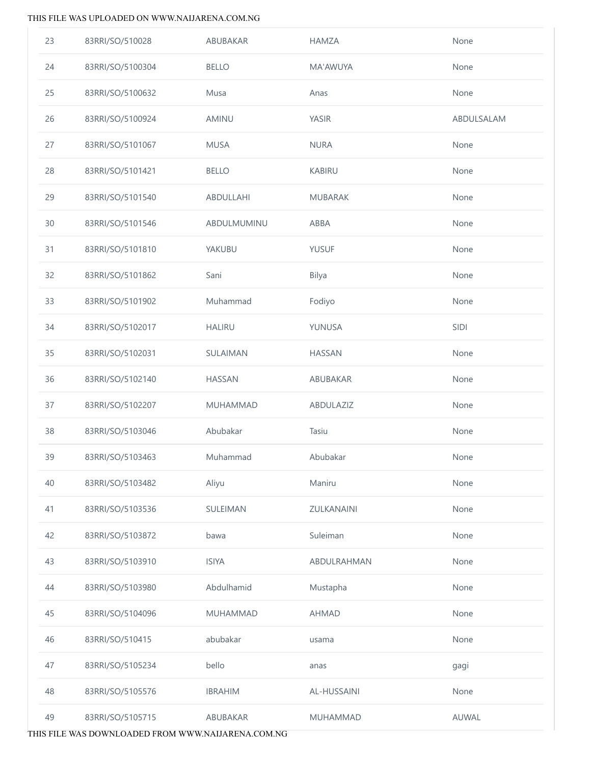| 23 | 83RRI/SO/510028  | ABUBAKAR        | <b>HAMZA</b>    | None       |
|----|------------------|-----------------|-----------------|------------|
| 24 | 83RRI/SO/5100304 | <b>BELLO</b>    | MA'AWUYA        | None       |
| 25 | 83RRI/SO/5100632 | Musa            | Anas            | None       |
| 26 | 83RRI/SO/5100924 | AMINU           | YASIR           | ABDULSALAM |
| 27 | 83RRI/SO/5101067 | <b>MUSA</b>     | <b>NURA</b>     | None       |
| 28 | 83RRI/SO/5101421 | <b>BELLO</b>    | <b>KABIRU</b>   | None       |
| 29 | 83RRI/SO/5101540 | ABDULLAHI       | <b>MUBARAK</b>  | None       |
| 30 | 83RRI/SO/5101546 | ABDULMUMINU     | ABBA            | None       |
| 31 | 83RRI/SO/5101810 | YAKUBU          | <b>YUSUF</b>    | None       |
| 32 | 83RRI/SO/5101862 | Sani            | Bilya           | None       |
| 33 | 83RRI/SO/5101902 | Muhammad        | Fodiyo          | None       |
| 34 | 83RRI/SO/5102017 | <b>HALIRU</b>   | YUNUSA          | SIDI       |
| 35 | 83RRI/SO/5102031 | SULAIMAN        | <b>HASSAN</b>   | None       |
| 36 | 83RRI/SO/5102140 | HASSAN          | ABUBAKAR        | None       |
| 37 | 83RRI/SO/5102207 | MUHAMMAD        | ABDULAZIZ       | None       |
| 38 | 83RRI/SO/5103046 | Abubakar        | Tasiu           | None       |
| 39 | 83RRI/SO/5103463 | Muhammad        | Abubakar        | None       |
| 40 | 83RRI/SO/5103482 | Aliyu           | Maniru          | None       |
| 41 | 83RRI/SO/5103536 | SULEIMAN        | ZULKANAINI      | None       |
| 42 | 83RRI/SO/5103872 | bawa            | Suleiman        | None       |
| 43 | 83RRI/SO/5103910 | <b>ISIYA</b>    | ABDULRAHMAN     | None       |
| 44 | 83RRI/SO/5103980 | Abdulhamid      | Mustapha        | None       |
| 45 | 83RRI/SO/5104096 | <b>MUHAMMAD</b> | <b>AHMAD</b>    | None       |
| 46 | 83RRI/SO/510415  | abubakar        | usama           | None       |
| 47 | 83RRI/SO/5105234 | bello           | anas            | gagi       |
| 48 | 83RRI/SO/5105576 | <b>IBRAHIM</b>  | AL-HUSSAINI     | None       |
| 49 | 83RRI/SO/5105715 | ABUBAKAR        | <b>MUHAMMAD</b> | AUWAL      |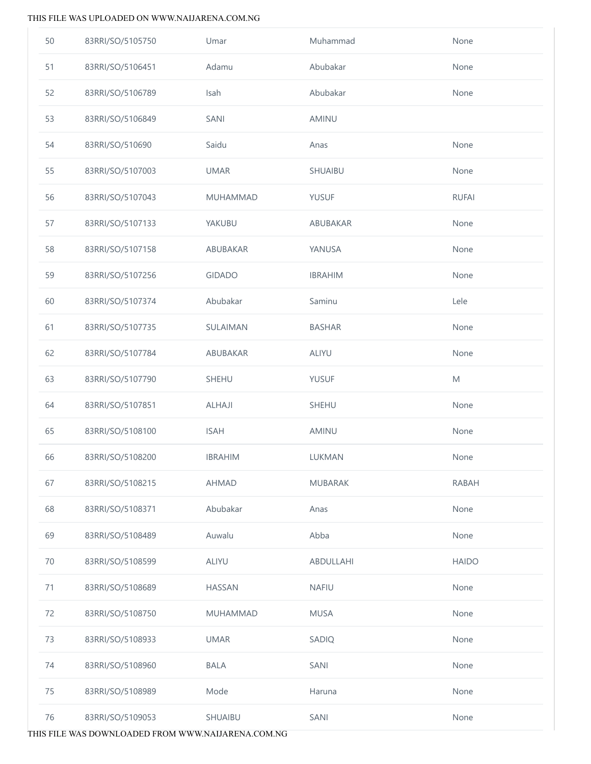| 50 | 83RRI/SO/5105750 | Umar           | Muhammad       | None                                                                                                       |
|----|------------------|----------------|----------------|------------------------------------------------------------------------------------------------------------|
| 51 | 83RRI/SO/5106451 | Adamu          | Abubakar       | None                                                                                                       |
| 52 | 83RRI/SO/5106789 | Isah           | Abubakar       | None                                                                                                       |
| 53 | 83RRI/SO/5106849 | SANI           | AMINU          |                                                                                                            |
| 54 | 83RRI/SO/510690  | Saidu          | Anas           | None                                                                                                       |
| 55 | 83RRI/SO/5107003 | <b>UMAR</b>    | SHUAIBU        | None                                                                                                       |
| 56 | 83RRI/SO/5107043 | MUHAMMAD       | <b>YUSUF</b>   | <b>RUFAI</b>                                                                                               |
| 57 | 83RRI/SO/5107133 | YAKUBU         | ABUBAKAR       | None                                                                                                       |
| 58 | 83RRI/SO/5107158 | ABUBAKAR       | YANUSA         | None                                                                                                       |
| 59 | 83RRI/SO/5107256 | <b>GIDADO</b>  | <b>IBRAHIM</b> | None                                                                                                       |
| 60 | 83RRI/SO/5107374 | Abubakar       | Saminu         | Lele                                                                                                       |
| 61 | 83RRI/SO/5107735 | SULAIMAN       | <b>BASHAR</b>  | None                                                                                                       |
| 62 | 83RRI/SO/5107784 | ABUBAKAR       | ALIYU          | None                                                                                                       |
| 63 | 83RRI/SO/5107790 | SHEHU          | <b>YUSUF</b>   | $\mathsf{M}% _{T}=\mathsf{M}_{T}\!\left( a,b\right) ,\ \mathsf{M}_{T}=\mathsf{M}_{T}\!\left( a,b\right) ,$ |
| 64 | 83RRI/SO/5107851 | ALHAJI         | SHEHU          | None                                                                                                       |
| 65 | 83RRI/SO/5108100 | <b>ISAH</b>    | AMINU          | None                                                                                                       |
| 66 | 83RRI/SO/5108200 | <b>IBRAHIM</b> | LUKMAN         | None                                                                                                       |
| 67 | 83RRI/SO/5108215 | <b>AHMAD</b>   | <b>MUBARAK</b> | <b>RABAH</b>                                                                                               |
| 68 | 83RRI/SO/5108371 | Abubakar       | Anas           | None                                                                                                       |
| 69 | 83RRI/SO/5108489 | Auwalu         | Abba           | None                                                                                                       |
| 70 | 83RRI/SO/5108599 | ALIYU          | ABDULLAHI      | <b>HAIDO</b>                                                                                               |
| 71 | 83RRI/SO/5108689 | <b>HASSAN</b>  | <b>NAFIU</b>   | None                                                                                                       |
| 72 | 83RRI/SO/5108750 | MUHAMMAD       | <b>MUSA</b>    | None                                                                                                       |
| 73 | 83RRI/SO/5108933 | <b>UMAR</b>    | SADIQ          | None                                                                                                       |
| 74 | 83RRI/SO/5108960 | <b>BALA</b>    | SANI           | None                                                                                                       |
| 75 | 83RRI/SO/5108989 | Mode           | Haruna         | None                                                                                                       |
| 76 | 83RRI/SO/5109053 | SHUAIBU        | SANI           | None                                                                                                       |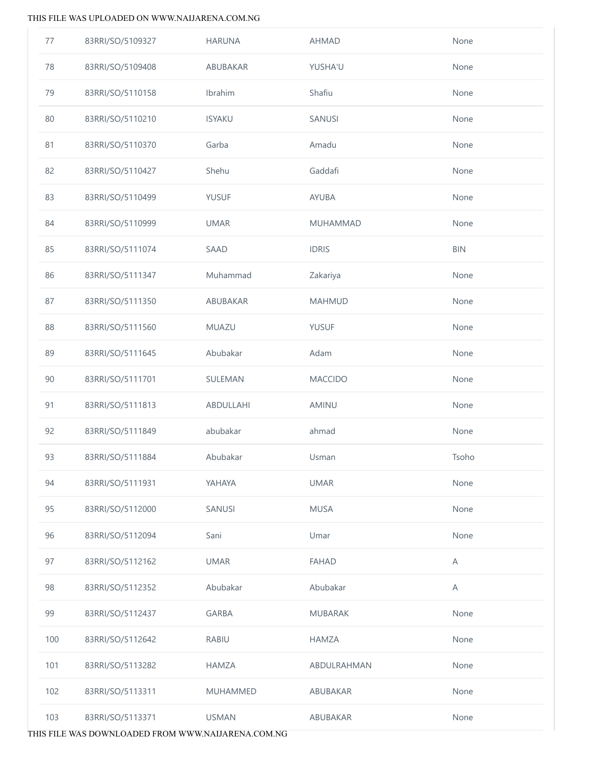| 77  | 83RRI/SO/5109327 | <b>HARUNA</b>   | <b>AHMAD</b>    | None       |
|-----|------------------|-----------------|-----------------|------------|
| 78  | 83RRI/SO/5109408 | ABUBAKAR        | YUSHA'U         | None       |
| 79  | 83RRI/SO/5110158 | Ibrahim         | Shafiu          | None       |
| 80  | 83RRI/SO/5110210 | <b>ISYAKU</b>   | SANUSI          | None       |
| 81  | 83RRI/SO/5110370 | Garba           | Amadu           | None       |
| 82  | 83RRI/SO/5110427 | Shehu           | Gaddafi         | None       |
| 83  | 83RRI/SO/5110499 | <b>YUSUF</b>    | <b>AYUBA</b>    | None       |
| 84  | 83RRI/SO/5110999 | <b>UMAR</b>     | <b>MUHAMMAD</b> | None       |
| 85  | 83RRI/SO/5111074 | SAAD            | <b>IDRIS</b>    | <b>BIN</b> |
| 86  | 83RRI/SO/5111347 | Muhammad        | Zakariya        | None       |
| 87  | 83RRI/SO/5111350 | ABUBAKAR        | <b>MAHMUD</b>   | None       |
| 88  | 83RRI/SO/5111560 | MUAZU           | <b>YUSUF</b>    | None       |
| 89  | 83RRI/SO/5111645 | Abubakar        | Adam            | None       |
| 90  | 83RRI/SO/5111701 | SULEMAN         | <b>MACCIDO</b>  | None       |
| 91  | 83RRI/SO/5111813 | ABDULLAHI       | AMINU           | None       |
| 92  | 83RRI/SO/5111849 | abubakar        | ahmad           | None       |
| 93  | 83RRI/SO/5111884 | Abubakar        | Usman           | Tsoho      |
| 94  | 83RRI/SO/5111931 | YAHAYA          | <b>UMAR</b>     | None       |
| 95  | 83RRI/SO/5112000 | SANUSI          | <b>MUSA</b>     | None       |
| 96  | 83RRI/SO/5112094 | Sani            | Umar            | None       |
| 97  | 83RRI/SO/5112162 | <b>UMAR</b>     | <b>FAHAD</b>    | A          |
| 98  | 83RRI/SO/5112352 | Abubakar        | Abubakar        | Α          |
| 99  | 83RRI/SO/5112437 | <b>GARBA</b>    | <b>MUBARAK</b>  | None       |
| 100 | 83RRI/SO/5112642 | <b>RABIU</b>    | <b>HAMZA</b>    | None       |
| 101 | 83RRI/SO/5113282 | <b>HAMZA</b>    | ABDULRAHMAN     | None       |
| 102 | 83RRI/SO/5113311 | <b>MUHAMMED</b> | ABUBAKAR        | None       |
| 103 | 83RRI/SO/5113371 | <b>USMAN</b>    | ABUBAKAR        | None       |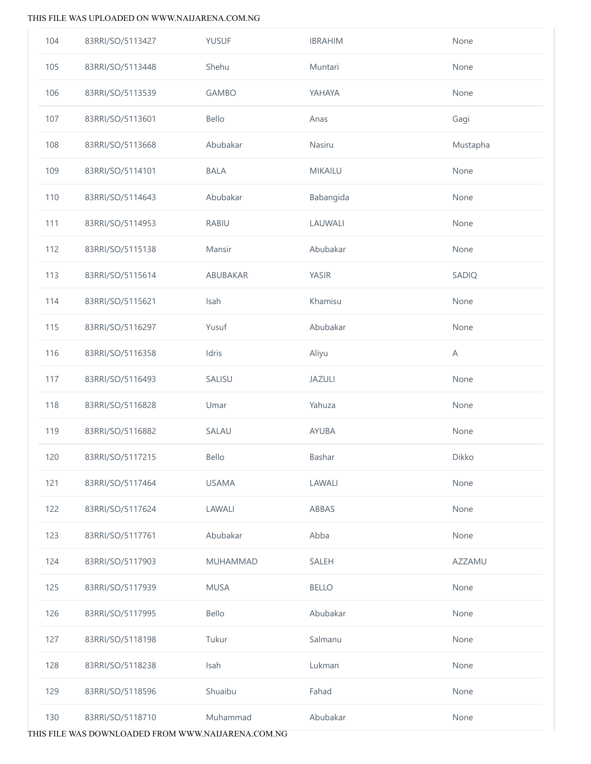| 104 | 83RRI/SO/5113427 | <b>YUSUF</b> | <b>IBRAHIM</b> | None     |
|-----|------------------|--------------|----------------|----------|
| 105 | 83RRI/SO/5113448 | Shehu        | Muntari        | None     |
| 106 | 83RRI/SO/5113539 | <b>GAMBO</b> | YAHAYA         | None     |
| 107 | 83RRI/SO/5113601 | Bello        | Anas           | Gagi     |
| 108 | 83RRI/SO/5113668 | Abubakar     | Nasiru         | Mustapha |
| 109 | 83RRI/SO/5114101 | <b>BALA</b>  | MIKAILU        | None     |
| 110 | 83RRI/SO/5114643 | Abubakar     | Babangida      | None     |
| 111 | 83RRI/SO/5114953 | <b>RABIU</b> | LAUWALI        | None     |
| 112 | 83RRI/SO/5115138 | Mansir       | Abubakar       | None     |
| 113 | 83RRI/SO/5115614 | ABUBAKAR     | YASIR          | SADIQ    |
| 114 | 83RRI/SO/5115621 | Isah         | Khamisu        | None     |
| 115 | 83RRI/SO/5116297 | Yusuf        | Abubakar       | None     |
| 116 | 83RRI/SO/5116358 | Idris        | Aliyu          | A        |
| 117 | 83RRI/SO/5116493 | SALISU       | JAZULI         | None     |
| 118 | 83RRI/SO/5116828 | Umar         | Yahuza         | None     |
| 119 | 83RRI/SO/5116882 | SALAU        | AYUBA          | None     |
| 120 | 83RRI/SO/5117215 | Bello        | Bashar         | Dikko    |
| 121 | 83RRI/SO/5117464 | <b>USAMA</b> | LAWALI         | None     |
| 122 | 83RRI/SO/5117624 | LAWALI       | ABBAS          | None     |
| 123 | 83RRI/SO/5117761 | Abubakar     | Abba           | None     |
| 124 | 83RRI/SO/5117903 | MUHAMMAD     | SALEH          | AZZAMU   |
| 125 | 83RRI/SO/5117939 | <b>MUSA</b>  | <b>BELLO</b>   | None     |
| 126 | 83RRI/SO/5117995 | Bello        | Abubakar       | None     |
| 127 | 83RRI/SO/5118198 | Tukur        | Salmanu        | None     |
| 128 | 83RRI/SO/5118238 | Isah         | Lukman         | None     |
| 129 | 83RRI/SO/5118596 | Shuaibu      | Fahad          | None     |
| 130 | 83RRI/SO/5118710 | Muhammad     | Abubakar       | None     |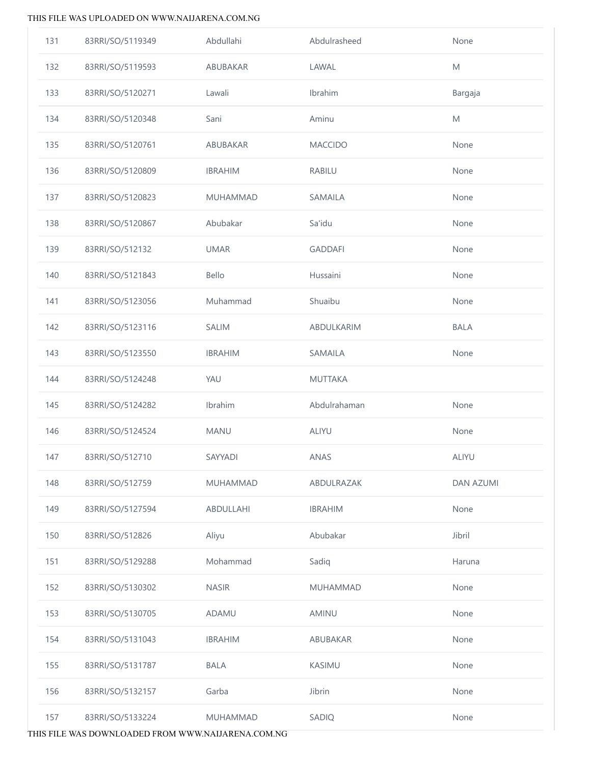| 131 | 83RRI/SO/5119349 | Abdullahi       | Abdulrasheed    | None             |
|-----|------------------|-----------------|-----------------|------------------|
| 132 | 83RRI/SO/5119593 | ABUBAKAR        | LAWAL           | M                |
| 133 | 83RRI/SO/5120271 | Lawali          | Ibrahim         | Bargaja          |
| 134 | 83RRI/SO/5120348 | Sani            | Aminu           | M                |
| 135 | 83RRI/SO/5120761 | ABUBAKAR        | <b>MACCIDO</b>  | None             |
| 136 | 83RRI/SO/5120809 | <b>IBRAHIM</b>  | RABILU          | None             |
| 137 | 83RRI/SO/5120823 | <b>MUHAMMAD</b> | SAMAILA         | None             |
| 138 | 83RRI/SO/5120867 | Abubakar        | Sa'idu          | None             |
| 139 | 83RRI/SO/512132  | <b>UMAR</b>     | <b>GADDAFI</b>  | None             |
| 140 | 83RRI/SO/5121843 | Bello           | Hussaini        | None             |
| 141 | 83RRI/SO/5123056 | Muhammad        | Shuaibu         | None             |
| 142 | 83RRI/SO/5123116 | <b>SALIM</b>    | ABDULKARIM      | <b>BALA</b>      |
| 143 | 83RRI/SO/5123550 | <b>IBRAHIM</b>  | SAMAILA         | None             |
| 144 | 83RRI/SO/5124248 | YAU             | <b>MUTTAKA</b>  |                  |
| 145 | 83RRI/SO/5124282 | Ibrahim         | Abdulrahaman    | None             |
| 146 | 83RRI/SO/5124524 | MANU            | ALIYU           | None             |
| 147 | 83RRI/SO/512710  | SAYYADI         | ANAS            | ALIYU            |
| 148 | 83RRI/SO/512759  | <b>MUHAMMAD</b> | ABDULRAZAK      | <b>DAN AZUMI</b> |
| 149 | 83RRI/SO/5127594 | ABDULLAHI       | <b>IBRAHIM</b>  | None             |
| 150 | 83RRI/SO/512826  | Aliyu           | Abubakar        | Jibril           |
| 151 | 83RRI/SO/5129288 | Mohammad        | Sadiq           | Haruna           |
| 152 | 83RRI/SO/5130302 | <b>NASIR</b>    | <b>MUHAMMAD</b> | None             |
| 153 | 83RRI/SO/5130705 | ADAMU           | AMINU           | None             |
| 154 | 83RRI/SO/5131043 | <b>IBRAHIM</b>  | ABUBAKAR        | None             |
| 155 | 83RRI/SO/5131787 | <b>BALA</b>     | <b>KASIMU</b>   | None             |
| 156 | 83RRI/SO/5132157 | Garba           | Jibrin          | None             |
| 157 | 83RRI/SO/5133224 | MUHAMMAD        | SADIQ           | None             |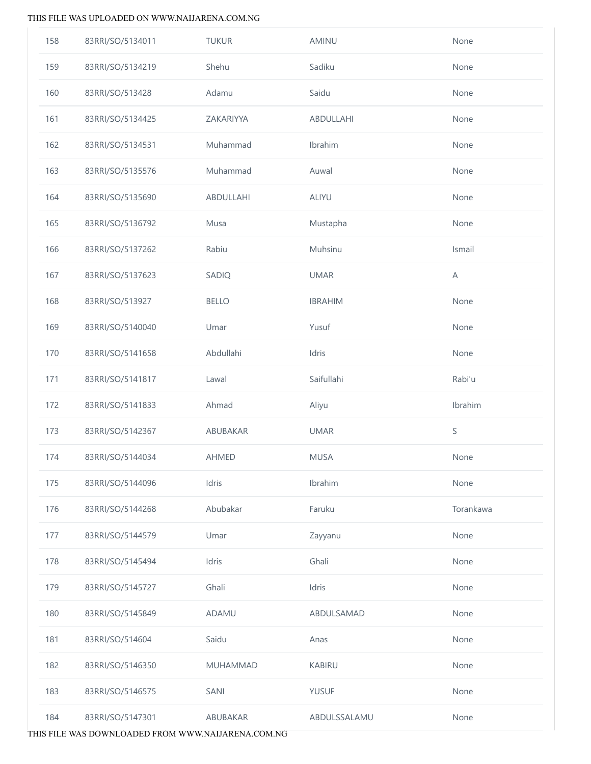| 158 | 83RRI/SO/5134011 | <b>TUKUR</b>    | AMINU          | None        |
|-----|------------------|-----------------|----------------|-------------|
| 159 | 83RRI/SO/5134219 | Shehu           | Sadiku         | None        |
| 160 | 83RRI/SO/513428  | Adamu           | Saidu          | None        |
| 161 | 83RRI/SO/5134425 | ZAKARIYYA       | ABDULLAHI      | None        |
| 162 | 83RRI/SO/5134531 | Muhammad        | Ibrahim        | None        |
| 163 | 83RRI/SO/5135576 | Muhammad        | Auwal          | None        |
| 164 | 83RRI/SO/5135690 | ABDULLAHI       | ALIYU          | None        |
| 165 | 83RRI/SO/5136792 | Musa            | Mustapha       | None        |
| 166 | 83RRI/SO/5137262 | Rabiu           | Muhsinu        | Ismail      |
| 167 | 83RRI/SO/5137623 | SADIQ           | <b>UMAR</b>    | $\mathsf A$ |
| 168 | 83RRI/SO/513927  | <b>BELLO</b>    | <b>IBRAHIM</b> | None        |
| 169 | 83RRI/SO/5140040 | Umar            | Yusuf          | None        |
| 170 | 83RRI/SO/5141658 | Abdullahi       | Idris          | None        |
| 171 | 83RRI/SO/5141817 | Lawal           | Saifullahi     | Rabi'u      |
| 172 | 83RRI/SO/5141833 | Ahmad           | Aliyu          | Ibrahim     |
| 173 | 83RRI/SO/5142367 | ABUBAKAR        | <b>UMAR</b>    | S           |
| 174 | 83RRI/SO/5144034 | AHMED           | <b>MUSA</b>    | None        |
| 175 | 83RRI/SO/5144096 | Idris           | Ibrahim        | None        |
| 176 | 83RRI/SO/5144268 | Abubakar        | Faruku         | Torankawa   |
| 177 | 83RRI/SO/5144579 | Umar            | Zayyanu        | None        |
| 178 | 83RRI/SO/5145494 | Idris           | Ghali          | None        |
| 179 | 83RRI/SO/5145727 | Ghali           | Idris          | None        |
| 180 | 83RRI/SO/5145849 | ADAMU           | ABDULSAMAD     | None        |
| 181 | 83RRI/SO/514604  | Saidu           | Anas           | None        |
| 182 | 83RRI/SO/5146350 | <b>MUHAMMAD</b> | <b>KABIRU</b>  | None        |
| 183 | 83RRI/SO/5146575 | SANI            | <b>YUSUF</b>   | None        |
| 184 | 83RRI/SO/5147301 | ABUBAKAR        | ABDULSSALAMU   | None        |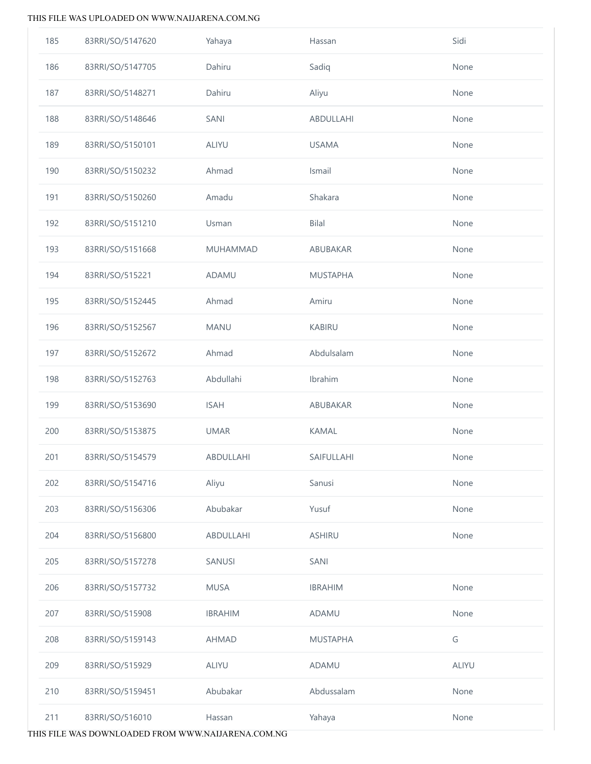| 185 | 83RRI/SO/5147620 | Yahaya          | Hassan          | Sidi  |
|-----|------------------|-----------------|-----------------|-------|
| 186 | 83RRI/SO/5147705 | Dahiru          | Sadiq           | None  |
| 187 | 83RRI/SO/5148271 | Dahiru          | Aliyu           | None  |
| 188 | 83RRI/SO/5148646 | SANI            | ABDULLAHI       | None  |
| 189 | 83RRI/SO/5150101 | ALIYU           | <b>USAMA</b>    | None  |
| 190 | 83RRI/SO/5150232 | Ahmad           | Ismail          | None  |
| 191 | 83RRI/SO/5150260 | Amadu           | Shakara         | None  |
| 192 | 83RRI/SO/5151210 | Usman           | <b>Bilal</b>    | None  |
| 193 | 83RRI/SO/5151668 | <b>MUHAMMAD</b> | ABUBAKAR        | None  |
| 194 | 83RRI/SO/515221  | <b>ADAMU</b>    | <b>MUSTAPHA</b> | None  |
| 195 | 83RRI/SO/5152445 | Ahmad           | Amiru           | None  |
| 196 | 83RRI/SO/5152567 | <b>MANU</b>     | <b>KABIRU</b>   | None  |
| 197 | 83RRI/SO/5152672 | Ahmad           | Abdulsalam      | None  |
| 198 | 83RRI/SO/5152763 | Abdullahi       | Ibrahim         | None  |
| 199 | 83RRI/SO/5153690 | <b>ISAH</b>     | ABUBAKAR        | None  |
| 200 | 83RRI/SO/5153875 | <b>UMAR</b>     | <b>KAMAL</b>    | None  |
| 201 | 83RRI/SO/5154579 | ABDULLAHI       | SAIFULLAHI      | None  |
| 202 | 83RRI/SO/5154716 | Aliyu           | Sanusi          | None  |
| 203 | 83RRI/SO/5156306 | Abubakar        | Yusuf           | None  |
| 204 | 83RRI/SO/5156800 | ABDULLAHI       | <b>ASHIRU</b>   | None  |
| 205 | 83RRI/SO/5157278 | SANUSI          | SANI            |       |
| 206 | 83RRI/SO/5157732 | <b>MUSA</b>     | <b>IBRAHIM</b>  | None  |
| 207 | 83RRI/SO/515908  | <b>IBRAHIM</b>  | ADAMU           | None  |
| 208 | 83RRI/SO/5159143 | <b>AHMAD</b>    | <b>MUSTAPHA</b> | G     |
| 209 | 83RRI/SO/515929  | ALIYU           | ADAMU           | ALIYU |
| 210 | 83RRI/SO/5159451 | Abubakar        | Abdussalam      | None  |
| 211 | 83RRI/SO/516010  | Hassan          | Yahaya          | None  |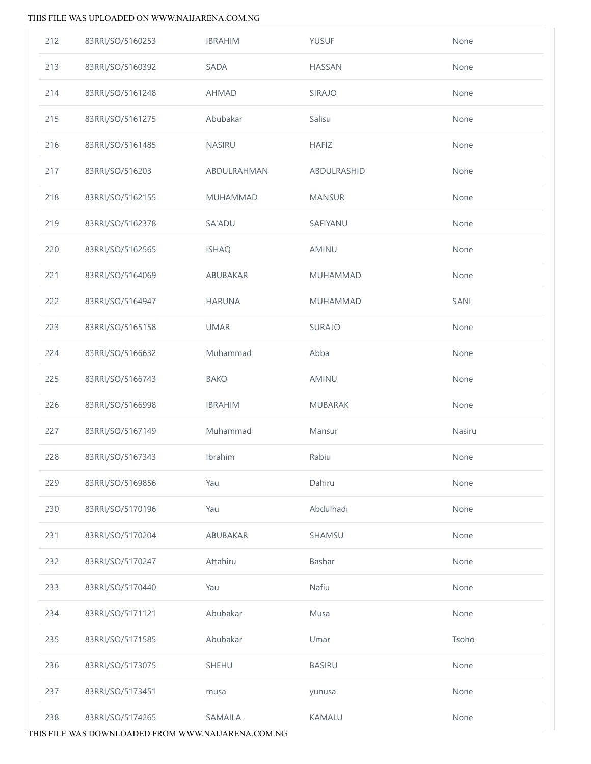| 212 | 83RRI/SO/5160253 | <b>IBRAHIM</b> | <b>YUSUF</b>    | None   |
|-----|------------------|----------------|-----------------|--------|
| 213 | 83RRI/SO/5160392 | SADA           | <b>HASSAN</b>   | None   |
| 214 | 83RRI/SO/5161248 | <b>AHMAD</b>   | <b>SIRAJO</b>   | None   |
| 215 | 83RRI/SO/5161275 | Abubakar       | Salisu          | None   |
| 216 | 83RRI/SO/5161485 | <b>NASIRU</b>  | <b>HAFIZ</b>    | None   |
| 217 | 83RRI/SO/516203  | ABDULRAHMAN    | ABDULRASHID     | None   |
| 218 | 83RRI/SO/5162155 | MUHAMMAD       | <b>MANSUR</b>   | None   |
| 219 | 83RRI/SO/5162378 | SA'ADU         | SAFIYANU        | None   |
| 220 | 83RRI/SO/5162565 | <b>ISHAQ</b>   | AMINU           | None   |
| 221 | 83RRI/SO/5164069 | ABUBAKAR       | <b>MUHAMMAD</b> | None   |
| 222 | 83RRI/SO/5164947 | <b>HARUNA</b>  | <b>MUHAMMAD</b> | SANI   |
| 223 | 83RRI/SO/5165158 | <b>UMAR</b>    | SURAJO          | None   |
| 224 | 83RRI/SO/5166632 | Muhammad       | Abba            | None   |
| 225 | 83RRI/SO/5166743 | <b>BAKO</b>    | AMINU           | None   |
| 226 | 83RRI/SO/5166998 | <b>IBRAHIM</b> | MUBARAK         | None   |
| 227 | 83RRI/SO/5167149 | Muhammad       | Mansur          | Nasiru |
| 228 | 83RRI/SO/5167343 | Ibrahim        | Rabiu           | None   |
| 229 | 83RRI/SO/5169856 | Yau            | Dahiru          | None   |
| 230 | 83RRI/SO/5170196 | Yau            | Abdulhadi       | None   |
| 231 | 83RRI/SO/5170204 | ABUBAKAR       | SHAMSU          | None   |
| 232 | 83RRI/SO/5170247 | Attahiru       | Bashar          | None   |
| 233 | 83RRI/SO/5170440 | Yau            | Nafiu           | None   |
| 234 | 83RRI/SO/5171121 | Abubakar       | Musa            | None   |
| 235 | 83RRI/SO/5171585 | Abubakar       | Umar            | Tsoho  |
| 236 | 83RRI/SO/5173075 | SHEHU          | <b>BASIRU</b>   | None   |
| 237 | 83RRI/SO/5173451 | musa           | yunusa          | None   |
| 238 | 83RRI/SO/5174265 | SAMAILA        | <b>KAMALU</b>   | None   |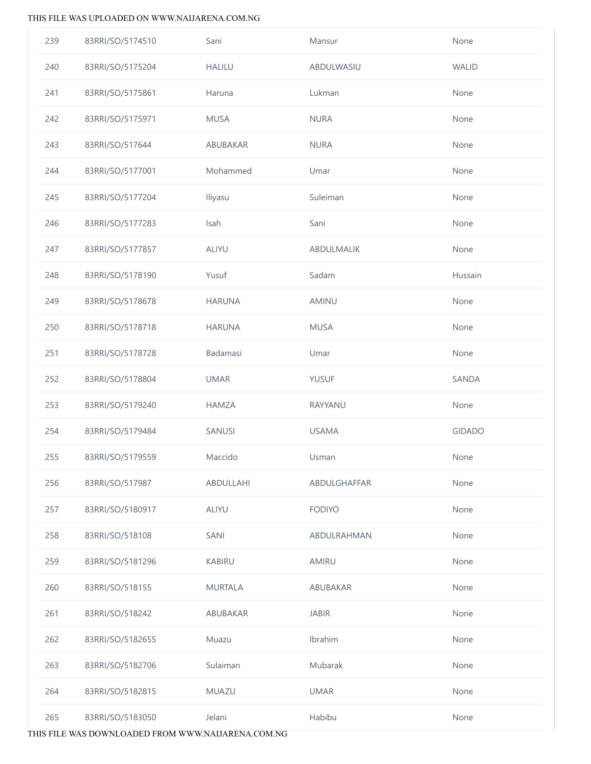| 239 | 83RRI/SO/5174510 | Sani           | Mansur        | None          |
|-----|------------------|----------------|---------------|---------------|
| 240 | 83RRI/SO/5175204 | <b>HALILU</b>  | ABDULWASIU    | <b>WALID</b>  |
| 241 | 83RRI/SO/5175861 | Haruna         | Lukman        | None          |
| 242 | 83RRI/SO/5175971 | <b>MUSA</b>    | <b>NURA</b>   | None          |
| 243 | 83RRI/SO/517644  | ABUBAKAR       | <b>NURA</b>   | None          |
| 244 | 83RRI/SO/5177001 | Mohammed       | Umar          | None          |
| 245 | 83RRI/SO/5177204 | Iliyasu        | Suleiman      | None          |
| 246 | 83RRI/SO/5177283 | Isah           | Sani          | None          |
| 247 | 83RRI/SO/5177857 | ALIYU          | ABDULMALIK    | None          |
| 248 | 83RRI/SO/5178190 | Yusuf          | Sadam         | Hussain       |
| 249 | 83RRI/SO/5178678 | <b>HARUNA</b>  | AMINU         | None          |
| 250 | 83RRI/SO/5178718 | <b>HARUNA</b>  | <b>MUSA</b>   | None          |
| 251 | 83RRI/SO/5178728 | Badamasi       | Umar          | None          |
| 252 | 83RRI/SO/5178804 | <b>UMAR</b>    | <b>YUSUF</b>  | SANDA         |
| 253 | 83RRI/SO/5179240 | <b>HAMZA</b>   | RAYYANU       | None          |
| 254 | 83RRI/SO/5179484 | SANUSI         | <b>USAMA</b>  | <b>GIDADO</b> |
| 255 | 83RRI/SO/5179559 | Maccido        | Usman         | None          |
| 256 | 83RRI/SO/517987  | ABDULLAHI      | ABDULGHAFFAR  | None          |
| 257 | 83RRI/SO/5180917 | ALIYU          | <b>FODIYO</b> | None          |
| 258 | 83RRI/SO/518108  | SANI           | ABDULRAHMAN   | None          |
| 259 | 83RRI/SO/5181296 | <b>KABIRU</b>  | AMIRU         | None          |
| 260 | 83RRI/SO/518155  | <b>MURTALA</b> | ABUBAKAR      | None          |
| 261 | 83RRI/SO/518242  | ABUBAKAR       | <b>JABIR</b>  | None          |
| 262 | 83RRI/SO/5182655 | Muazu          | Ibrahim       | None          |
| 263 | 83RRI/SO/5182706 | Sulaiman       | Mubarak       | None          |
| 264 | 83RRI/SO/5182815 | MUAZU          | <b>UMAR</b>   | None          |
| 265 | 83RRI/SO/5183050 | Jelani         | Habibu        | None          |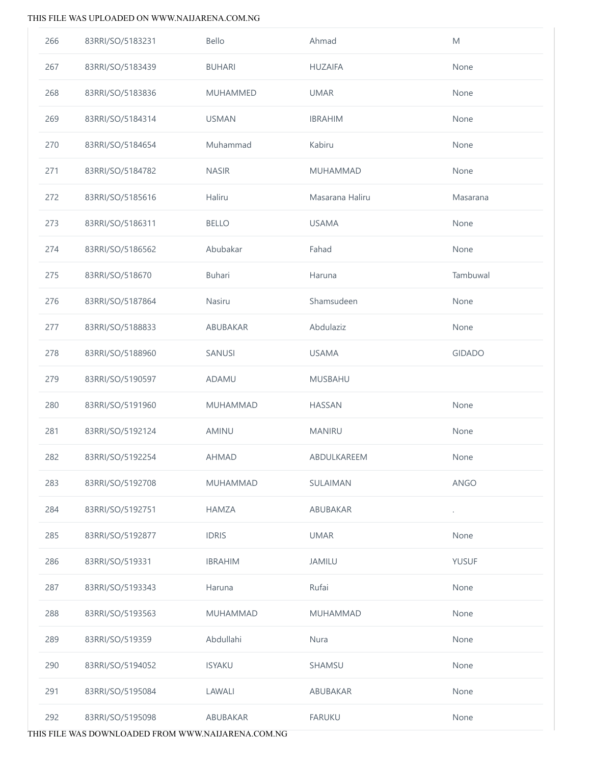| 266 | 83RRI/SO/5183231 | Bello           | Ahmad           | M             |
|-----|------------------|-----------------|-----------------|---------------|
| 267 | 83RRI/SO/5183439 | <b>BUHARI</b>   | <b>HUZAIFA</b>  | None          |
| 268 | 83RRI/SO/5183836 | <b>MUHAMMED</b> | <b>UMAR</b>     | None          |
| 269 | 83RRI/SO/5184314 | <b>USMAN</b>    | <b>IBRAHIM</b>  | None          |
| 270 | 83RRI/SO/5184654 | Muhammad        | Kabiru          | None          |
| 271 | 83RRI/SO/5184782 | <b>NASIR</b>    | MUHAMMAD        | None          |
| 272 | 83RRI/SO/5185616 | Haliru          | Masarana Haliru | Masarana      |
| 273 | 83RRI/SO/5186311 | <b>BELLO</b>    | <b>USAMA</b>    | None          |
| 274 | 83RRI/SO/5186562 | Abubakar        | Fahad           | None          |
| 275 | 83RRI/SO/518670  | Buhari          | Haruna          | Tambuwal      |
| 276 | 83RRI/SO/5187864 | Nasiru          | Shamsudeen      | None          |
| 277 | 83RRI/SO/5188833 | ABUBAKAR        | Abdulaziz       | None          |
| 278 | 83RRI/SO/5188960 | SANUSI          | <b>USAMA</b>    | <b>GIDADO</b> |
| 279 | 83RRI/SO/5190597 | ADAMU           | MUSBAHU         |               |
| 280 | 83RRI/SO/5191960 | MUHAMMAD        | <b>HASSAN</b>   | None          |
| 281 | 83RRI/SO/5192124 | AMINU           | <b>MANIRU</b>   | None          |
| 282 | 83RRI/SO/5192254 | <b>AHMAD</b>    | ABDULKAREEM     | None          |
| 283 | 83RRI/SO/5192708 | <b>MUHAMMAD</b> | SULAIMAN        | ANGO          |
| 284 | 83RRI/SO/5192751 | <b>HAMZA</b>    | ABUBAKAR        |               |
| 285 | 83RRI/SO/5192877 | <b>IDRIS</b>    | <b>UMAR</b>     | None          |
| 286 | 83RRI/SO/519331  | <b>IBRAHIM</b>  | <b>JAMILU</b>   | <b>YUSUF</b>  |
| 287 | 83RRI/SO/5193343 | Haruna          | Rufai           | None          |
| 288 | 83RRI/SO/5193563 | <b>MUHAMMAD</b> | MUHAMMAD        | None          |
| 289 | 83RRI/SO/519359  | Abdullahi       | Nura            | None          |
| 290 | 83RRI/SO/5194052 | <b>ISYAKU</b>   | SHAMSU          | None          |
| 291 | 83RRI/SO/5195084 | LAWALI          | ABUBAKAR        | None          |
| 292 | 83RRI/SO/5195098 | ABUBAKAR        | <b>FARUKU</b>   | None          |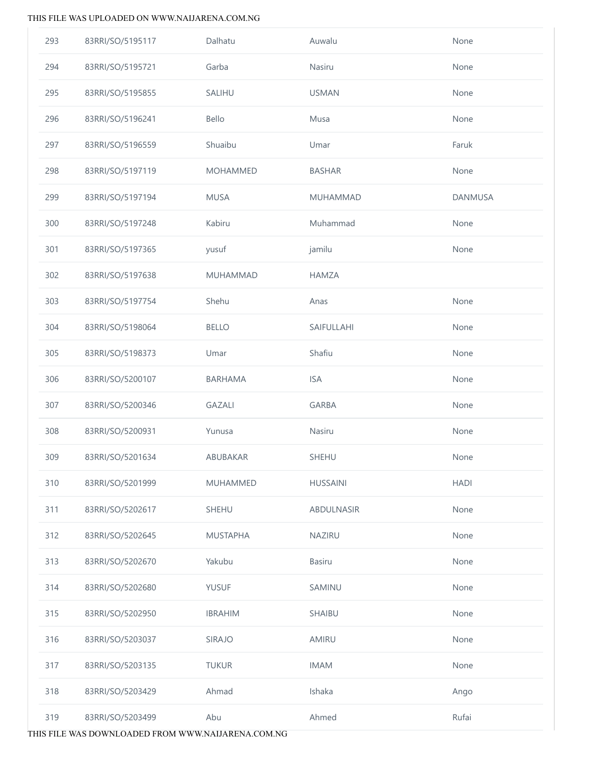| 293 | 83RRI/SO/5195117 | Dalhatu         | Auwalu          | None           |
|-----|------------------|-----------------|-----------------|----------------|
| 294 | 83RRI/SO/5195721 | Garba           | Nasiru          | None           |
| 295 | 83RRI/SO/5195855 | SALIHU          | <b>USMAN</b>    | None           |
| 296 | 83RRI/SO/5196241 | Bello           | Musa            | None           |
| 297 | 83RRI/SO/5196559 | Shuaibu         | Umar            | Faruk          |
| 298 | 83RRI/SO/5197119 | <b>MOHAMMED</b> | <b>BASHAR</b>   | None           |
| 299 | 83RRI/SO/5197194 | <b>MUSA</b>     | <b>MUHAMMAD</b> | <b>DANMUSA</b> |
| 300 | 83RRI/SO/5197248 | Kabiru          | Muhammad        | None           |
| 301 | 83RRI/SO/5197365 | yusuf           | jamilu          | None           |
| 302 | 83RRI/SO/5197638 | MUHAMMAD        | <b>HAMZA</b>    |                |
| 303 | 83RRI/SO/5197754 | Shehu           | Anas            | None           |
| 304 | 83RRI/SO/5198064 | <b>BELLO</b>    | SAIFULLAHI      | None           |
| 305 | 83RRI/SO/5198373 | Umar            | Shafiu          | None           |
| 306 | 83RRI/SO/5200107 | <b>BARHAMA</b>  | <b>ISA</b>      | None           |
| 307 | 83RRI/SO/5200346 | <b>GAZALI</b>   | <b>GARBA</b>    | None           |
| 308 | 83RRI/SO/5200931 | Yunusa          | Nasiru          | None           |
| 309 | 83RRI/SO/5201634 | <b>ABUBAKAR</b> | SHEHU           | None           |
| 310 | 83RRI/SO/5201999 | <b>MUHAMMED</b> | <b>HUSSAINI</b> | <b>HADI</b>    |
| 311 | 83RRI/SO/5202617 | SHEHU           | ABDULNASIR      | None           |
| 312 | 83RRI/SO/5202645 | <b>MUSTAPHA</b> | NAZIRU          | None           |
| 313 | 83RRI/SO/5202670 | Yakubu          | Basiru          | None           |
| 314 | 83RRI/SO/5202680 | <b>YUSUF</b>    | SAMINU          | None           |
| 315 | 83RRI/SO/5202950 | <b>IBRAHIM</b>  | SHAIBU          | None           |
| 316 | 83RRI/SO/5203037 | SIRAJO          | AMIRU           | None           |
| 317 | 83RRI/SO/5203135 | <b>TUKUR</b>    | <b>IMAM</b>     | None           |
| 318 | 83RRI/SO/5203429 | Ahmad           | Ishaka          | Ango           |
| 319 | 83RRI/SO/5203499 | Abu             | Ahmed           | Rufai          |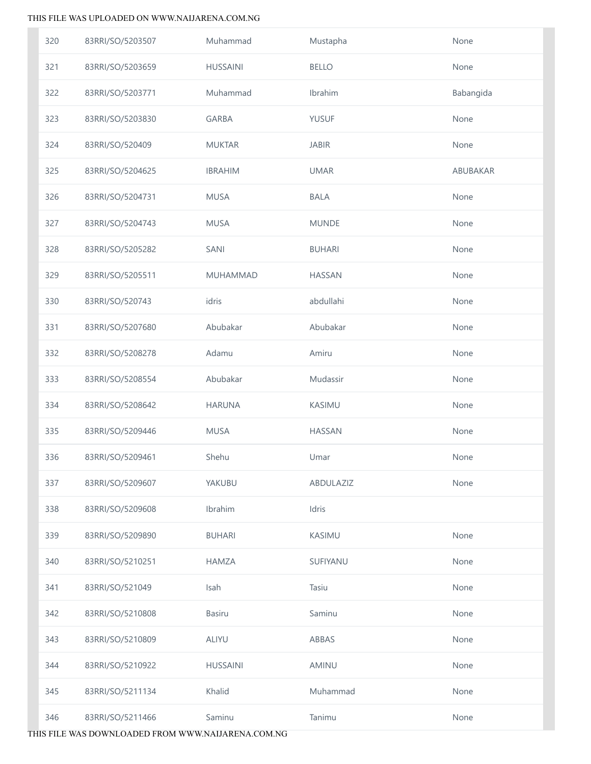| 320 | 83RRI/SO/5203507 | Muhammad        | Mustapha      | None      |
|-----|------------------|-----------------|---------------|-----------|
| 321 | 83RRI/SO/5203659 | <b>HUSSAINI</b> | <b>BELLO</b>  | None      |
| 322 | 83RRI/SO/5203771 | Muhammad        | Ibrahim       | Babangida |
| 323 | 83RRI/SO/5203830 | <b>GARBA</b>    | <b>YUSUF</b>  | None      |
| 324 | 83RRI/SO/520409  | <b>MUKTAR</b>   | <b>JABIR</b>  | None      |
| 325 | 83RRI/SO/5204625 | <b>IBRAHIM</b>  | <b>UMAR</b>   | ABUBAKAR  |
| 326 | 83RRI/SO/5204731 | <b>MUSA</b>     | <b>BALA</b>   | None      |
| 327 | 83RRI/SO/5204743 | <b>MUSA</b>     | <b>MUNDE</b>  | None      |
| 328 | 83RRI/SO/5205282 | SANI            | <b>BUHARI</b> | None      |
| 329 | 83RRI/SO/5205511 | MUHAMMAD        | <b>HASSAN</b> | None      |
| 330 | 83RRI/SO/520743  | idris           | abdullahi     | None      |
| 331 | 83RRI/SO/5207680 | Abubakar        | Abubakar      | None      |
| 332 | 83RRI/SO/5208278 | Adamu           | Amiru         | None      |
| 333 | 83RRI/SO/5208554 | Abubakar        | Mudassir      | None      |
| 334 | 83RRI/SO/5208642 | <b>HARUNA</b>   | KASIMU        | None      |
| 335 | 83RRI/SO/5209446 | <b>MUSA</b>     | <b>HASSAN</b> | None      |
| 336 | 83RRI/SO/5209461 | Shehu           | Umar          | None      |
| 337 | 83RRI/SO/5209607 | YAKUBU          | ABDULAZIZ     | None      |
| 338 | 83RRI/SO/5209608 | Ibrahim         | Idris         |           |
| 339 | 83RRI/SO/5209890 | <b>BUHARI</b>   | KASIMU        | None      |
| 340 | 83RRI/SO/5210251 | <b>HAMZA</b>    | SUFIYANU      | None      |
| 341 | 83RRI/SO/521049  | Isah            | Tasiu         | None      |
| 342 | 83RRI/SO/5210808 | <b>Basiru</b>   | Saminu        | None      |
| 343 | 83RRI/SO/5210809 | <b>ALIYU</b>    | ABBAS         | None      |
| 344 | 83RRI/SO/5210922 | <b>HUSSAINI</b> | AMINU         | None      |
| 345 | 83RRI/SO/5211134 | Khalid          | Muhammad      | None      |
| 346 | 83RRI/SO/5211466 | Saminu          | Tanimu        | None      |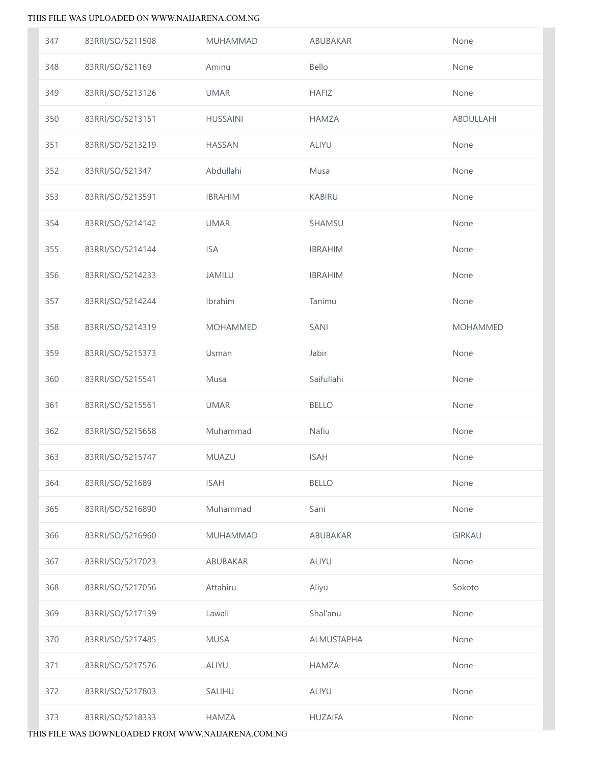| 347 | 83RRI/SO/5211508 | MUHAMMAD        | ABUBAKAR       | None            |
|-----|------------------|-----------------|----------------|-----------------|
| 348 | 83RRI/SO/521169  | Aminu           | Bello          | None            |
| 349 | 83RRI/SO/5213126 | <b>UMAR</b>     | <b>HAFIZ</b>   | None            |
| 350 | 83RRI/SO/5213151 | <b>HUSSAINI</b> | <b>HAMZA</b>   | ABDULLAHI       |
| 351 | 83RRI/SO/5213219 | <b>HASSAN</b>   | <b>ALIYU</b>   | None            |
| 352 | 83RRI/SO/521347  | Abdullahi       | Musa           | None            |
| 353 | 83RRI/SO/5213591 | <b>IBRAHIM</b>  | KABIRU         | None            |
| 354 | 83RRI/SO/5214142 | <b>UMAR</b>     | SHAMSU         | None            |
| 355 | 83RRI/SO/5214144 | <b>ISA</b>      | <b>IBRAHIM</b> | None            |
| 356 | 83RRI/SO/5214233 | <b>JAMILU</b>   | <b>IBRAHIM</b> | None            |
| 357 | 83RRI/SO/5214244 | Ibrahim         | Tanimu         | None            |
| 358 | 83RRI/SO/5214319 | <b>MOHAMMED</b> | SANI           | <b>MOHAMMED</b> |
| 359 | 83RRI/SO/5215373 | Usman           | Jabir          | None            |
| 360 | 83RRI/SO/5215541 | Musa            | Saifullahi     | None            |
| 361 | 83RRI/SO/5215561 | <b>UMAR</b>     | <b>BELLO</b>   | None            |
| 362 | 83RRI/SO/5215658 | Muhammad        | Nafiu          | None            |
| 363 | 83RRI/SO/5215747 | MUAZU           | <b>ISAH</b>    | None            |
| 364 | 83RRI/SO/521689  | <b>ISAH</b>     | <b>BELLO</b>   | None            |
| 365 | 83RRI/SO/5216890 | Muhammad        | Sani           | None            |
| 366 | 83RRI/SO/5216960 | <b>MUHAMMAD</b> | ABUBAKAR       | <b>GIRKAU</b>   |
| 367 | 83RRI/SO/5217023 | ABUBAKAR        | <b>ALIYU</b>   | None            |
| 368 | 83RRI/SO/5217056 | Attahiru        | Aliyu          | Sokoto          |
| 369 | 83RRI/SO/5217139 | Lawali          | Shal'anu       | None            |
| 370 | 83RRI/SO/5217485 | <b>MUSA</b>     | ALMUSTAPHA     | None            |
| 371 | 83RRI/SO/5217576 | <b>ALIYU</b>    | <b>HAMZA</b>   | None            |
| 372 | 83RRI/SO/5217803 | <b>SALIHU</b>   | <b>ALIYU</b>   | None            |
| 373 | 83RRI/SO/5218333 | <b>HAMZA</b>    | <b>HUZAIFA</b> | None            |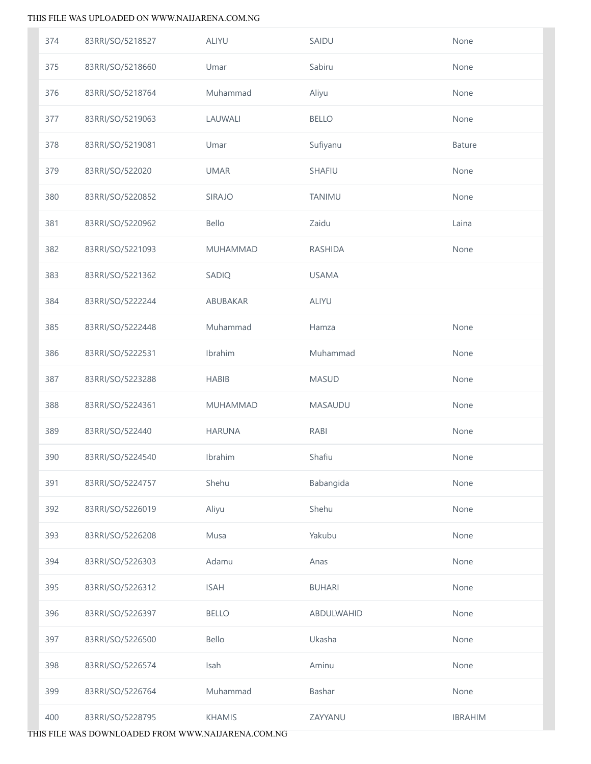| 374 | 83RRI/SO/5218527 | ALIYU         | SAIDU          | None           |
|-----|------------------|---------------|----------------|----------------|
| 375 | 83RRI/SO/5218660 | Umar          | Sabiru         | None           |
| 376 | 83RRI/SO/5218764 | Muhammad      | Aliyu          | None           |
| 377 | 83RRI/SO/5219063 | LAUWALI       | <b>BELLO</b>   | None           |
| 378 | 83RRI/SO/5219081 | Umar          | Sufiyanu       | Bature         |
| 379 | 83RRI/SO/522020  | <b>UMAR</b>   | SHAFIU         | None           |
| 380 | 83RRI/SO/5220852 | SIRAJO        | TANIMU         | None           |
| 381 | 83RRI/SO/5220962 | Bello         | Zaidu          | Laina          |
| 382 | 83RRI/SO/5221093 | MUHAMMAD      | <b>RASHIDA</b> | None           |
| 383 | 83RRI/SO/5221362 | SADIQ         | <b>USAMA</b>   |                |
| 384 | 83RRI/SO/5222244 | ABUBAKAR      | <b>ALIYU</b>   |                |
| 385 | 83RRI/SO/5222448 | Muhammad      | Hamza          | None           |
| 386 | 83RRI/SO/5222531 | Ibrahim       | Muhammad       | None           |
| 387 | 83RRI/SO/5223288 | <b>HABIB</b>  | <b>MASUD</b>   | None           |
| 388 | 83RRI/SO/5224361 | MUHAMMAD      | MASAUDU        | None           |
| 389 | 83RRI/SO/522440  | <b>HARUNA</b> | RABI           | None           |
| 390 | 83RRI/SO/5224540 | Ibrahim       | Shafiu         | None           |
| 391 | 83RRI/SO/5224757 | Shehu         | Babangida      | None           |
| 392 | 83RRI/SO/5226019 | Aliyu         | Shehu          | None           |
| 393 | 83RRI/SO/5226208 | Musa          | Yakubu         | None           |
| 394 | 83RRI/SO/5226303 | Adamu         | Anas           | None           |
| 395 | 83RRI/SO/5226312 | <b>ISAH</b>   | <b>BUHARI</b>  | None           |
| 396 | 83RRI/SO/5226397 | <b>BELLO</b>  | ABDULWAHID     | None           |
| 397 | 83RRI/SO/5226500 | Bello         | Ukasha         | None           |
| 398 | 83RRI/SO/5226574 | Isah          | Aminu          | None           |
| 399 | 83RRI/SO/5226764 | Muhammad      | Bashar         | None           |
| 400 | 83RRI/SO/5228795 | KHAMIS        | ZAYYANU        | <b>IBRAHIM</b> |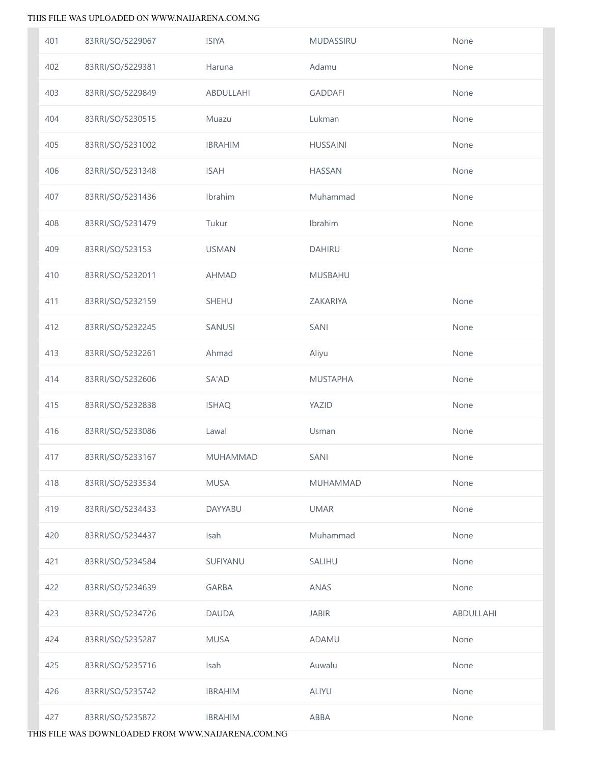| 401 | 83RRI/SO/5229067 | <b>ISIYA</b>    | <b>MUDASSIRU</b> | None      |
|-----|------------------|-----------------|------------------|-----------|
| 402 | 83RRI/SO/5229381 | Haruna          | Adamu            | None      |
| 403 | 83RRI/SO/5229849 | ABDULLAHI       | <b>GADDAFI</b>   | None      |
| 404 | 83RRI/SO/5230515 | Muazu           | Lukman           | None      |
| 405 | 83RRI/SO/5231002 | <b>IBRAHIM</b>  | <b>HUSSAINI</b>  | None      |
| 406 | 83RRI/SO/5231348 | <b>ISAH</b>     | <b>HASSAN</b>    | None      |
| 407 | 83RRI/SO/5231436 | Ibrahim         | Muhammad         | None      |
| 408 | 83RRI/SO/5231479 | Tukur           | Ibrahim          | None      |
| 409 | 83RRI/SO/523153  | <b>USMAN</b>    | <b>DAHIRU</b>    | None      |
| 410 | 83RRI/SO/5232011 | <b>AHMAD</b>    | <b>MUSBAHU</b>   |           |
| 411 | 83RRI/SO/5232159 | SHEHU           | ZAKARIYA         | None      |
| 412 | 83RRI/SO/5232245 | SANUSI          | SANI             | None      |
| 413 | 83RRI/SO/5232261 | Ahmad           | Aliyu            | None      |
| 414 | 83RRI/SO/5232606 | SA'AD           | <b>MUSTAPHA</b>  | None      |
| 415 | 83RRI/SO/5232838 | <b>ISHAQ</b>    | YAZID            | None      |
| 416 | 83RRI/SO/5233086 | Lawal           | Usman            | None      |
| 417 | 83RRI/SO/5233167 | <b>MUHAMMAD</b> | SANI             | None      |
| 418 | 83RRI/SO/5233534 | <b>MUSA</b>     | <b>MUHAMMAD</b>  | None      |
| 419 | 83RRI/SO/5234433 | <b>DAYYABU</b>  | <b>UMAR</b>      | None      |
| 420 | 83RRI/SO/5234437 | Isah            | Muhammad         | None      |
| 421 | 83RRI/SO/5234584 | SUFIYANU        | SALIHU           | None      |
| 422 | 83RRI/SO/5234639 | <b>GARBA</b>    | ANAS             | None      |
| 423 | 83RRI/SO/5234726 | <b>DAUDA</b>    | <b>JABIR</b>     | ABDULLAHI |
| 424 | 83RRI/SO/5235287 | <b>MUSA</b>     | ADAMU            | None      |
| 425 | 83RRI/SO/5235716 | Isah            | Auwalu           | None      |
| 426 | 83RRI/SO/5235742 | <b>IBRAHIM</b>  | <b>ALIYU</b>     | None      |
| 427 | 83RRI/SO/5235872 | <b>IBRAHIM</b>  | ABBA             | None      |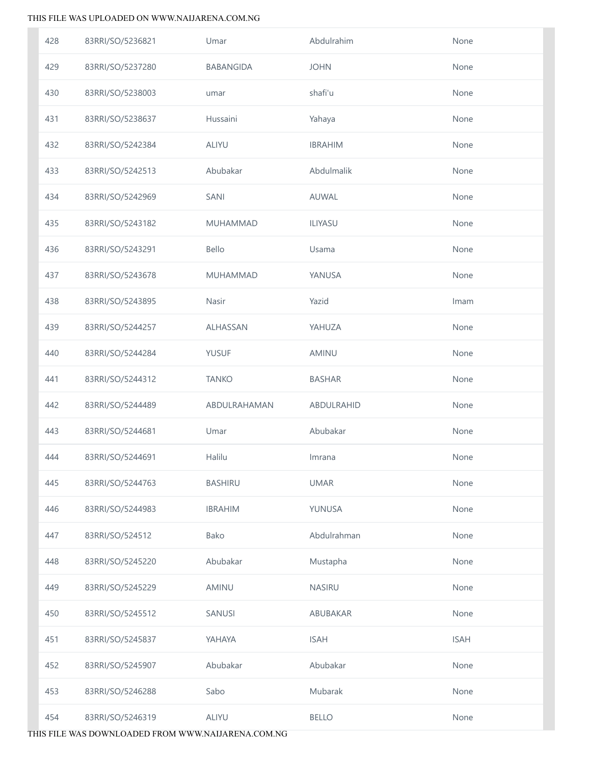| 428 | 83RRI/SO/5236821 | Umar            | Abdulrahim     | None        |
|-----|------------------|-----------------|----------------|-------------|
| 429 | 83RRI/SO/5237280 | BABANGIDA       | <b>JOHN</b>    | None        |
| 430 | 83RRI/SO/5238003 | umar            | shafi'u        | None        |
| 431 | 83RRI/SO/5238637 | Hussaini        | Yahaya         | None        |
| 432 | 83RRI/SO/5242384 | ALIYU           | <b>IBRAHIM</b> | None        |
| 433 | 83RRI/SO/5242513 | Abubakar        | Abdulmalik     | None        |
| 434 | 83RRI/SO/5242969 | SANI            | AUWAL          | None        |
| 435 | 83RRI/SO/5243182 | <b>MUHAMMAD</b> | <b>ILIYASU</b> | None        |
| 436 | 83RRI/SO/5243291 | Bello           | Usama          | None        |
| 437 | 83RRI/SO/5243678 | <b>MUHAMMAD</b> | YANUSA         | None        |
| 438 | 83RRI/SO/5243895 | Nasir           | Yazid          | Imam        |
| 439 | 83RRI/SO/5244257 | ALHASSAN        | YAHUZA         | None        |
| 440 | 83RRI/SO/5244284 | <b>YUSUF</b>    | AMINU          | None        |
| 441 | 83RRI/SO/5244312 | <b>TANKO</b>    | <b>BASHAR</b>  | None        |
| 442 | 83RRI/SO/5244489 | ABDULRAHAMAN    | ABDULRAHID     | None        |
| 443 | 83RRI/SO/5244681 | Umar            | Abubakar       | None        |
| 444 | 83RRI/SO/5244691 | Halilu          | Imrana         | None        |
| 445 | 83RRI/SO/5244763 | <b>BASHIRU</b>  | <b>UMAR</b>    | None        |
| 446 | 83RRI/SO/5244983 | <b>IBRAHIM</b>  | YUNUSA         | None        |
| 447 | 83RRI/SO/524512  | Bako            | Abdulrahman    | None        |
| 448 | 83RRI/SO/5245220 | Abubakar        | Mustapha       | None        |
| 449 | 83RRI/SO/5245229 | AMINU           | NASIRU         | None        |
| 450 | 83RRI/SO/5245512 | SANUSI          | ABUBAKAR       | None        |
| 451 | 83RRI/SO/5245837 | YAHAYA          | <b>ISAH</b>    | <b>ISAH</b> |
| 452 | 83RRI/SO/5245907 | Abubakar        | Abubakar       | None        |
| 453 | 83RRI/SO/5246288 | Sabo            | Mubarak        | None        |
| 454 | 83RRI/SO/5246319 | ALIYU           | <b>BELLO</b>   | None        |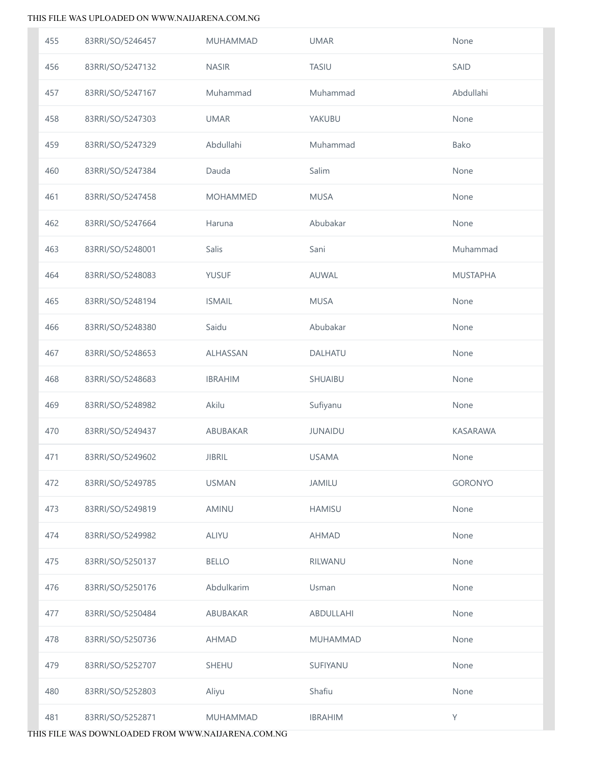| 455 | 83RRI/SO/5246457 | MUHAMMAD        | <b>UMAR</b>     | None            |
|-----|------------------|-----------------|-----------------|-----------------|
| 456 | 83RRI/SO/5247132 | <b>NASIR</b>    | TASIU           | SAID            |
| 457 | 83RRI/SO/5247167 | Muhammad        | Muhammad        | Abdullahi       |
| 458 | 83RRI/SO/5247303 | <b>UMAR</b>     | YAKUBU          | None            |
| 459 | 83RRI/SO/5247329 | Abdullahi       | Muhammad        | Bako            |
| 460 | 83RRI/SO/5247384 | Dauda           | Salim           | None            |
| 461 | 83RRI/SO/5247458 | <b>MOHAMMED</b> | <b>MUSA</b>     | None            |
| 462 | 83RRI/SO/5247664 | Haruna          | Abubakar        | None            |
| 463 | 83RRI/SO/5248001 | Salis           | Sani            | Muhammad        |
| 464 | 83RRI/SO/5248083 | <b>YUSUF</b>    | AUWAL           | <b>MUSTAPHA</b> |
| 465 | 83RRI/SO/5248194 | <b>ISMAIL</b>   | <b>MUSA</b>     | None            |
| 466 | 83RRI/SO/5248380 | Saidu           | Abubakar        | None            |
| 467 | 83RRI/SO/5248653 | ALHASSAN        | DALHATU         | None            |
| 468 | 83RRI/SO/5248683 | <b>IBRAHIM</b>  | SHUAIBU         | None            |
| 469 | 83RRI/SO/5248982 | Akilu           | Sufiyanu        | None            |
| 470 | 83RRI/SO/5249437 | ABUBAKAR        | <b>JUNAIDU</b>  | <b>KASARAWA</b> |
| 471 | 83RRI/SO/5249602 | <b>JIBRIL</b>   | <b>USAMA</b>    | None            |
| 472 | 83RRI/SO/5249785 | <b>USMAN</b>    | <b>JAMILU</b>   | <b>GORONYO</b>  |
| 473 | 83RRI/SO/5249819 | AMINU           | <b>HAMISU</b>   | None            |
| 474 | 83RRI/SO/5249982 | ALIYU           | <b>AHMAD</b>    | None            |
| 475 | 83RRI/SO/5250137 | <b>BELLO</b>    | RILWANU         | None            |
| 476 | 83RRI/SO/5250176 | Abdulkarim      | Usman           | None            |
| 477 | 83RRI/SO/5250484 | ABUBAKAR        | ABDULLAHI       | None            |
| 478 | 83RRI/SO/5250736 | <b>AHMAD</b>    | <b>MUHAMMAD</b> | None            |
| 479 | 83RRI/SO/5252707 | <b>SHEHU</b>    | SUFIYANU        | None            |
| 480 | 83RRI/SO/5252803 | Aliyu           | Shafiu          | None            |
| 481 | 83RRI/SO/5252871 | <b>MUHAMMAD</b> | <b>IBRAHIM</b>  | Y               |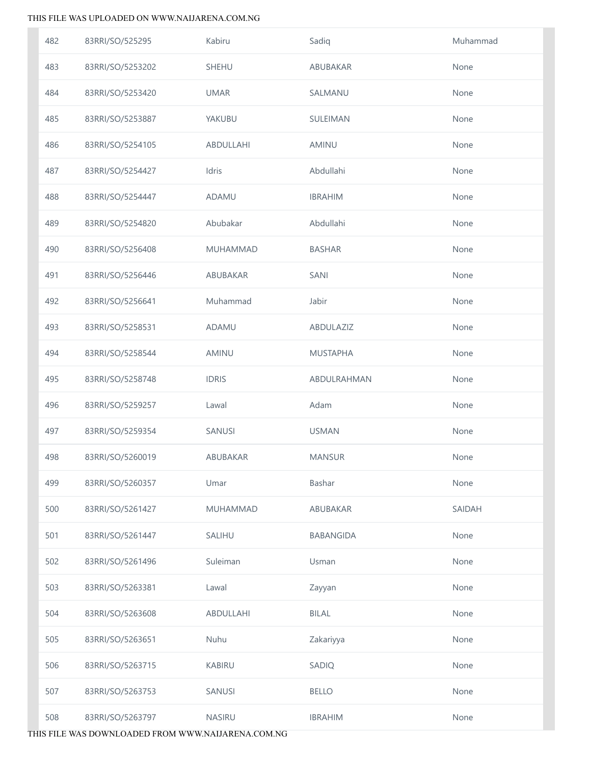| 482 | 83RRI/SO/525295  | Kabiru          | Sadiq            | Muhammad |
|-----|------------------|-----------------|------------------|----------|
| 483 | 83RRI/SO/5253202 | SHEHU           | ABUBAKAR         | None     |
| 484 | 83RRI/SO/5253420 | <b>UMAR</b>     | SALMANU          | None     |
| 485 | 83RRI/SO/5253887 | YAKUBU          | SULEIMAN         | None     |
| 486 | 83RRI/SO/5254105 | ABDULLAHI       | AMINU            | None     |
| 487 | 83RRI/SO/5254427 | Idris           | Abdullahi        | None     |
| 488 | 83RRI/SO/5254447 | ADAMU           | <b>IBRAHIM</b>   | None     |
| 489 | 83RRI/SO/5254820 | Abubakar        | Abdullahi        | None     |
| 490 | 83RRI/SO/5256408 | MUHAMMAD        | <b>BASHAR</b>    | None     |
| 491 | 83RRI/SO/5256446 | ABUBAKAR        | <b>SANI</b>      | None     |
| 492 | 83RRI/SO/5256641 | Muhammad        | Jabir            | None     |
| 493 | 83RRI/SO/5258531 | ADAMU           | ABDULAZIZ        | None     |
| 494 | 83RRI/SO/5258544 | AMINU           | <b>MUSTAPHA</b>  | None     |
| 495 | 83RRI/SO/5258748 | <b>IDRIS</b>    | ABDULRAHMAN      | None     |
| 496 | 83RRI/SO/5259257 | Lawal           | Adam             | None     |
| 497 | 83RRI/SO/5259354 | SANUSI          | <b>USMAN</b>     | None     |
| 498 | 83RRI/SO/5260019 | ABUBAKAR        | <b>MANSUR</b>    | None     |
| 499 | 83RRI/SO/5260357 | Umar            | Bashar           | None     |
| 500 | 83RRI/SO/5261427 | <b>MUHAMMAD</b> | ABUBAKAR         | SAIDAH   |
| 501 | 83RRI/SO/5261447 | SALIHU          | <b>BABANGIDA</b> | None     |
| 502 | 83RRI/SO/5261496 | Suleiman        | Usman            | None     |
| 503 | 83RRI/SO/5263381 | Lawal           | Zayyan           | None     |
| 504 | 83RRI/SO/5263608 | ABDULLAHI       | <b>BILAL</b>     | None     |
| 505 | 83RRI/SO/5263651 | Nuhu            | Zakariyya        | None     |
| 506 | 83RRI/SO/5263715 | KABIRU          | SADIQ            | None     |
| 507 | 83RRI/SO/5263753 | SANUSI          | <b>BELLO</b>     | None     |
| 508 | 83RRI/SO/5263797 | NASIRU          | <b>IBRAHIM</b>   | None     |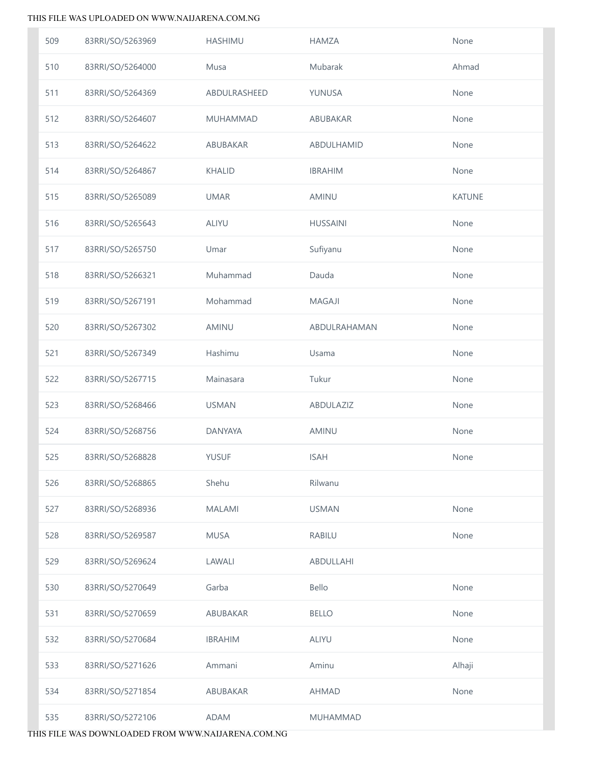| 509 | 83RRI/SO/5263969 | <b>HASHIMU</b> | <b>HAMZA</b>    | None          |
|-----|------------------|----------------|-----------------|---------------|
| 510 | 83RRI/SO/5264000 | Musa           | Mubarak         | Ahmad         |
| 511 | 83RRI/SO/5264369 | ABDULRASHEED   | YUNUSA          | None          |
| 512 | 83RRI/SO/5264607 | MUHAMMAD       | ABUBAKAR        | None          |
| 513 | 83RRI/SO/5264622 | ABUBAKAR       | ABDULHAMID      | None          |
| 514 | 83RRI/SO/5264867 | <b>KHALID</b>  | <b>IBRAHIM</b>  | None          |
| 515 | 83RRI/SO/5265089 | <b>UMAR</b>    | <b>AMINU</b>    | <b>KATUNE</b> |
| 516 | 83RRI/SO/5265643 | <b>ALIYU</b>   | <b>HUSSAINI</b> | None          |
| 517 | 83RRI/SO/5265750 | Umar           | Sufiyanu        | None          |
| 518 | 83RRI/SO/5266321 | Muhammad       | Dauda           | None          |
| 519 | 83RRI/SO/5267191 | Mohammad       | <b>MAGAJI</b>   | None          |
| 520 | 83RRI/SO/5267302 | AMINU          | ABDULRAHAMAN    | None          |
| 521 | 83RRI/SO/5267349 | Hashimu        | Usama           | None          |
| 522 | 83RRI/SO/5267715 | Mainasara      | Tukur           | None          |
| 523 | 83RRI/SO/5268466 | <b>USMAN</b>   | ABDULAZIZ       | None          |
| 524 | 83RRI/SO/5268756 | <b>DANYAYA</b> | AMINU           | None          |
| 525 | 83RRI/SO/5268828 | YUSUF          | <b>ISAH</b>     | None          |
| 526 | 83RRI/SO/5268865 | Shehu          | Rilwanu         |               |
| 527 | 83RRI/SO/5268936 | <b>MALAMI</b>  | <b>USMAN</b>    | None          |
| 528 | 83RRI/SO/5269587 | <b>MUSA</b>    | <b>RABILU</b>   | None          |
| 529 | 83RRI/SO/5269624 | LAWALI         | ABDULLAHI       |               |
| 530 | 83RRI/SO/5270649 | Garba          | Bello           | None          |
| 531 | 83RRI/SO/5270659 | ABUBAKAR       | <b>BELLO</b>    | None          |
| 532 | 83RRI/SO/5270684 | <b>IBRAHIM</b> | <b>ALIYU</b>    | None          |
| 533 | 83RRI/SO/5271626 | Ammani         | Aminu           | Alhaji        |
| 534 | 83RRI/SO/5271854 | ABUBAKAR       | <b>AHMAD</b>    | None          |
| 535 | 83RRI/SO/5272106 | ADAM           | <b>MUHAMMAD</b> |               |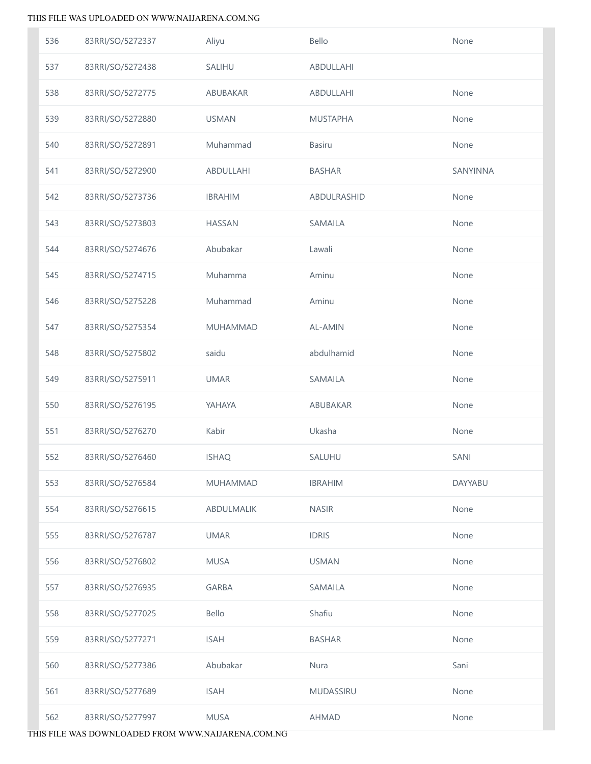| 536 | 83RRI/SO/5272337 | Aliyu           | Bello           | None           |
|-----|------------------|-----------------|-----------------|----------------|
| 537 | 83RRI/SO/5272438 | SALIHU          | ABDULLAHI       |                |
| 538 | 83RRI/SO/5272775 | ABUBAKAR        | ABDULLAHI       | None           |
| 539 | 83RRI/SO/5272880 | <b>USMAN</b>    | <b>MUSTAPHA</b> | None           |
| 540 | 83RRI/SO/5272891 | Muhammad        | <b>Basiru</b>   | None           |
| 541 | 83RRI/SO/5272900 | ABDULLAHI       | <b>BASHAR</b>   | SANYINNA       |
| 542 | 83RRI/SO/5273736 | <b>IBRAHIM</b>  | ABDULRASHID     | None           |
| 543 | 83RRI/SO/5273803 | <b>HASSAN</b>   | SAMAILA         | None           |
| 544 | 83RRI/SO/5274676 | Abubakar        | Lawali          | None           |
| 545 | 83RRI/SO/5274715 | Muhamma         | Aminu           | None           |
| 546 | 83RRI/SO/5275228 | Muhammad        | Aminu           | None           |
| 547 | 83RRI/SO/5275354 | <b>MUHAMMAD</b> | AL-AMIN         | None           |
| 548 | 83RRI/SO/5275802 | saidu           | abdulhamid      | None           |
| 549 | 83RRI/SO/5275911 | <b>UMAR</b>     | SAMAILA         | None           |
| 550 | 83RRI/SO/5276195 | YAHAYA          | ABUBAKAR        | None           |
| 551 | 83RRI/SO/5276270 | Kabir           | Ukasha          | None           |
| 552 | 83RRI/SO/5276460 | <b>ISHAQ</b>    | SALUHU          | SANI           |
| 553 | 83RRI/SO/5276584 | <b>MUHAMMAD</b> | <b>IBRAHIM</b>  | <b>DAYYABU</b> |
| 554 | 83RRI/SO/5276615 | ABDULMALIK      | <b>NASIR</b>    | None           |
| 555 | 83RRI/SO/5276787 | <b>UMAR</b>     | <b>IDRIS</b>    | None           |
| 556 | 83RRI/SO/5276802 | <b>MUSA</b>     | <b>USMAN</b>    | None           |
| 557 | 83RRI/SO/5276935 | <b>GARBA</b>    | SAMAILA         | None           |
| 558 | 83RRI/SO/5277025 | Bello           | Shafiu          | None           |
| 559 | 83RRI/SO/5277271 | <b>ISAH</b>     | <b>BASHAR</b>   | None           |
| 560 | 83RRI/SO/5277386 | Abubakar        | Nura            | Sani           |
| 561 | 83RRI/SO/5277689 | <b>ISAH</b>     | MUDASSIRU       | None           |
| 562 | 83RRI/SO/5277997 | <b>MUSA</b>     | AHMAD           | None           |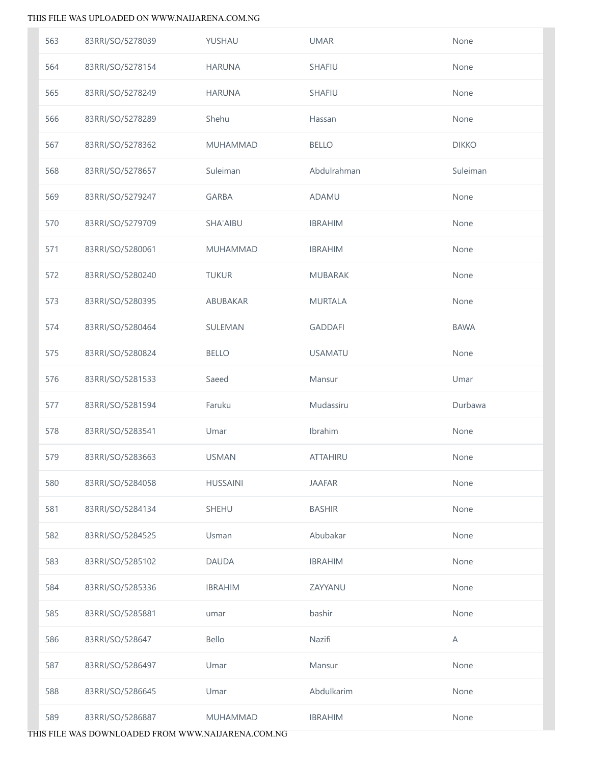| 563 | 83RRI/SO/5278039 | YUSHAU          | <b>UMAR</b>     | None         |
|-----|------------------|-----------------|-----------------|--------------|
| 564 | 83RRI/SO/5278154 | <b>HARUNA</b>   | SHAFIU          | None         |
| 565 | 83RRI/SO/5278249 | <b>HARUNA</b>   | <b>SHAFIU</b>   | None         |
| 566 | 83RRI/SO/5278289 | Shehu           | Hassan          | None         |
| 567 | 83RRI/SO/5278362 | MUHAMMAD        | <b>BELLO</b>    | <b>DIKKO</b> |
| 568 | 83RRI/SO/5278657 | Suleiman        | Abdulrahman     | Suleiman     |
| 569 | 83RRI/SO/5279247 | <b>GARBA</b>    | ADAMU           | None         |
| 570 | 83RRI/SO/5279709 | SHA'AIBU        | <b>IBRAHIM</b>  | None         |
| 571 | 83RRI/SO/5280061 | MUHAMMAD        | <b>IBRAHIM</b>  | None         |
| 572 | 83RRI/SO/5280240 | <b>TUKUR</b>    | <b>MUBARAK</b>  | None         |
| 573 | 83RRI/SO/5280395 | ABUBAKAR        | <b>MURTALA</b>  | None         |
| 574 | 83RRI/SO/5280464 | SULEMAN         | <b>GADDAFI</b>  | <b>BAWA</b>  |
| 575 | 83RRI/SO/5280824 | <b>BELLO</b>    | <b>USAMATU</b>  | None         |
| 576 | 83RRI/SO/5281533 | Saeed           | Mansur          | Umar         |
| 577 | 83RRI/SO/5281594 | Faruku          | Mudassiru       | Durbawa      |
| 578 | 83RRI/SO/5283541 | Umar            | Ibrahim         | None         |
| 579 | 83RRI/SO/5283663 | <b>USMAN</b>    | <b>ATTAHIRU</b> | None         |
| 580 | 83RRI/SO/5284058 | <b>HUSSAINI</b> | <b>JAAFAR</b>   | None         |
| 581 | 83RRI/SO/5284134 | SHEHU           | <b>BASHIR</b>   | None         |
| 582 | 83RRI/SO/5284525 | Usman           | Abubakar        | None         |
| 583 | 83RRI/SO/5285102 | <b>DAUDA</b>    | <b>IBRAHIM</b>  | None         |
| 584 | 83RRI/SO/5285336 | <b>IBRAHIM</b>  | ZAYYANU         | None         |
| 585 | 83RRI/SO/5285881 | umar            | bashir          | None         |
| 586 | 83RRI/SO/528647  | Bello           | Nazifi          | A            |
| 587 | 83RRI/SO/5286497 | Umar            | Mansur          | None         |
| 588 | 83RRI/SO/5286645 | Umar            | Abdulkarim      | None         |
| 589 | 83RRI/SO/5286887 | MUHAMMAD        | <b>IBRAHIM</b>  | None         |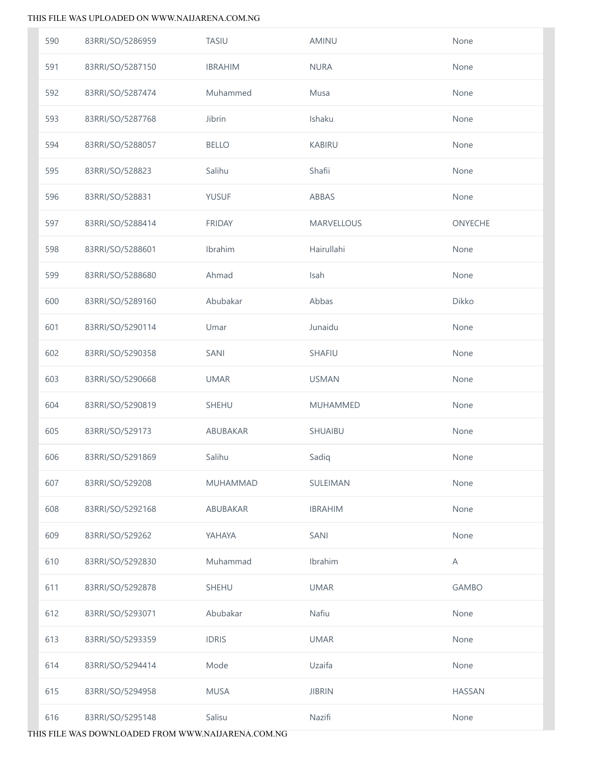| 590 | 83RRI/SO/5286959 | <b>TASIU</b>    | AMINU             | None           |
|-----|------------------|-----------------|-------------------|----------------|
| 591 | 83RRI/SO/5287150 | <b>IBRAHIM</b>  | <b>NURA</b>       | None           |
| 592 | 83RRI/SO/5287474 | Muhammed        | Musa              | None           |
| 593 | 83RRI/SO/5287768 | Jibrin          | Ishaku            | None           |
| 594 | 83RRI/SO/5288057 | <b>BELLO</b>    | <b>KABIRU</b>     | None           |
| 595 | 83RRI/SO/528823  | Salihu          | Shafii            | None           |
| 596 | 83RRI/SO/528831  | <b>YUSUF</b>    | ABBAS             | None           |
| 597 | 83RRI/SO/5288414 | <b>FRIDAY</b>   | <b>MARVELLOUS</b> | <b>ONYECHE</b> |
| 598 | 83RRI/SO/5288601 | Ibrahim         | Hairullahi        | None           |
| 599 | 83RRI/SO/5288680 | Ahmad           | Isah              | None           |
| 600 | 83RRI/SO/5289160 | Abubakar        | Abbas             | Dikko          |
| 601 | 83RRI/SO/5290114 | Umar            | Junaidu           | None           |
| 602 | 83RRI/SO/5290358 | SANI            | SHAFIU            | None           |
| 603 | 83RRI/SO/5290668 | <b>UMAR</b>     | <b>USMAN</b>      | None           |
| 604 | 83RRI/SO/5290819 | SHEHU           | <b>MUHAMMED</b>   | None           |
| 605 | 83RRI/SO/529173  | ABUBAKAR        | SHUAIBU           | None           |
| 606 | 83RRI/SO/5291869 | Salihu          | Sadiq             | None           |
| 607 | 83RRI/SO/529208  | <b>MUHAMMAD</b> | SULEIMAN          | None           |
| 608 | 83RRI/SO/5292168 | ABUBAKAR        | <b>IBRAHIM</b>    | None           |
| 609 | 83RRI/SO/529262  | YAHAYA          | SANI              | None           |
| 610 | 83RRI/SO/5292830 | Muhammad        | Ibrahim           | A              |
| 611 | 83RRI/SO/5292878 | <b>SHEHU</b>    | <b>UMAR</b>       | <b>GAMBO</b>   |
| 612 | 83RRI/SO/5293071 | Abubakar        | Nafiu             | None           |
| 613 | 83RRI/SO/5293359 | <b>IDRIS</b>    | <b>UMAR</b>       | None           |
| 614 | 83RRI/SO/5294414 | Mode            | Uzaifa            | None           |
| 615 | 83RRI/SO/5294958 | <b>MUSA</b>     | <b>JIBRIN</b>     | <b>HASSAN</b>  |
| 616 | 83RRI/SO/5295148 | Salisu          | Nazifi            | None           |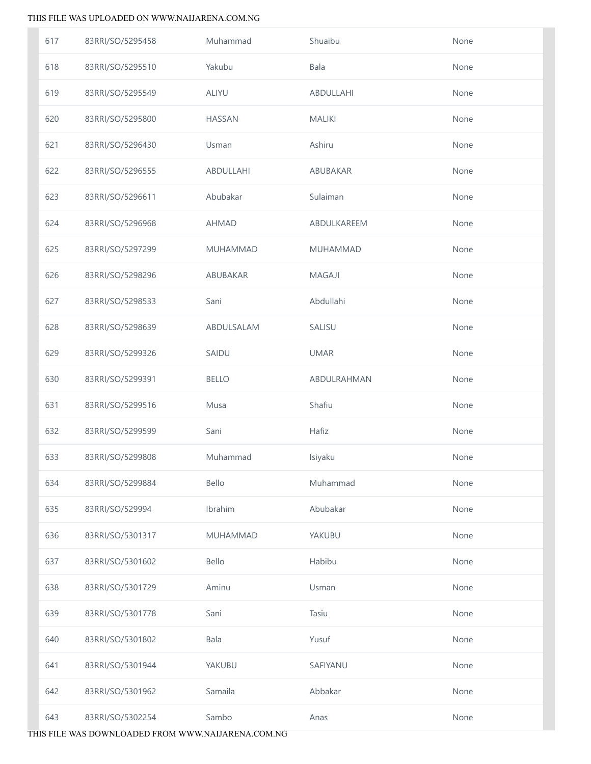| 617 | 83RRI/SO/5295458 | Muhammad        | Shuaibu         | None |
|-----|------------------|-----------------|-----------------|------|
| 618 | 83RRI/SO/5295510 | Yakubu          | Bala            | None |
| 619 | 83RRI/SO/5295549 | ALIYU           | ABDULLAHI       | None |
| 620 | 83RRI/SO/5295800 | <b>HASSAN</b>   | <b>MALIKI</b>   | None |
| 621 | 83RRI/SO/5296430 | Usman           | Ashiru          | None |
| 622 | 83RRI/SO/5296555 | ABDULLAHI       | ABUBAKAR        | None |
| 623 | 83RRI/SO/5296611 | Abubakar        | Sulaiman        | None |
| 624 | 83RRI/SO/5296968 | <b>AHMAD</b>    | ABDULKAREEM     | None |
| 625 | 83RRI/SO/5297299 | MUHAMMAD        | <b>MUHAMMAD</b> | None |
| 626 | 83RRI/SO/5298296 | ABUBAKAR        | <b>MAGAJI</b>   | None |
| 627 | 83RRI/SO/5298533 | Sani            | Abdullahi       | None |
| 628 | 83RRI/SO/5298639 | ABDULSALAM      | SALISU          | None |
| 629 | 83RRI/SO/5299326 | SAIDU           | <b>UMAR</b>     | None |
| 630 | 83RRI/SO/5299391 | <b>BELLO</b>    | ABDULRAHMAN     | None |
| 631 | 83RRI/SO/5299516 | Musa            | Shafiu          | None |
| 632 | 83RRI/SO/5299599 | Sani            | Hafiz           | None |
| 633 | 83RRI/SO/5299808 | Muhammad        | Isiyaku         | None |
| 634 | 83RRI/SO/5299884 | Bello           | Muhammad        | None |
| 635 | 83RRI/SO/529994  | Ibrahim         | Abubakar        | None |
| 636 | 83RRI/SO/5301317 | <b>MUHAMMAD</b> | YAKUBU          | None |
| 637 | 83RRI/SO/5301602 | Bello           | Habibu          | None |
| 638 | 83RRI/SO/5301729 | Aminu           | Usman           | None |
| 639 | 83RRI/SO/5301778 | Sani            | Tasiu           | None |
| 640 | 83RRI/SO/5301802 | Bala            | Yusuf           | None |
| 641 | 83RRI/SO/5301944 | YAKUBU          | SAFIYANU        | None |
| 642 | 83RRI/SO/5301962 | Samaila         | Abbakar         | None |
| 643 | 83RRI/SO/5302254 | Sambo           | Anas            | None |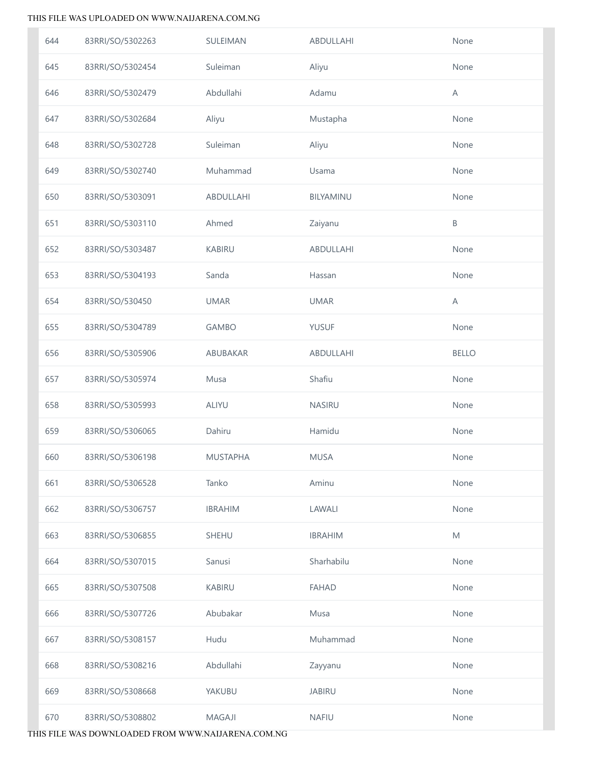| 644 | 83RRI/SO/5302263 | SULEIMAN        | ABDULLAHI      | None                                                                                                       |
|-----|------------------|-----------------|----------------|------------------------------------------------------------------------------------------------------------|
| 645 | 83RRI/SO/5302454 | Suleiman        | Aliyu          | None                                                                                                       |
| 646 | 83RRI/SO/5302479 | Abdullahi       | Adamu          | Α                                                                                                          |
| 647 | 83RRI/SO/5302684 | Aliyu           | Mustapha       | None                                                                                                       |
| 648 | 83RRI/SO/5302728 | Suleiman        | Aliyu          | None                                                                                                       |
| 649 | 83RRI/SO/5302740 | Muhammad        | Usama          | None                                                                                                       |
| 650 | 83RRI/SO/5303091 | ABDULLAHI       | BILYAMINU      | None                                                                                                       |
| 651 | 83RRI/SO/5303110 | Ahmed           | Zaiyanu        | Β                                                                                                          |
| 652 | 83RRI/SO/5303487 | <b>KABIRU</b>   | ABDULLAHI      | None                                                                                                       |
| 653 | 83RRI/SO/5304193 | Sanda           | Hassan         | None                                                                                                       |
| 654 | 83RRI/SO/530450  | <b>UMAR</b>     | <b>UMAR</b>    | A                                                                                                          |
| 655 | 83RRI/SO/5304789 | <b>GAMBO</b>    | <b>YUSUF</b>   | None                                                                                                       |
| 656 | 83RRI/SO/5305906 | ABUBAKAR        | ABDULLAHI      | <b>BELLO</b>                                                                                               |
| 657 | 83RRI/SO/5305974 | Musa            | Shafiu         | None                                                                                                       |
| 658 | 83RRI/SO/5305993 | ALIYU           | NASIRU         | None                                                                                                       |
| 659 | 83RRI/SO/5306065 | Dahiru          | Hamidu         | None                                                                                                       |
| 660 | 83RRI/SO/5306198 | <b>MUSTAPHA</b> | <b>MUSA</b>    | None                                                                                                       |
| 661 | 83RRI/SO/5306528 | Tanko           | Aminu          | None                                                                                                       |
| 662 | 83RRI/SO/5306757 | <b>IBRAHIM</b>  | LAWALI         | None                                                                                                       |
| 663 | 83RRI/SO/5306855 | <b>SHEHU</b>    | <b>IBRAHIM</b> | $\mathsf{M}% _{T}=\mathsf{M}_{T}\!\left( a,b\right) ,\ \mathsf{M}_{T}=\mathsf{M}_{T}\!\left( a,b\right) ,$ |
| 664 | 83RRI/SO/5307015 | Sanusi          | Sharhabilu     | None                                                                                                       |
| 665 | 83RRI/SO/5307508 | <b>KABIRU</b>   | <b>FAHAD</b>   | None                                                                                                       |
| 666 | 83RRI/SO/5307726 | Abubakar        | Musa           | None                                                                                                       |
| 667 | 83RRI/SO/5308157 | Hudu            | Muhammad       | None                                                                                                       |
| 668 | 83RRI/SO/5308216 | Abdullahi       | Zayyanu        | None                                                                                                       |
| 669 | 83RRI/SO/5308668 | YAKUBU          | <b>JABIRU</b>  | None                                                                                                       |
| 670 | 83RRI/SO/5308802 | MAGAJI          | <b>NAFIU</b>   | None                                                                                                       |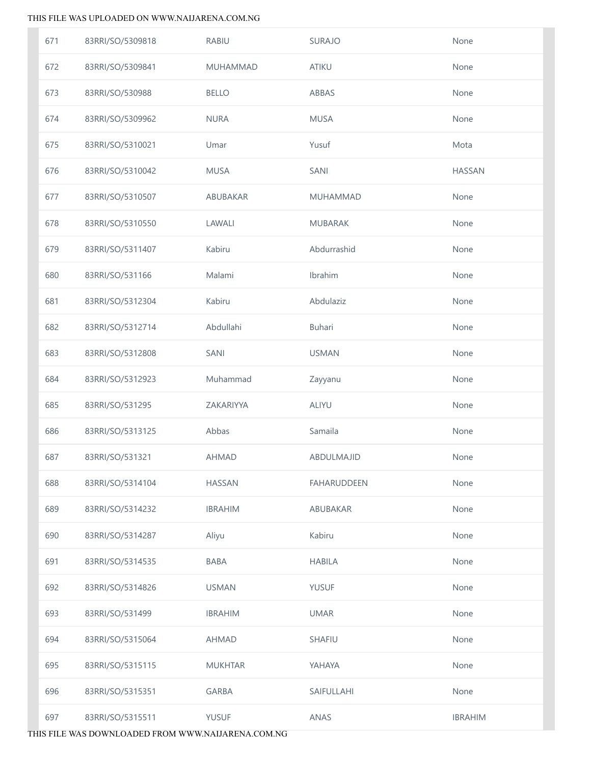| 671 | 83RRI/SO/5309818 | <b>RABIU</b>    | <b>SURAJO</b>      | None           |
|-----|------------------|-----------------|--------------------|----------------|
| 672 | 83RRI/SO/5309841 | <b>MUHAMMAD</b> | <b>ATIKU</b>       | None           |
| 673 | 83RRI/SO/530988  | <b>BELLO</b>    | ABBAS              | None           |
| 674 | 83RRI/SO/5309962 | <b>NURA</b>     | <b>MUSA</b>        | None           |
| 675 | 83RRI/SO/5310021 | Umar            | Yusuf              | Mota           |
| 676 | 83RRI/SO/5310042 | <b>MUSA</b>     | SANI               | <b>HASSAN</b>  |
| 677 | 83RRI/SO/5310507 | ABUBAKAR        | <b>MUHAMMAD</b>    | None           |
| 678 | 83RRI/SO/5310550 | LAWALI          | <b>MUBARAK</b>     | None           |
| 679 | 83RRI/SO/5311407 | Kabiru          | Abdurrashid        | None           |
| 680 | 83RRI/SO/531166  | Malami          | Ibrahim            | None           |
| 681 | 83RRI/SO/5312304 | Kabiru          | Abdulaziz          | None           |
| 682 | 83RRI/SO/5312714 | Abdullahi       | Buhari             | None           |
| 683 | 83RRI/SO/5312808 | SANI            | <b>USMAN</b>       | None           |
| 684 | 83RRI/SO/5312923 | Muhammad        | Zayyanu            | None           |
| 685 | 83RRI/SO/531295  | ZAKARIYYA       | <b>ALIYU</b>       | None           |
| 686 | 83RRI/SO/5313125 | Abbas           | Samaila            | None           |
| 687 | 83RRI/SO/531321  | <b>AHMAD</b>    | ABDULMAJID         | None           |
| 688 | 83RRI/SO/5314104 | <b>HASSAN</b>   | <b>FAHARUDDEEN</b> | None           |
| 689 | 83RRI/SO/5314232 | <b>IBRAHIM</b>  | ABUBAKAR           | None           |
| 690 | 83RRI/SO/5314287 | Aliyu           | Kabiru             | None           |
| 691 | 83RRI/SO/5314535 | <b>BABA</b>     | <b>HABILA</b>      | None           |
| 692 | 83RRI/SO/5314826 | <b>USMAN</b>    | <b>YUSUF</b>       | None           |
| 693 | 83RRI/SO/531499  | <b>IBRAHIM</b>  | <b>UMAR</b>        | None           |
| 694 | 83RRI/SO/5315064 | <b>AHMAD</b>    | SHAFIU             | None           |
| 695 | 83RRI/SO/5315115 | <b>MUKHTAR</b>  | YAHAYA             | None           |
| 696 | 83RRI/SO/5315351 | <b>GARBA</b>    | SAIFULLAHI         | None           |
| 697 | 83RRI/SO/5315511 | YUSUF           | ANAS               | <b>IBRAHIM</b> |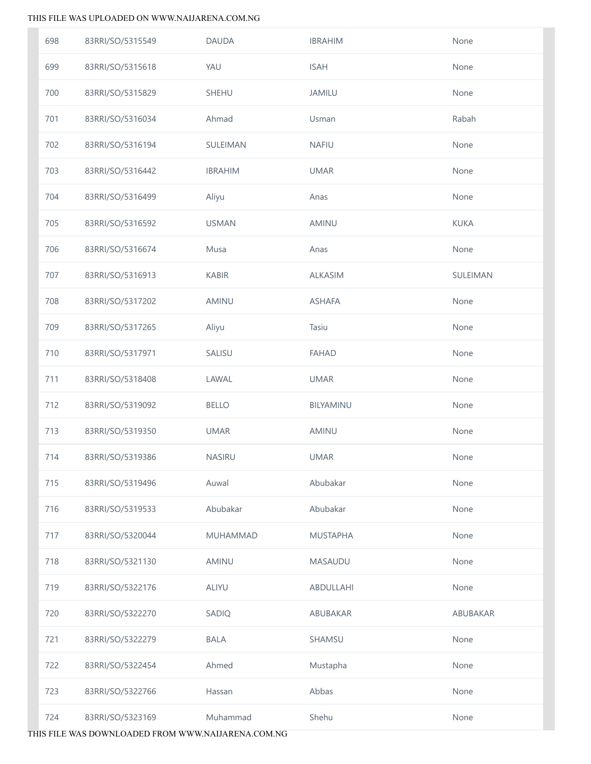| 698 | 83RRI/SO/5315549 | <b>DAUDA</b>    | <b>IBRAHIM</b>  | None        |
|-----|------------------|-----------------|-----------------|-------------|
| 699 | 83RRI/SO/5315618 | YAU             | <b>ISAH</b>     | None        |
| 700 | 83RRI/SO/5315829 | SHEHU           | <b>JAMILU</b>   | None        |
| 701 | 83RRI/SO/5316034 | Ahmad           | Usman           | Rabah       |
| 702 | 83RRI/SO/5316194 | SULEIMAN        | <b>NAFIU</b>    | None        |
| 703 | 83RRI/SO/5316442 | <b>IBRAHIM</b>  | <b>UMAR</b>     | None        |
| 704 | 83RRI/SO/5316499 | Aliyu           | Anas            | None        |
| 705 | 83RRI/SO/5316592 | <b>USMAN</b>    | <b>AMINU</b>    | <b>KUKA</b> |
| 706 | 83RRI/SO/5316674 | Musa            | Anas            | None        |
| 707 | 83RRI/SO/5316913 | <b>KABIR</b>    | <b>ALKASIM</b>  | SULEIMAN    |
| 708 | 83RRI/SO/5317202 | AMINU           | <b>ASHAFA</b>   | None        |
| 709 | 83RRI/SO/5317265 | Aliyu           | Tasiu           | None        |
| 710 | 83RRI/SO/5317971 | SALISU          | <b>FAHAD</b>    | None        |
| 711 | 83RRI/SO/5318408 | LAWAL           | <b>UMAR</b>     | None        |
| 712 | 83RRI/SO/5319092 | <b>BELLO</b>    | BILYAMINU       | None        |
| 713 | 83RRI/SO/5319350 | <b>UMAR</b>     | AMINU           | None        |
| 714 | 83RRI/SO/5319386 | NASIRU          | <b>UMAR</b>     | None        |
| 715 | 83RRI/SO/5319496 | Auwal           | Abubakar        | None        |
| 716 | 83RRI/SO/5319533 | Abubakar        | Abubakar        | None        |
| 717 | 83RRI/SO/5320044 | <b>MUHAMMAD</b> | <b>MUSTAPHA</b> | None        |
| 718 | 83RRI/SO/5321130 | AMINU           | MASAUDU         | None        |
| 719 | 83RRI/SO/5322176 | <b>ALIYU</b>    | ABDULLAHI       | None        |
| 720 | 83RRI/SO/5322270 | SADIQ           | ABUBAKAR        | ABUBAKAR    |
| 721 | 83RRI/SO/5322279 | <b>BALA</b>     | SHAMSU          | None        |
| 722 | 83RRI/SO/5322454 | Ahmed           | Mustapha        | None        |
| 723 | 83RRI/SO/5322766 | Hassan          | Abbas           | None        |
| 724 | 83RRI/SO/5323169 | Muhammad        | Shehu           | None        |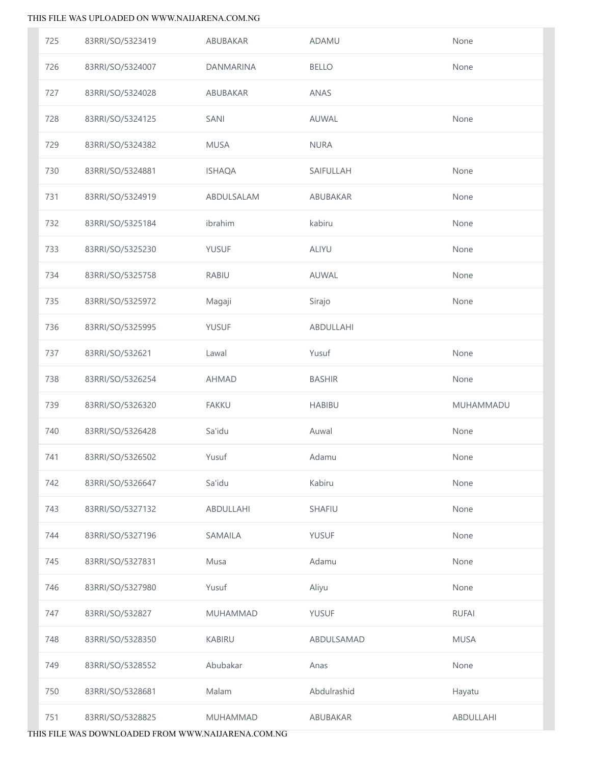| 725 | 83RRI/SO/5323419 | ABUBAKAR         | ADAMU         | None         |
|-----|------------------|------------------|---------------|--------------|
| 726 | 83RRI/SO/5324007 | <b>DANMARINA</b> | <b>BELLO</b>  | None         |
| 727 | 83RRI/SO/5324028 | ABUBAKAR         | ANAS          |              |
| 728 | 83RRI/SO/5324125 | SANI             | AUWAL         | None         |
| 729 | 83RRI/SO/5324382 | <b>MUSA</b>      | <b>NURA</b>   |              |
| 730 | 83RRI/SO/5324881 | <b>ISHAQA</b>    | SAIFULLAH     | None         |
| 731 | 83RRI/SO/5324919 | ABDULSALAM       | ABUBAKAR      | None         |
| 732 | 83RRI/SO/5325184 | ibrahim          | kabiru        | None         |
| 733 | 83RRI/SO/5325230 | <b>YUSUF</b>     | ALIYU         | None         |
| 734 | 83RRI/SO/5325758 | <b>RABIU</b>     | AUWAL         | None         |
| 735 | 83RRI/SO/5325972 | Magaji           | Sirajo        | None         |
| 736 | 83RRI/SO/5325995 | <b>YUSUF</b>     | ABDULLAHI     |              |
| 737 | 83RRI/SO/532621  | Lawal            | Yusuf         | None         |
| 738 | 83RRI/SO/5326254 | <b>AHMAD</b>     | <b>BASHIR</b> | None         |
| 739 | 83RRI/SO/5326320 | <b>FAKKU</b>     | <b>HABIBU</b> | MUHAMMADU    |
| 740 |                  | Sa'idu           | Auwal         | None         |
|     | 83RRI/SO/5326428 |                  |               |              |
| 741 | 83RRI/SO/5326502 | Yusuf            | Adamu         | None         |
| 742 | 83RRI/SO/5326647 | Sa'idu           | Kabiru        | None         |
| 743 | 83RRI/SO/5327132 | ABDULLAHI        | SHAFIU        | None         |
| 744 | 83RRI/SO/5327196 | SAMAILA          | <b>YUSUF</b>  | None         |
| 745 | 83RRI/SO/5327831 | Musa             | Adamu         | None         |
| 746 | 83RRI/SO/5327980 | Yusuf            | Aliyu         | None         |
| 747 | 83RRI/SO/532827  | MUHAMMAD         | <b>YUSUF</b>  | <b>RUFAI</b> |
| 748 | 83RRI/SO/5328350 | <b>KABIRU</b>    | ABDULSAMAD    | <b>MUSA</b>  |
| 749 | 83RRI/SO/5328552 | Abubakar         | Anas          | None         |
| 750 | 83RRI/SO/5328681 | Malam            | Abdulrashid   | Hayatu       |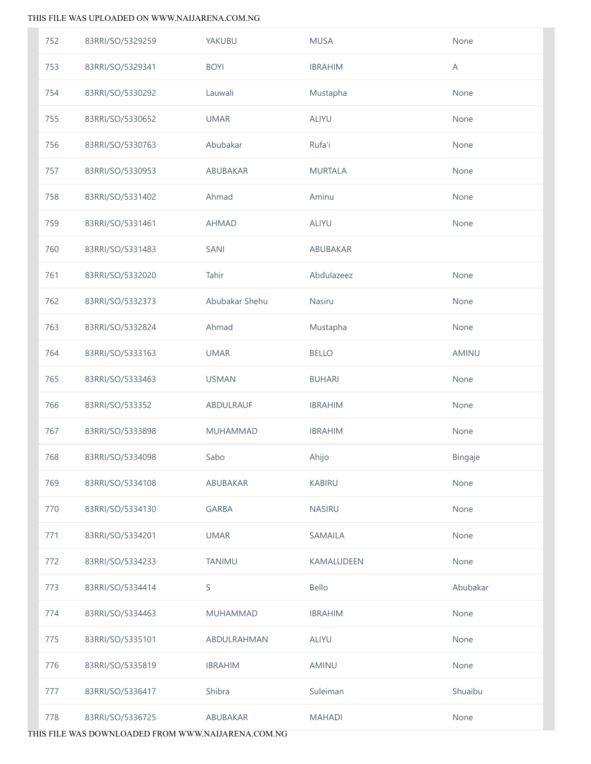| 752 | 83RRI/SO/5329259 | YAKUBU          | <b>MUSA</b>    | None     |
|-----|------------------|-----------------|----------------|----------|
| 753 | 83RRI/SO/5329341 | <b>BOYI</b>     | <b>IBRAHIM</b> | Α        |
| 754 | 83RRI/SO/5330292 | Lauwali         | Mustapha       | None     |
| 755 | 83RRI/SO/5330652 | <b>UMAR</b>     | <b>ALIYU</b>   | None     |
| 756 | 83RRI/SO/5330763 | Abubakar        | Rufa'i         | None     |
| 757 | 83RRI/SO/5330953 | ABUBAKAR        | <b>MURTALA</b> | None     |
| 758 | 83RRI/SO/5331402 | Ahmad           | Aminu          | None     |
| 759 | 83RRI/SO/5331461 | <b>AHMAD</b>    | <b>ALIYU</b>   | None     |
| 760 | 83RRI/SO/5331483 | SANI            | ABUBAKAR       |          |
| 761 | 83RRI/SO/5332020 | Tahir           | Abdulazeez     | None     |
| 762 | 83RRI/SO/5332373 | Abubakar Shehu  | Nasiru         | None     |
| 763 | 83RRI/SO/5332824 | Ahmad           | Mustapha       | None     |
| 764 | 83RRI/SO/5333163 | <b>UMAR</b>     | <b>BELLO</b>   | AMINU    |
| 765 | 83RRI/SO/5333463 | <b>USMAN</b>    | <b>BUHARI</b>  | None     |
| 766 | 83RRI/SO/533352  | ABDULRAUF       | <b>IBRAHIM</b> | None     |
| 767 | 83RRI/SO/5333898 | MUHAMMAD        | <b>IBRAHIM</b> | None     |
| 768 | 83RRI/SO/5334098 | Sabo            | Ahijo          | Bingaje  |
| 769 | 83RRI/SO/5334108 | ABUBAKAR        | <b>KABIRU</b>  | None     |
| 770 | 83RRI/SO/5334130 | <b>GARBA</b>    | <b>NASIRU</b>  | None     |
| 771 | 83RRI/SO/5334201 | <b>UMAR</b>     | <b>SAMAILA</b> | None     |
| 772 | 83RRI/SO/5334233 | <b>TANIMU</b>   | KAMALUDEEN     | None     |
| 773 | 83RRI/SO/5334414 | S               | Bello          | Abubakar |
| 774 | 83RRI/SO/5334463 | <b>MUHAMMAD</b> | <b>IBRAHIM</b> | None     |
| 775 | 83RRI/SO/5335101 | ABDULRAHMAN     | <b>ALIYU</b>   | None     |
| 776 | 83RRI/SO/5335819 | <b>IBRAHIM</b>  | AMINU          | None     |
| 777 | 83RRI/SO/5336417 | Shibra          | Suleiman       | Shuaibu  |
| 778 | 83RRI/SO/5336725 | ABUBAKAR        | <b>MAHADI</b>  | None     |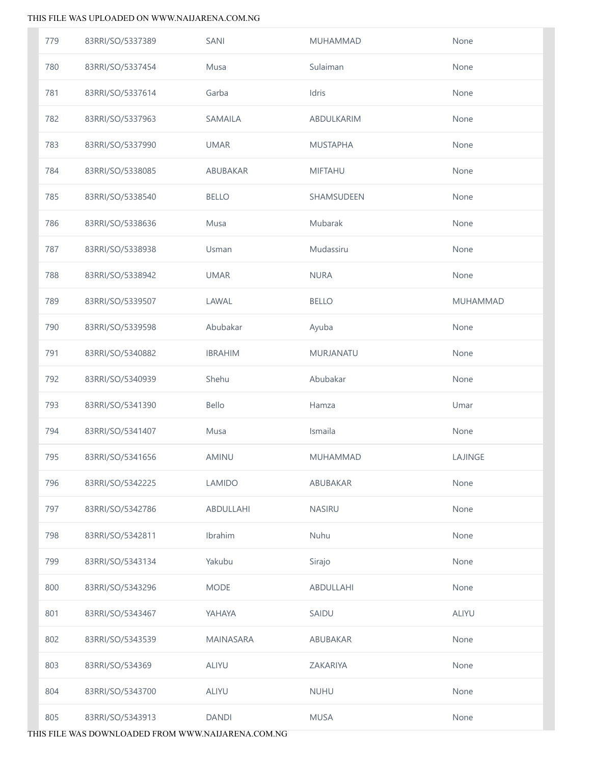| 779 | 83RRI/SO/5337389 | SANI           | <b>MUHAMMAD</b> | None            |
|-----|------------------|----------------|-----------------|-----------------|
| 780 | 83RRI/SO/5337454 | Musa           | Sulaiman        | None            |
| 781 | 83RRI/SO/5337614 | Garba          | Idris           | None            |
| 782 | 83RRI/SO/5337963 | <b>SAMAILA</b> | ABDULKARIM      | None            |
| 783 | 83RRI/SO/5337990 | <b>UMAR</b>    | <b>MUSTAPHA</b> | None            |
| 784 | 83RRI/SO/5338085 | ABUBAKAR       | <b>MIFTAHU</b>  | None            |
| 785 | 83RRI/SO/5338540 | <b>BELLO</b>   | SHAMSUDEEN      | None            |
| 786 | 83RRI/SO/5338636 | Musa           | Mubarak         | None            |
| 787 | 83RRI/SO/5338938 | Usman          | Mudassiru       | None            |
| 788 | 83RRI/SO/5338942 | <b>UMAR</b>    | <b>NURA</b>     | None            |
| 789 | 83RRI/SO/5339507 | LAWAL          | <b>BELLO</b>    | <b>MUHAMMAD</b> |
| 790 | 83RRI/SO/5339598 | Abubakar       | Ayuba           | None            |
| 791 | 83RRI/SO/5340882 | <b>IBRAHIM</b> | MURJANATU       | None            |
| 792 | 83RRI/SO/5340939 | Shehu          | Abubakar        | None            |
| 793 | 83RRI/SO/5341390 | Bello          | Hamza           | Umar            |
| 794 | 83RRI/SO/5341407 | Musa           | Ismaila         | None            |
| 795 | 83RRI/SO/5341656 | AMINU          | <b>MUHAMMAD</b> | LAJINGE         |
| 796 | 83RRI/SO/5342225 | <b>LAMIDO</b>  | ABUBAKAR        | None            |
| 797 | 83RRI/SO/5342786 | ABDULLAHI      | NASIRU          | None            |
| 798 | 83RRI/SO/5342811 | Ibrahim        | Nuhu            | None            |
| 799 | 83RRI/SO/5343134 | Yakubu         | Sirajo          | None            |
| 800 | 83RRI/SO/5343296 | <b>MODE</b>    | ABDULLAHI       | None            |
| 801 | 83RRI/SO/5343467 | YAHAYA         | SAIDU           | ALIYU           |
| 802 | 83RRI/SO/5343539 | MAINASARA      | ABUBAKAR        | None            |
| 803 | 83RRI/SO/534369  | ALIYU          | ZAKARIYA        | None            |
| 804 | 83RRI/SO/5343700 | <b>ALIYU</b>   | <b>NUHU</b>     | None            |
| 805 | 83RRI/SO/5343913 | <b>DANDI</b>   | <b>MUSA</b>     | None            |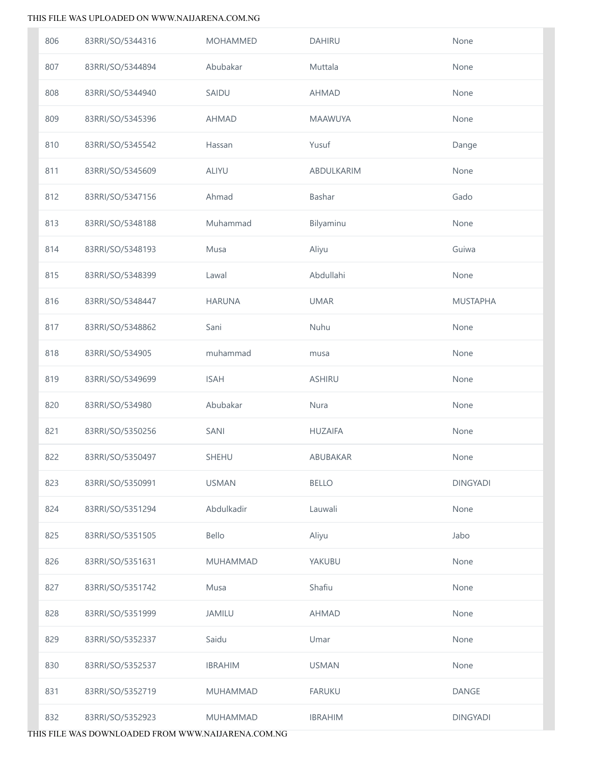| 806 | 83RRI/SO/5344316 | <b>MOHAMMED</b> | <b>DAHIRU</b>  | None            |
|-----|------------------|-----------------|----------------|-----------------|
| 807 | 83RRI/SO/5344894 | Abubakar        | Muttala        | None            |
| 808 | 83RRI/SO/5344940 | SAIDU           | <b>AHMAD</b>   | None            |
| 809 | 83RRI/SO/5345396 | <b>AHMAD</b>    | <b>MAAWUYA</b> | None            |
| 810 | 83RRI/SO/5345542 | Hassan          | Yusuf          | Dange           |
| 811 | 83RRI/SO/5345609 | ALIYU           | ABDULKARIM     | None            |
| 812 | 83RRI/SO/5347156 | Ahmad           | Bashar         | Gado            |
| 813 | 83RRI/SO/5348188 | Muhammad        | Bilyaminu      | None            |
| 814 | 83RRI/SO/5348193 | Musa            | Aliyu          | Guiwa           |
| 815 | 83RRI/SO/5348399 | Lawal           | Abdullahi      | None            |
| 816 | 83RRI/SO/5348447 | <b>HARUNA</b>   | <b>UMAR</b>    | <b>MUSTAPHA</b> |
| 817 | 83RRI/SO/5348862 | Sani            | Nuhu           | None            |
| 818 | 83RRI/SO/534905  | muhammad        | musa           | None            |
| 819 | 83RRI/SO/5349699 | <b>ISAH</b>     | <b>ASHIRU</b>  | None            |
| 820 | 83RRI/SO/534980  | Abubakar        | Nura           | None            |
| 821 | 83RRI/SO/5350256 | SANI            | <b>HUZAIFA</b> | None            |
| 822 | 83RRI/SO/5350497 | SHEHU           | ABUBAKAR       | None            |
| 823 | 83RRI/SO/5350991 | <b>USMAN</b>    | <b>BELLO</b>   | <b>DINGYADI</b> |
| 824 | 83RRI/SO/5351294 | Abdulkadir      | Lauwali        | None            |
| 825 | 83RRI/SO/5351505 | Bello           | Aliyu          | Jabo            |
| 826 | 83RRI/SO/5351631 | <b>MUHAMMAD</b> | YAKUBU         | None            |
| 827 | 83RRI/SO/5351742 | Musa            | Shafiu         | None            |
| 828 | 83RRI/SO/5351999 | <b>JAMILU</b>   | <b>AHMAD</b>   | None            |
| 829 | 83RRI/SO/5352337 | Saidu           | Umar           | None            |
| 830 | 83RRI/SO/5352537 | <b>IBRAHIM</b>  | <b>USMAN</b>   | None            |
| 831 | 83RRI/SO/5352719 | <b>MUHAMMAD</b> | <b>FARUKU</b>  | <b>DANGE</b>    |
| 832 | 83RRI/SO/5352923 | <b>MUHAMMAD</b> | <b>IBRAHIM</b> | <b>DINGYADI</b> |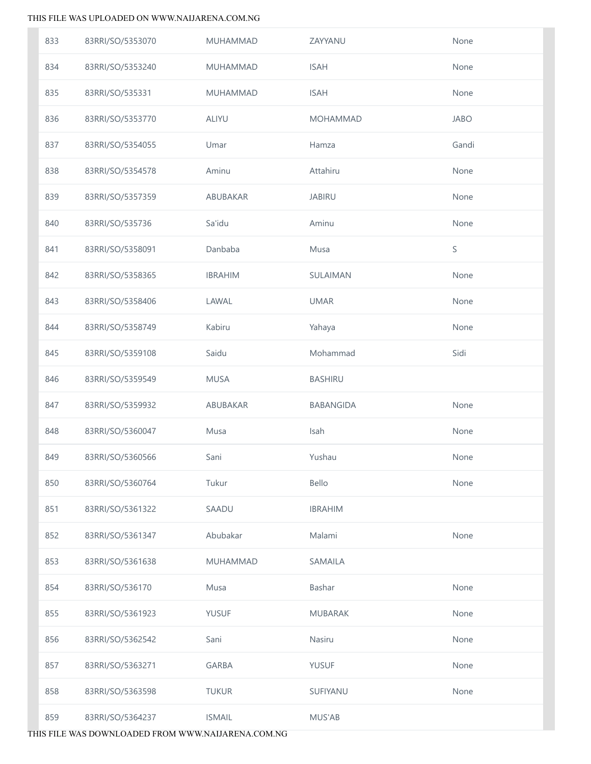| 833 | 83RRI/SO/5353070 | MUHAMMAD        | ZAYYANU         | None        |
|-----|------------------|-----------------|-----------------|-------------|
| 834 | 83RRI/SO/5353240 | MUHAMMAD        | <b>ISAH</b>     | None        |
| 835 | 83RRI/SO/535331  | MUHAMMAD        | <b>ISAH</b>     | None        |
| 836 | 83RRI/SO/5353770 | ALIYU           | <b>MOHAMMAD</b> | <b>JABO</b> |
| 837 | 83RRI/SO/5354055 | Umar            | Hamza           | Gandi       |
| 838 | 83RRI/SO/5354578 | Aminu           | Attahiru        | None        |
| 839 | 83RRI/SO/5357359 | ABUBAKAR        | <b>JABIRU</b>   | None        |
| 840 | 83RRI/SO/535736  | Sa'idu          | Aminu           | None        |
| 841 | 83RRI/SO/5358091 | Danbaba         | Musa            | $\mathsf S$ |
| 842 | 83RRI/SO/5358365 | <b>IBRAHIM</b>  | SULAIMAN        | None        |
| 843 | 83RRI/SO/5358406 | LAWAL           | <b>UMAR</b>     | None        |
| 844 | 83RRI/SO/5358749 | Kabiru          | Yahaya          | None        |
| 845 | 83RRI/SO/5359108 | Saidu           | Mohammad        | Sidi        |
| 846 | 83RRI/SO/5359549 | <b>MUSA</b>     | <b>BASHIRU</b>  |             |
| 847 | 83RRI/SO/5359932 | ABUBAKAR        | BABANGIDA       | None        |
| 848 | 83RRI/SO/5360047 | Musa            | Isah            | None        |
| 849 | 83RRI/SO/5360566 | Sani            | Yushau          | None        |
| 850 | 83RRI/SO/5360764 | Tukur           | Bello           | None        |
| 851 | 83RRI/SO/5361322 | SAADU           | <b>IBRAHIM</b>  |             |
| 852 | 83RRI/SO/5361347 | Abubakar        | Malami          | None        |
| 853 | 83RRI/SO/5361638 | <b>MUHAMMAD</b> | SAMAILA         |             |
| 854 | 83RRI/SO/536170  | Musa            | Bashar          | None        |
| 855 | 83RRI/SO/5361923 | <b>YUSUF</b>    | <b>MUBARAK</b>  | None        |
| 856 | 83RRI/SO/5362542 | Sani            | Nasiru          | None        |
| 857 | 83RRI/SO/5363271 | <b>GARBA</b>    | <b>YUSUF</b>    | None        |
| 858 | 83RRI/SO/5363598 | <b>TUKUR</b>    | SUFIYANU        | None        |
| 859 | 83RRI/SO/5364237 | <b>ISMAIL</b>   | MUS'AB          |             |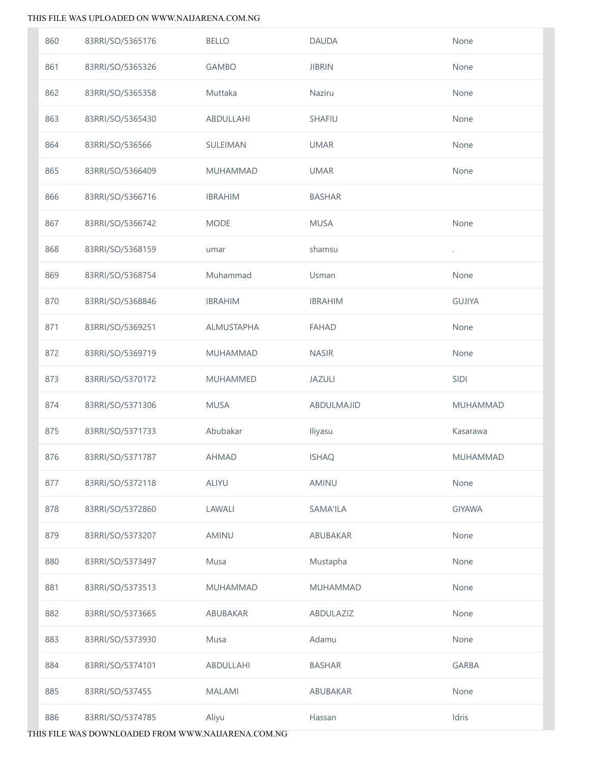| 860 | 83RRI/SO/5365176 | <b>BELLO</b>      | <b>DAUDA</b>    | None            |
|-----|------------------|-------------------|-----------------|-----------------|
| 861 | 83RRI/SO/5365326 | <b>GAMBO</b>      | <b>JIBRIN</b>   | None            |
| 862 | 83RRI/SO/5365358 | Muttaka           | Naziru          | None            |
| 863 | 83RRI/SO/5365430 | ABDULLAHI         | <b>SHAFIU</b>   | None            |
| 864 | 83RRI/SO/536566  | SULEIMAN          | <b>UMAR</b>     | None            |
| 865 | 83RRI/SO/5366409 | <b>MUHAMMAD</b>   | <b>UMAR</b>     | None            |
| 866 | 83RRI/SO/5366716 | <b>IBRAHIM</b>    | <b>BASHAR</b>   |                 |
| 867 | 83RRI/SO/5366742 | <b>MODE</b>       | <b>MUSA</b>     | None            |
| 868 | 83RRI/SO/5368159 | umar              | shamsu          | $\cdot$         |
| 869 | 83RRI/SO/5368754 | Muhammad          | Usman           | None            |
| 870 | 83RRI/SO/5368846 | <b>IBRAHIM</b>    | <b>IBRAHIM</b>  | <b>GUJIYA</b>   |
| 871 | 83RRI/SO/5369251 | <b>ALMUSTAPHA</b> | <b>FAHAD</b>    | None            |
| 872 | 83RRI/SO/5369719 | MUHAMMAD          | <b>NASIR</b>    | None            |
| 873 | 83RRI/SO/5370172 | <b>MUHAMMED</b>   | <b>JAZULI</b>   | SIDI            |
| 874 | 83RRI/SO/5371306 | <b>MUSA</b>       | ABDULMAJID      | MUHAMMAD        |
| 875 | 83RRI/SO/5371733 | Abubakar          | Iliyasu         | Kasarawa        |
| 876 | 83RRI/SO/5371787 | <b>AHMAD</b>      | <b>ISHAQ</b>    | <b>MUHAMMAD</b> |
| 877 | 83RRI/SO/5372118 | <b>ALIYU</b>      | AMINU           | None            |
| 878 | 83RRI/SO/5372860 | LAWALI            | <b>SAMA'ILA</b> | <b>GIYAWA</b>   |
| 879 | 83RRI/SO/5373207 | AMINU             | ABUBAKAR        | None            |
| 880 | 83RRI/SO/5373497 | Musa              | Mustapha        | None            |
| 881 | 83RRI/SO/5373513 | <b>MUHAMMAD</b>   | <b>MUHAMMAD</b> | None            |
| 882 | 83RRI/SO/5373665 | ABUBAKAR          | ABDULAZIZ       | None            |
| 883 | 83RRI/SO/5373930 | Musa              | Adamu           | None            |
| 884 | 83RRI/SO/5374101 | ABDULLAHI         | <b>BASHAR</b>   | <b>GARBA</b>    |
| 885 | 83RRI/SO/537455  | <b>MALAMI</b>     | ABUBAKAR        | None            |
| 886 | 83RRI/SO/5374785 | Aliyu             | Hassan          | Idris           |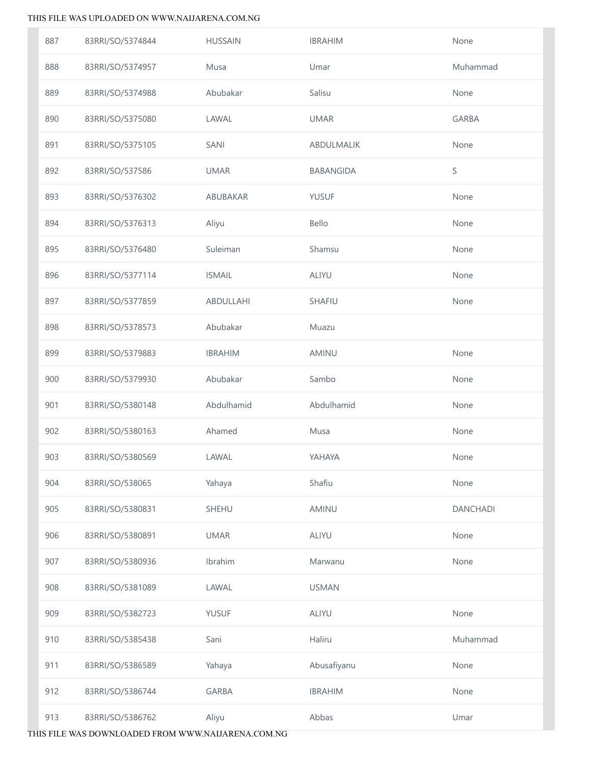| 887 | 83RRI/SO/5374844 | <b>HUSSAIN</b> | <b>IBRAHIM</b>    | None            |
|-----|------------------|----------------|-------------------|-----------------|
| 888 | 83RRI/SO/5374957 | Musa           | Umar              | Muhammad        |
| 889 | 83RRI/SO/5374988 | Abubakar       | Salisu            | None            |
| 890 | 83RRI/SO/5375080 | LAWAL          | <b>UMAR</b>       | <b>GARBA</b>    |
| 891 | 83RRI/SO/5375105 | SANI           | <b>ABDULMALIK</b> | None            |
| 892 | 83RRI/SO/537586  | <b>UMAR</b>    | <b>BABANGIDA</b>  | S               |
| 893 | 83RRI/SO/5376302 | ABUBAKAR       | <b>YUSUF</b>      | None            |
| 894 | 83RRI/SO/5376313 | Aliyu          | Bello             | None            |
| 895 | 83RRI/SO/5376480 | Suleiman       | Shamsu            | None            |
| 896 | 83RRI/SO/5377114 | <b>ISMAIL</b>  | <b>ALIYU</b>      | None            |
| 897 | 83RRI/SO/5377859 | ABDULLAHI      | <b>SHAFIU</b>     | None            |
| 898 | 83RRI/SO/5378573 | Abubakar       | Muazu             |                 |
| 899 | 83RRI/SO/5379883 | <b>IBRAHIM</b> | AMINU             | None            |
| 900 | 83RRI/SO/5379930 | Abubakar       | Sambo             | None            |
| 901 | 83RRI/SO/5380148 | Abdulhamid     | Abdulhamid        | None            |
| 902 | 83RRI/SO/5380163 | Ahamed         | Musa              | None            |
| 903 | 83RRI/SO/5380569 | LAWAL          | YAHAYA            | None            |
| 904 | 83RRI/SO/538065  | Yahaya         | Shafiu            | None            |
| 905 | 83RRI/SO/5380831 | <b>SHEHU</b>   | AMINU             | <b>DANCHADI</b> |
| 906 | 83RRI/SO/5380891 | <b>UMAR</b>    | <b>ALIYU</b>      | None            |
| 907 | 83RRI/SO/5380936 | Ibrahim        | Marwanu           | None            |
| 908 | 83RRI/SO/5381089 | LAWAL          | <b>USMAN</b>      |                 |
| 909 | 83RRI/SO/5382723 | <b>YUSUF</b>   | <b>ALIYU</b>      | None            |
| 910 | 83RRI/SO/5385438 | Sani           | Haliru            | Muhammad        |
| 911 | 83RRI/SO/5386589 | Yahaya         | Abusafiyanu       | None            |
| 912 | 83RRI/SO/5386744 | <b>GARBA</b>   | <b>IBRAHIM</b>    | None            |
| 913 | 83RRI/SO/5386762 | Aliyu          | Abbas             | Umar            |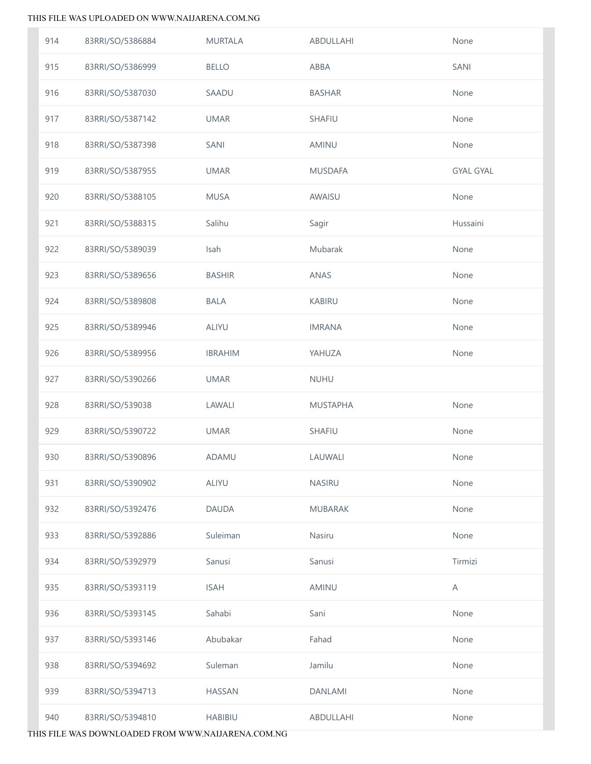| 914 | 83RRI/SO/5386884 | <b>MURTALA</b> | ABDULLAHI       | None             |
|-----|------------------|----------------|-----------------|------------------|
| 915 | 83RRI/SO/5386999 | <b>BELLO</b>   | ABBA            | SANI             |
| 916 | 83RRI/SO/5387030 | SAADU          | <b>BASHAR</b>   | None             |
| 917 | 83RRI/SO/5387142 | <b>UMAR</b>    | SHAFIU          | None             |
| 918 | 83RRI/SO/5387398 | SANI           | AMINU           | None             |
| 919 | 83RRI/SO/5387955 | <b>UMAR</b>    | <b>MUSDAFA</b>  | <b>GYAL GYAL</b> |
| 920 | 83RRI/SO/5388105 | <b>MUSA</b>    | AWAISU          | None             |
| 921 | 83RRI/SO/5388315 | Salihu         | Sagir           | Hussaini         |
| 922 | 83RRI/SO/5389039 | Isah           | Mubarak         | None             |
| 923 | 83RRI/SO/5389656 | <b>BASHIR</b>  | <b>ANAS</b>     | None             |
| 924 | 83RRI/SO/5389808 | <b>BALA</b>    | <b>KABIRU</b>   | None             |
| 925 | 83RRI/SO/5389946 | ALIYU          | <b>IMRANA</b>   | None             |
| 926 | 83RRI/SO/5389956 | <b>IBRAHIM</b> | YAHUZA          | None             |
| 927 | 83RRI/SO/5390266 | <b>UMAR</b>    | <b>NUHU</b>     |                  |
| 928 | 83RRI/SO/539038  | LAWALI         | <b>MUSTAPHA</b> | None             |
| 929 | 83RRI/SO/5390722 | <b>UMAR</b>    | SHAFIU          | None             |
| 930 | 83RRI/SO/5390896 | ADAMU          | LAUWALI         | None             |
| 931 | 83RRI/SO/5390902 | <b>ALIYU</b>   | <b>NASIRU</b>   | None             |
| 932 | 83RRI/SO/5392476 | <b>DAUDA</b>   | <b>MUBARAK</b>  | None             |
| 933 | 83RRI/SO/5392886 | Suleiman       | Nasiru          | None             |
| 934 | 83RRI/SO/5392979 | Sanusi         | Sanusi          | Tirmizi          |
| 935 | 83RRI/SO/5393119 | <b>ISAH</b>    | <b>AMINU</b>    | Α                |
| 936 | 83RRI/SO/5393145 | Sahabi         | Sani            | None             |
| 937 | 83RRI/SO/5393146 | Abubakar       | Fahad           | None             |
| 938 | 83RRI/SO/5394692 | Suleman        | Jamilu          | None             |
| 939 | 83RRI/SO/5394713 | <b>HASSAN</b>  | <b>DANLAMI</b>  | None             |
| 940 | 83RRI/SO/5394810 | <b>HABIBIU</b> | ABDULLAHI       | None             |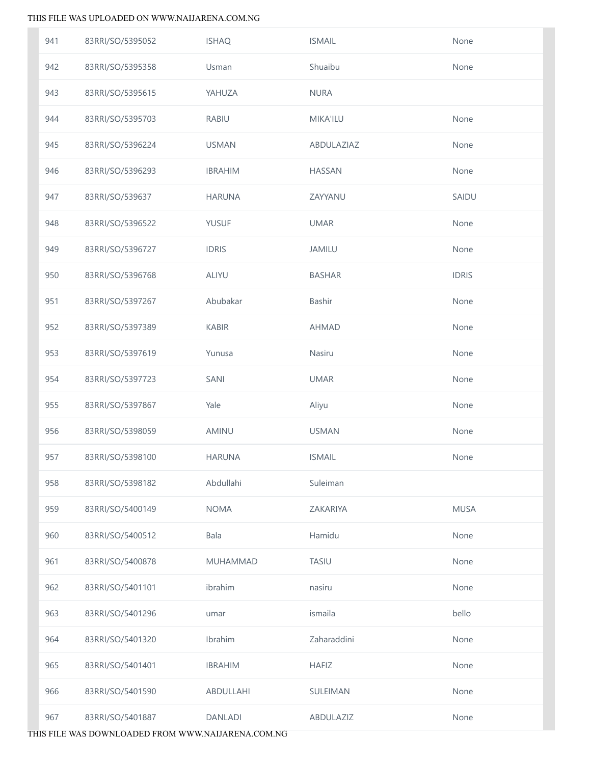| 941 | 83RRI/SO/5395052 | <b>ISHAQ</b>    | <b>ISMAIL</b>   | None         |
|-----|------------------|-----------------|-----------------|--------------|
| 942 | 83RRI/SO/5395358 | Usman           | Shuaibu         | None         |
| 943 | 83RRI/SO/5395615 | YAHUZA          | <b>NURA</b>     |              |
| 944 | 83RRI/SO/5395703 | <b>RABIU</b>    | <b>MIKA'ILU</b> | None         |
| 945 | 83RRI/SO/5396224 | <b>USMAN</b>    | ABDULAZIAZ      | None         |
| 946 | 83RRI/SO/5396293 | <b>IBRAHIM</b>  | <b>HASSAN</b>   | None         |
| 947 | 83RRI/SO/539637  | <b>HARUNA</b>   | ZAYYANU         | SAIDU        |
| 948 | 83RRI/SO/5396522 | <b>YUSUF</b>    | <b>UMAR</b>     | None         |
| 949 | 83RRI/SO/5396727 | <b>IDRIS</b>    | <b>JAMILU</b>   | None         |
| 950 | 83RRI/SO/5396768 | ALIYU           | <b>BASHAR</b>   | <b>IDRIS</b> |
| 951 | 83RRI/SO/5397267 | Abubakar        | Bashir          | None         |
| 952 | 83RRI/SO/5397389 | <b>KABIR</b>    | <b>AHMAD</b>    | None         |
| 953 | 83RRI/SO/5397619 | Yunusa          | Nasiru          | None         |
| 954 | 83RRI/SO/5397723 | SANI            | <b>UMAR</b>     | None         |
| 955 | 83RRI/SO/5397867 | Yale            | Aliyu           | None         |
| 956 | 83RRI/SO/5398059 | AMINU           | <b>USMAN</b>    | None         |
| 957 | 83RRI/SO/5398100 | <b>HARUNA</b>   | <b>ISMAIL</b>   | None         |
| 958 | 83RRI/SO/5398182 | Abdullahi       | Suleiman        |              |
| 959 | 83RRI/SO/5400149 | <b>NOMA</b>     | ZAKARIYA        | <b>MUSA</b>  |
| 960 | 83RRI/SO/5400512 | Bala            | Hamidu          | None         |
| 961 | 83RRI/SO/5400878 | <b>MUHAMMAD</b> | <b>TASIU</b>    | None         |
| 962 | 83RRI/SO/5401101 | ibrahim         | nasiru          | None         |
| 963 | 83RRI/SO/5401296 | umar            | ismaila         | bello        |
| 964 | 83RRI/SO/5401320 | Ibrahim         | Zaharaddini     | None         |
| 965 | 83RRI/SO/5401401 | <b>IBRAHIM</b>  | <b>HAFIZ</b>    | None         |
| 966 | 83RRI/SO/5401590 | ABDULLAHI       | SULEIMAN        | None         |
| 967 | 83RRI/SO/5401887 | <b>DANLADI</b>  | ABDULAZIZ       | None         |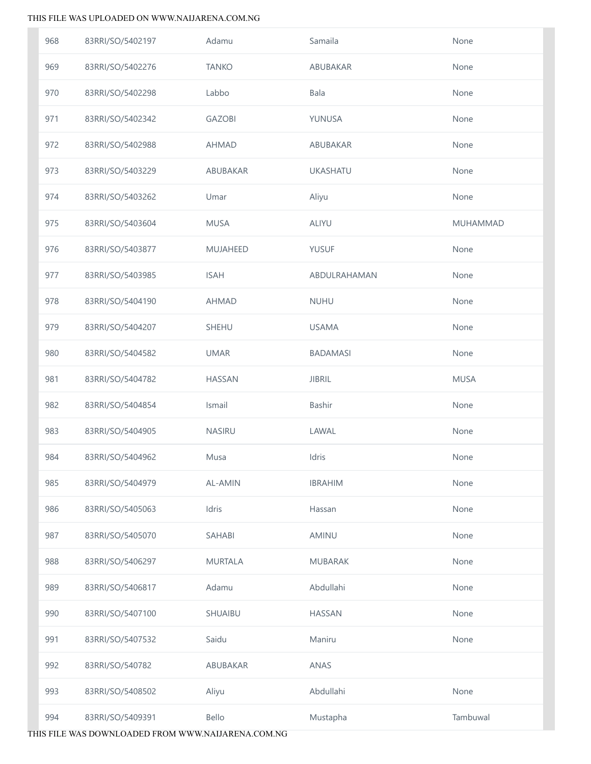| 968 | 83RRI/SO/5402197 | Adamu          | Samaila         | None        |
|-----|------------------|----------------|-----------------|-------------|
| 969 | 83RRI/SO/5402276 | <b>TANKO</b>   | ABUBAKAR        | None        |
| 970 | 83RRI/SO/5402298 | Labbo          | Bala            | None        |
| 971 | 83RRI/SO/5402342 | <b>GAZOBI</b>  | YUNUSA          | None        |
| 972 | 83RRI/SO/5402988 | <b>AHMAD</b>   | ABUBAKAR        | None        |
| 973 | 83RRI/SO/5403229 | ABUBAKAR       | <b>UKASHATU</b> | None        |
| 974 | 83RRI/SO/5403262 | Umar           | Aliyu           | None        |
| 975 | 83RRI/SO/5403604 | <b>MUSA</b>    | <b>ALIYU</b>    | MUHAMMAD    |
| 976 | 83RRI/SO/5403877 | MUJAHEED       | <b>YUSUF</b>    | None        |
| 977 | 83RRI/SO/5403985 | <b>ISAH</b>    | ABDULRAHAMAN    | None        |
| 978 | 83RRI/SO/5404190 | <b>AHMAD</b>   | <b>NUHU</b>     | None        |
| 979 | 83RRI/SO/5404207 | <b>SHEHU</b>   | <b>USAMA</b>    | None        |
| 980 | 83RRI/SO/5404582 | <b>UMAR</b>    | <b>BADAMASI</b> | None        |
| 981 | 83RRI/SO/5404782 | HASSAN         | <b>JIBRIL</b>   | <b>MUSA</b> |
| 982 | 83RRI/SO/5404854 | Ismail         | Bashir          | None        |
| 983 | 83RRI/SO/5404905 | NASIRU         | LAWAL           | None        |
| 984 | 83RRI/SO/5404962 | Musa           | Idris           | None        |
| 985 | 83RRI/SO/5404979 | AL-AMIN        | <b>IBRAHIM</b>  | None        |
| 986 | 83RRI/SO/5405063 | Idris          | Hassan          | None        |
| 987 | 83RRI/SO/5405070 | SAHABI         | AMINU           | None        |
| 988 | 83RRI/SO/5406297 | <b>MURTALA</b> | <b>MUBARAK</b>  | None        |
| 989 | 83RRI/SO/5406817 | Adamu          | Abdullahi       | None        |
| 990 | 83RRI/SO/5407100 | SHUAIBU        | <b>HASSAN</b>   | None        |
| 991 | 83RRI/SO/5407532 | Saidu          | Maniru          | None        |
| 992 | 83RRI/SO/540782  | ABUBAKAR       | ANAS            |             |
| 993 | 83RRI/SO/5408502 | Aliyu          | Abdullahi       | None        |
| 994 | 83RRI/SO/5409391 | Bello          | Mustapha        | Tambuwal    |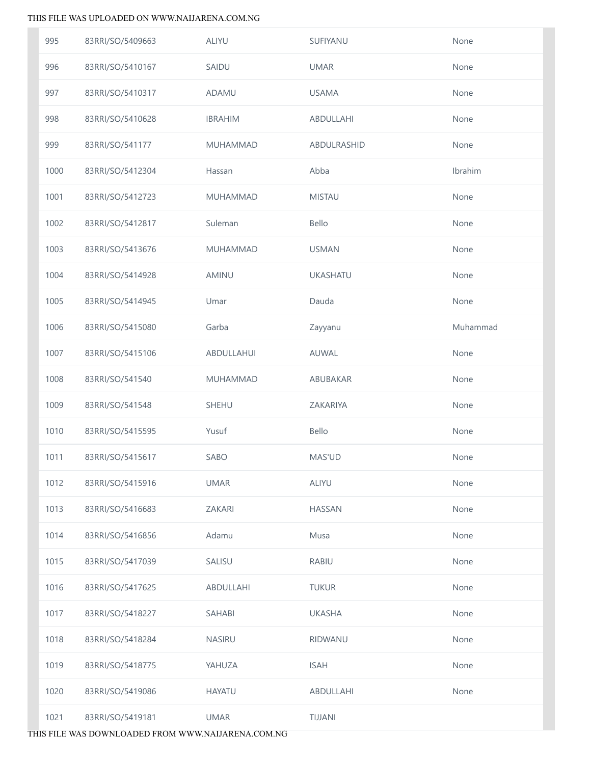| 995  | 83RRI/SO/5409663 | <b>ALIYU</b>   | SUFIYANU        | None     |
|------|------------------|----------------|-----------------|----------|
| 996  | 83RRI/SO/5410167 | SAIDU          | <b>UMAR</b>     | None     |
| 997  | 83RRI/SO/5410317 | <b>ADAMU</b>   | <b>USAMA</b>    | None     |
| 998  | 83RRI/SO/5410628 | <b>IBRAHIM</b> | ABDULLAHI       | None     |
| 999  | 83RRI/SO/541177  | MUHAMMAD       | ABDULRASHID     | None     |
| 1000 | 83RRI/SO/5412304 | Hassan         | Abba            | Ibrahim  |
| 1001 | 83RRI/SO/5412723 | MUHAMMAD       | <b>MISTAU</b>   | None     |
| 1002 | 83RRI/SO/5412817 | Suleman        | Bello           | None     |
| 1003 | 83RRI/SO/5413676 | MUHAMMAD       | <b>USMAN</b>    | None     |
| 1004 | 83RRI/SO/5414928 | AMINU          | <b>UKASHATU</b> | None     |
| 1005 | 83RRI/SO/5414945 | Umar           | Dauda           | None     |
| 1006 | 83RRI/SO/5415080 | Garba          | Zayyanu         | Muhammad |
| 1007 | 83RRI/SO/5415106 | ABDULLAHUI     | AUWAL           | None     |
| 1008 | 83RRI/SO/541540  | MUHAMMAD       | ABUBAKAR        | None     |
| 1009 | 83RRI/SO/541548  | SHEHU          | ZAKARIYA        | None     |
| 1010 | 83RRI/SO/5415595 | Yusuf          | Bello           | None     |
| 1011 | 83RRI/SO/5415617 | SABO           | MAS'UD          | None     |
| 1012 | 83RRI/SO/5415916 | <b>UMAR</b>    | <b>ALIYU</b>    | None     |
| 1013 | 83RRI/SO/5416683 | ZAKARI         | <b>HASSAN</b>   | None     |
| 1014 | 83RRI/SO/5416856 | Adamu          | Musa            | None     |
| 1015 | 83RRI/SO/5417039 | SALISU         | <b>RABIU</b>    | None     |
| 1016 | 83RRI/SO/5417625 | ABDULLAHI      | <b>TUKUR</b>    | None     |
| 1017 | 83RRI/SO/5418227 | SAHABI         | <b>UKASHA</b>   | None     |
| 1018 | 83RRI/SO/5418284 | <b>NASIRU</b>  | RIDWANU         | None     |
| 1019 | 83RRI/SO/5418775 | YAHUZA         | <b>ISAH</b>     | None     |
| 1020 | 83RRI/SO/5419086 | <b>HAYATU</b>  | ABDULLAHI       | None     |
| 1021 | 83RRI/SO/5419181 | <b>UMAR</b>    | TIJJANI         |          |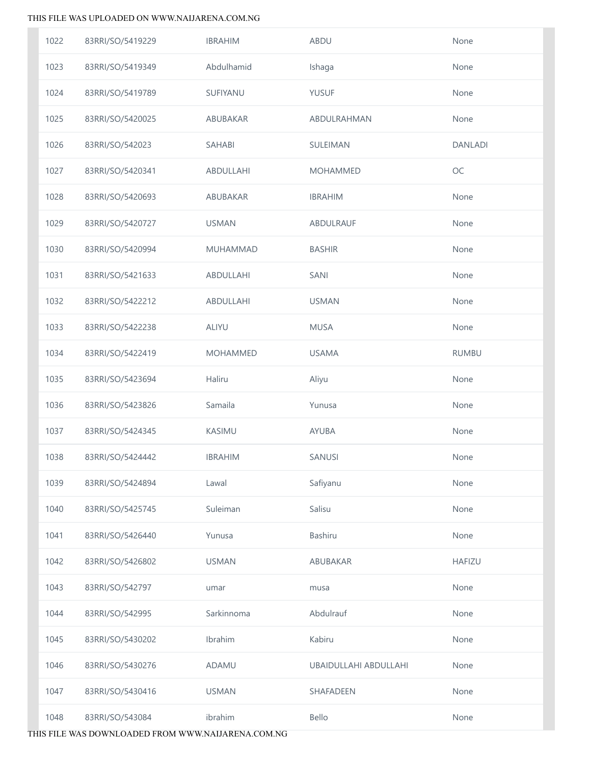| 1022 | 83RRI/SO/5419229 | <b>IBRAHIM</b> | ABDU                  | None           |
|------|------------------|----------------|-----------------------|----------------|
| 1023 | 83RRI/SO/5419349 | Abdulhamid     | Ishaga                | None           |
| 1024 | 83RRI/SO/5419789 | SUFIYANU       | <b>YUSUF</b>          | None           |
| 1025 | 83RRI/SO/5420025 | ABUBAKAR       | ABDULRAHMAN           | None           |
| 1026 | 83RRI/SO/542023  | SAHABI         | SULEIMAN              | <b>DANLADI</b> |
| 1027 | 83RRI/SO/5420341 | ABDULLAHI      | <b>MOHAMMED</b>       | $OC$           |
| 1028 | 83RRI/SO/5420693 | ABUBAKAR       | <b>IBRAHIM</b>        | None           |
| 1029 | 83RRI/SO/5420727 | <b>USMAN</b>   | ABDULRAUF             | None           |
| 1030 | 83RRI/SO/5420994 | MUHAMMAD       | <b>BASHIR</b>         | None           |
| 1031 | 83RRI/SO/5421633 | ABDULLAHI      | SANI                  | None           |
| 1032 | 83RRI/SO/5422212 | ABDULLAHI      | <b>USMAN</b>          | None           |
| 1033 | 83RRI/SO/5422238 | ALIYU          | <b>MUSA</b>           | None           |
| 1034 | 83RRI/SO/5422419 | MOHAMMED       | <b>USAMA</b>          | <b>RUMBU</b>   |
| 1035 | 83RRI/SO/5423694 | Haliru         | Aliyu                 | None           |
| 1036 | 83RRI/SO/5423826 | Samaila        | Yunusa                | None           |
| 1037 | 83RRI/SO/5424345 | KASIMU         | AYUBA                 | None           |
| 1038 | 83RRI/SO/5424442 | <b>IBRAHIM</b> | SANUSI                | None           |
| 1039 | 83RRI/SO/5424894 | Lawal          | Safiyanu              | None           |
| 1040 | 83RRI/SO/5425745 | Suleiman       | Salisu                | None           |
| 1041 | 83RRI/SO/5426440 | Yunusa         | <b>Bashiru</b>        | None           |
| 1042 | 83RRI/SO/5426802 | <b>USMAN</b>   | ABUBAKAR              | <b>HAFIZU</b>  |
| 1043 | 83RRI/SO/542797  | umar           | musa                  | None           |
| 1044 | 83RRI/SO/542995  | Sarkinnoma     | Abdulrauf             | None           |
| 1045 | 83RRI/SO/5430202 | Ibrahim        | Kabiru                | None           |
| 1046 | 83RRI/SO/5430276 | ADAMU          | UBAIDULLAHI ABDULLAHI | None           |
| 1047 | 83RRI/SO/5430416 | <b>USMAN</b>   | SHAFADEEN             | None           |
| 1048 | 83RRI/SO/543084  | ibrahim        | Bello                 | None           |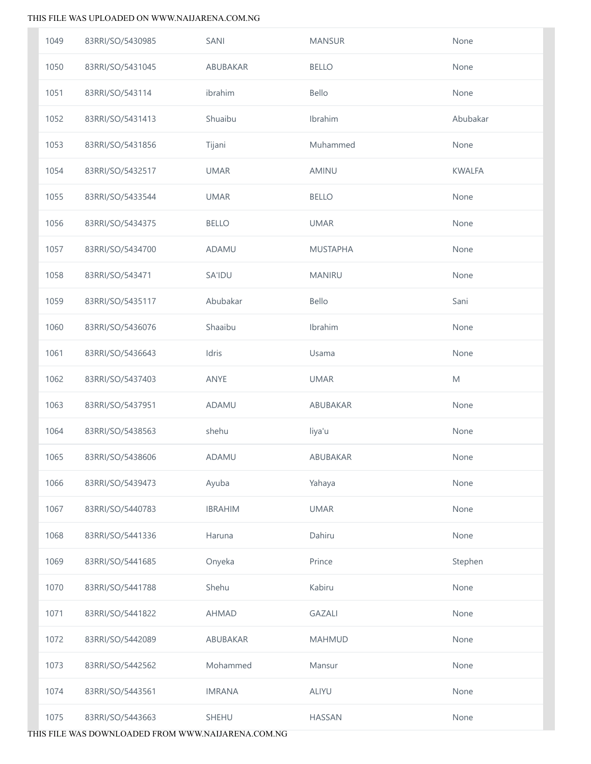| 1049 | 83RRI/SO/5430985 | SANI           | <b>MANSUR</b>   | None                                                                                                       |
|------|------------------|----------------|-----------------|------------------------------------------------------------------------------------------------------------|
| 1050 | 83RRI/SO/5431045 | ABUBAKAR       | <b>BELLO</b>    | None                                                                                                       |
| 1051 | 83RRI/SO/543114  | ibrahim        | Bello           | None                                                                                                       |
| 1052 | 83RRI/SO/5431413 | Shuaibu        | Ibrahim         | Abubakar                                                                                                   |
| 1053 | 83RRI/SO/5431856 | Tijani         | Muhammed        | None                                                                                                       |
| 1054 | 83RRI/SO/5432517 | <b>UMAR</b>    | AMINU           | <b>KWALFA</b>                                                                                              |
| 1055 | 83RRI/SO/5433544 | <b>UMAR</b>    | <b>BELLO</b>    | None                                                                                                       |
| 1056 | 83RRI/SO/5434375 | <b>BELLO</b>   | <b>UMAR</b>     | None                                                                                                       |
| 1057 | 83RRI/SO/5434700 | ADAMU          | <b>MUSTAPHA</b> | None                                                                                                       |
| 1058 | 83RRI/SO/543471  | <b>SA'IDU</b>  | <b>MANIRU</b>   | None                                                                                                       |
| 1059 | 83RRI/SO/5435117 | Abubakar       | Bello           | Sani                                                                                                       |
| 1060 | 83RRI/SO/5436076 | Shaaibu        | Ibrahim         | None                                                                                                       |
| 1061 | 83RRI/SO/5436643 | Idris          | Usama           | None                                                                                                       |
| 1062 | 83RRI/SO/5437403 | ANYE           | <b>UMAR</b>     | $\mathsf{M}% _{T}=\mathsf{M}_{T}\!\left( a,b\right) ,\ \mathsf{M}_{T}=\mathsf{M}_{T}\!\left( a,b\right) ,$ |
| 1063 | 83RRI/SO/5437951 | ADAMU          | ABUBAKAR        | None                                                                                                       |
| 1064 | 83RRI/SO/5438563 | shehu          | liya'u          | None                                                                                                       |
| 1065 | 83RRI/SO/5438606 | ADAMU          | ABUBAKAR        | None                                                                                                       |
| 1066 | 83RRI/SO/5439473 | Ayuba          | Yahaya          | None                                                                                                       |
| 1067 | 83RRI/SO/5440783 | <b>IBRAHIM</b> | <b>UMAR</b>     | None                                                                                                       |
| 1068 | 83RRI/SO/5441336 | Haruna         | Dahiru          | None                                                                                                       |
| 1069 | 83RRI/SO/5441685 | Onyeka         | Prince          | Stephen                                                                                                    |
| 1070 | 83RRI/SO/5441788 | Shehu          | Kabiru          | None                                                                                                       |
| 1071 | 83RRI/SO/5441822 | <b>AHMAD</b>   | <b>GAZALI</b>   | None                                                                                                       |
| 1072 | 83RRI/SO/5442089 | ABUBAKAR       | <b>MAHMUD</b>   | None                                                                                                       |
| 1073 | 83RRI/SO/5442562 | Mohammed       | Mansur          | None                                                                                                       |
| 1074 | 83RRI/SO/5443561 | <b>IMRANA</b>  | <b>ALIYU</b>    | None                                                                                                       |
| 1075 | 83RRI/SO/5443663 | SHEHU          | <b>HASSAN</b>   | None                                                                                                       |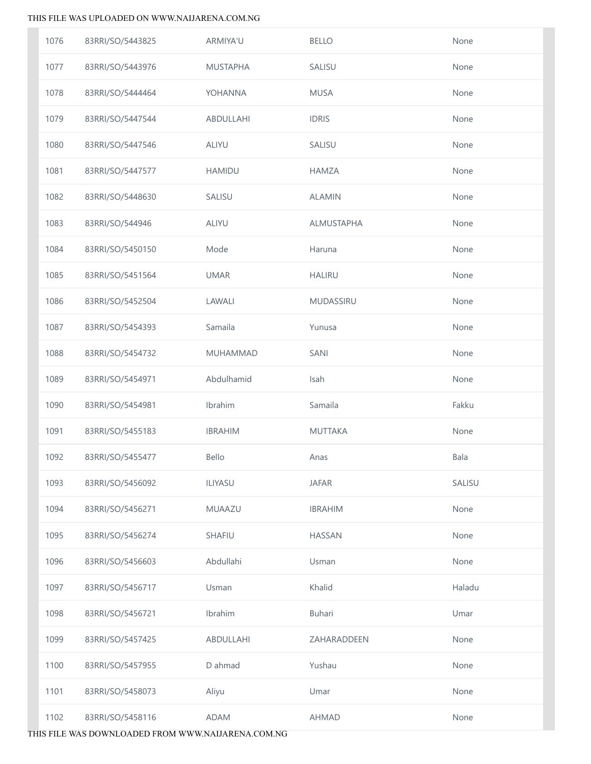| 1076 | 83RRI/SO/5443825 | ARMIYA'U        | <b>BELLO</b>      | None   |
|------|------------------|-----------------|-------------------|--------|
| 1077 | 83RRI/SO/5443976 | <b>MUSTAPHA</b> | SALISU            | None   |
| 1078 | 83RRI/SO/5444464 | YOHANNA         | <b>MUSA</b>       | None   |
| 1079 | 83RRI/SO/5447544 | ABDULLAHI       | <b>IDRIS</b>      | None   |
| 1080 | 83RRI/SO/5447546 | ALIYU           | SALISU            | None   |
| 1081 | 83RRI/SO/5447577 | <b>HAMIDU</b>   | <b>HAMZA</b>      | None   |
| 1082 | 83RRI/SO/5448630 | SALISU          | <b>ALAMIN</b>     | None   |
| 1083 | 83RRI/SO/544946  | ALIYU           | <b>ALMUSTAPHA</b> | None   |
| 1084 | 83RRI/SO/5450150 | Mode            | Haruna            | None   |
| 1085 | 83RRI/SO/5451564 | <b>UMAR</b>     | <b>HALIRU</b>     | None   |
| 1086 | 83RRI/SO/5452504 | LAWALI          | <b>MUDASSIRU</b>  | None   |
| 1087 | 83RRI/SO/5454393 | Samaila         | Yunusa            | None   |
| 1088 | 83RRI/SO/5454732 | MUHAMMAD        | SANI              | None   |
| 1089 | 83RRI/SO/5454971 | Abdulhamid      | Isah              | None   |
| 1090 | 83RRI/SO/5454981 | Ibrahim         | Samaila           | Fakku  |
| 1091 | 83RRI/SO/5455183 | <b>IBRAHIM</b>  | <b>MUTTAKA</b>    | None   |
| 1092 | 83RRI/SO/5455477 | Bello           | Anas              | Bala   |
| 1093 | 83RRI/SO/5456092 | ILIYASU         | <b>JAFAR</b>      | SALISU |
| 1094 | 83RRI/SO/5456271 | MUAAZU          | <b>IBRAHIM</b>    | None   |
| 1095 | 83RRI/SO/5456274 | <b>SHAFIU</b>   | <b>HASSAN</b>     | None   |
| 1096 | 83RRI/SO/5456603 | Abdullahi       | Usman             | None   |
| 1097 | 83RRI/SO/5456717 | Usman           | Khalid            | Haladu |
| 1098 | 83RRI/SO/5456721 | Ibrahim         | Buhari            | Umar   |
| 1099 | 83RRI/SO/5457425 | ABDULLAHI       | ZAHARADDEEN       | None   |
| 1100 | 83RRI/SO/5457955 | D ahmad         | Yushau            | None   |
| 1101 | 83RRI/SO/5458073 | Aliyu           | Umar              | None   |
| 1102 | 83RRI/SO/5458116 | <b>ADAM</b>     | <b>AHMAD</b>      | None   |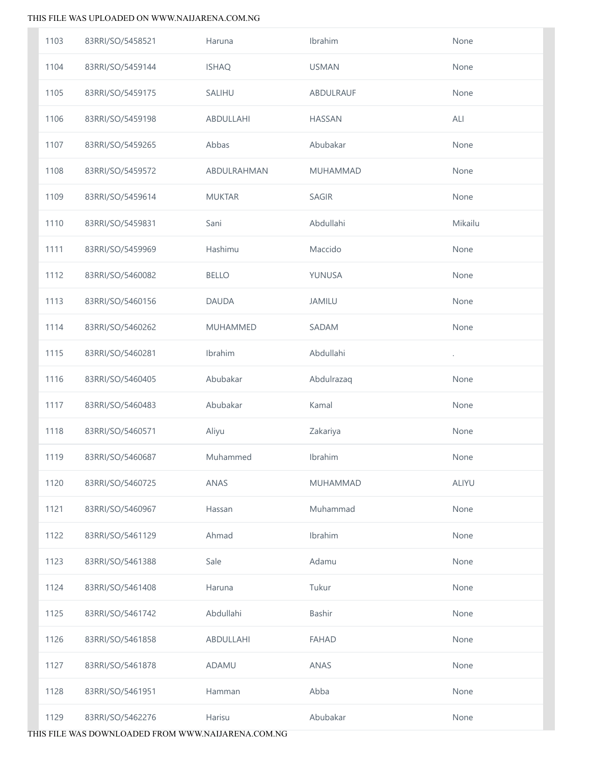| 1103 | 83RRI/SO/5458521 | Haruna          | Ibrahim         | None         |
|------|------------------|-----------------|-----------------|--------------|
| 1104 | 83RRI/SO/5459144 | <b>ISHAQ</b>    | <b>USMAN</b>    | None         |
| 1105 | 83RRI/SO/5459175 | <b>SALIHU</b>   | ABDULRAUF       | None         |
| 1106 | 83RRI/SO/5459198 | ABDULLAHI       | <b>HASSAN</b>   | ALI          |
| 1107 | 83RRI/SO/5459265 | Abbas           | Abubakar        | None         |
| 1108 | 83RRI/SO/5459572 | ABDULRAHMAN     | <b>MUHAMMAD</b> | None         |
| 1109 | 83RRI/SO/5459614 | <b>MUKTAR</b>   | <b>SAGIR</b>    | None         |
| 1110 | 83RRI/SO/5459831 | Sani            | Abdullahi       | Mikailu      |
| 1111 | 83RRI/SO/5459969 | Hashimu         | Maccido         | None         |
| 1112 | 83RRI/SO/5460082 | <b>BELLO</b>    | YUNUSA          | None         |
| 1113 | 83RRI/SO/5460156 | <b>DAUDA</b>    | <b>JAMILU</b>   | None         |
| 1114 | 83RRI/SO/5460262 | <b>MUHAMMED</b> | SADAM           | None         |
| 1115 | 83RRI/SO/5460281 | Ibrahim         | Abdullahi       | $\cdot$      |
| 1116 | 83RRI/SO/5460405 | Abubakar        | Abdulrazaq      | None         |
| 1117 | 83RRI/SO/5460483 | Abubakar        | Kamal           | None         |
| 1118 | 83RRI/SO/5460571 | Aliyu           | Zakariya        | None         |
| 1119 | 83RRI/SO/5460687 | Muhammed        | Ibrahim         | None         |
| 1120 | 83RRI/SO/5460725 | ANAS            | <b>MUHAMMAD</b> | <b>ALIYU</b> |
| 1121 | 83RRI/SO/5460967 | Hassan          | Muhammad        | None         |
| 1122 | 83RRI/SO/5461129 | Ahmad           | Ibrahim         | None         |
| 1123 | 83RRI/SO/5461388 | Sale            | Adamu           | None         |
| 1124 | 83RRI/SO/5461408 | Haruna          | Tukur           | None         |
| 1125 | 83RRI/SO/5461742 | Abdullahi       | Bashir          | None         |
| 1126 | 83RRI/SO/5461858 | ABDULLAHI       | <b>FAHAD</b>    | None         |
| 1127 | 83RRI/SO/5461878 | ADAMU           | ANAS            | None         |
| 1128 | 83RRI/SO/5461951 | Hamman          | Abba            | None         |
| 1129 | 83RRI/SO/5462276 | Harisu          | Abubakar        | None         |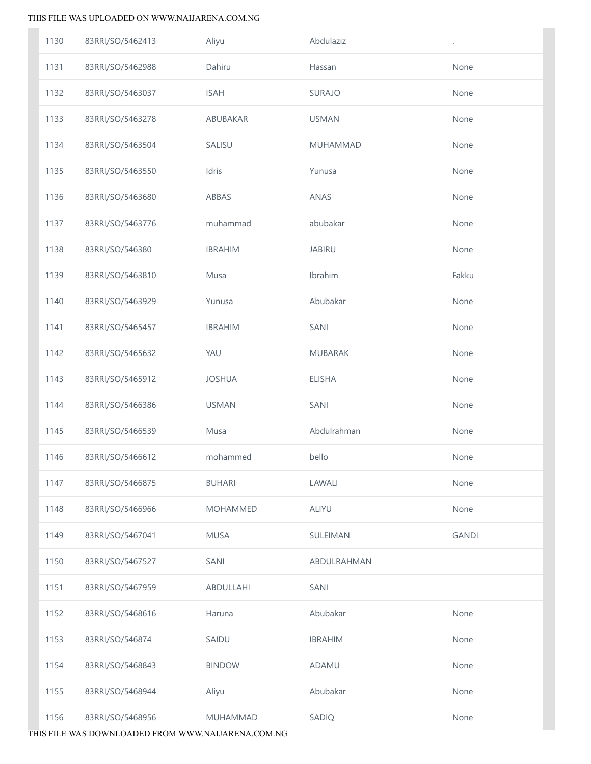| 1130 | 83RRI/SO/5462413 | Aliyu           | Abdulaziz       |              |
|------|------------------|-----------------|-----------------|--------------|
| 1131 | 83RRI/SO/5462988 | Dahiru          | Hassan          | None         |
| 1132 | 83RRI/SO/5463037 | <b>ISAH</b>     | <b>SURAJO</b>   | None         |
| 1133 | 83RRI/SO/5463278 | ABUBAKAR        | <b>USMAN</b>    | None         |
| 1134 | 83RRI/SO/5463504 | SALISU          | <b>MUHAMMAD</b> | None         |
| 1135 | 83RRI/SO/5463550 | Idris           | Yunusa          | None         |
| 1136 | 83RRI/SO/5463680 | ABBAS           | ANAS            | None         |
| 1137 | 83RRI/SO/5463776 | muhammad        | abubakar        | None         |
| 1138 | 83RRI/SO/546380  | <b>IBRAHIM</b>  | <b>JABIRU</b>   | None         |
| 1139 | 83RRI/SO/5463810 | Musa            | Ibrahim         | Fakku        |
| 1140 | 83RRI/SO/5463929 | Yunusa          | Abubakar        | None         |
| 1141 | 83RRI/SO/5465457 | <b>IBRAHIM</b>  | SANI            | None         |
| 1142 | 83RRI/SO/5465632 | YAU             | <b>MUBARAK</b>  | None         |
| 1143 | 83RRI/SO/5465912 | <b>JOSHUA</b>   | <b>ELISHA</b>   | None         |
| 1144 | 83RRI/SO/5466386 | <b>USMAN</b>    | SANI            | None         |
| 1145 | 83RRI/SO/5466539 | Musa            | Abdulrahman     | None         |
| 1146 | 83RRI/SO/5466612 | mohammed        | bello           | None         |
| 1147 | 83RRI/SO/5466875 | <b>BUHARI</b>   | LAWALI          | None         |
| 1148 | 83RRI/SO/5466966 | <b>MOHAMMED</b> | <b>ALIYU</b>    | None         |
| 1149 | 83RRI/SO/5467041 | <b>MUSA</b>     | SULEIMAN        | <b>GANDI</b> |
| 1150 | 83RRI/SO/5467527 | SANI            | ABDULRAHMAN     |              |
| 1151 | 83RRI/SO/5467959 | ABDULLAHI       | SANI            |              |
| 1152 | 83RRI/SO/5468616 | Haruna          | Abubakar        | None         |
| 1153 | 83RRI/SO/546874  | SAIDU           | <b>IBRAHIM</b>  | None         |
| 1154 | 83RRI/SO/5468843 | <b>BINDOW</b>   | ADAMU           | None         |
| 1155 | 83RRI/SO/5468944 | Aliyu           | Abubakar        | None         |
| 1156 | 83RRI/SO/5468956 | MUHAMMAD        | SADIQ           | None         |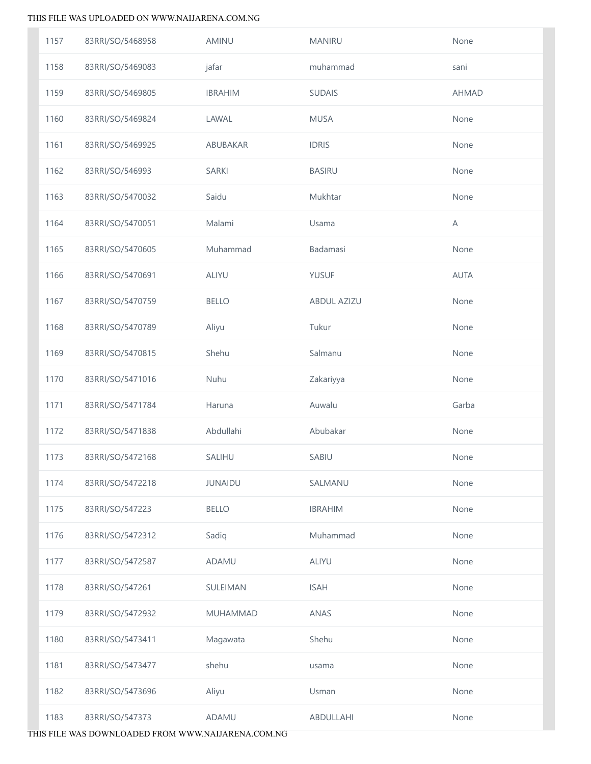| 1157 | 83RRI/SO/5468958 | AMINU          | <b>MANIRU</b>      | None         |
|------|------------------|----------------|--------------------|--------------|
| 1158 | 83RRI/SO/5469083 | jafar          | muhammad           | sani         |
| 1159 | 83RRI/SO/5469805 | <b>IBRAHIM</b> | <b>SUDAIS</b>      | <b>AHMAD</b> |
| 1160 | 83RRI/SO/5469824 | LAWAL          | <b>MUSA</b>        | None         |
| 1161 | 83RRI/SO/5469925 | ABUBAKAR       | <b>IDRIS</b>       | None         |
| 1162 | 83RRI/SO/546993  | <b>SARKI</b>   | <b>BASIRU</b>      | None         |
| 1163 | 83RRI/SO/5470032 | Saidu          | Mukhtar            | None         |
| 1164 | 83RRI/SO/5470051 | Malami         | Usama              | Α            |
| 1165 | 83RRI/SO/5470605 | Muhammad       | Badamasi           | None         |
| 1166 | 83RRI/SO/5470691 | ALIYU          | <b>YUSUF</b>       | <b>AUTA</b>  |
| 1167 | 83RRI/SO/5470759 | <b>BELLO</b>   | <b>ABDUL AZIZU</b> | None         |
| 1168 | 83RRI/SO/5470789 | Aliyu          | Tukur              | None         |
| 1169 | 83RRI/SO/5470815 | Shehu          | Salmanu            | None         |
| 1170 | 83RRI/SO/5471016 | Nuhu           | Zakariyya          | None         |
| 1171 | 83RRI/SO/5471784 | Haruna         | Auwalu             | Garba        |
| 1172 | 83RRI/SO/5471838 | Abdullahi      | Abubakar           | None         |
| 1173 | 83RRI/SO/5472168 | SALIHU         | SABIU              | None         |
| 1174 | 83RRI/SO/5472218 | <b>JUNAIDU</b> | SALMANU            | None         |
| 1175 | 83RRI/SO/547223  | <b>BELLO</b>   | <b>IBRAHIM</b>     | None         |
| 1176 | 83RRI/SO/5472312 | Sadiq          | Muhammad           | None         |
| 1177 | 83RRI/SO/5472587 | ADAMU          | <b>ALIYU</b>       | None         |
| 1178 | 83RRI/SO/547261  | SULEIMAN       | <b>ISAH</b>        | None         |
| 1179 | 83RRI/SO/5472932 | MUHAMMAD       | ANAS               | None         |
| 1180 | 83RRI/SO/5473411 | Magawata       | Shehu              | None         |
| 1181 | 83RRI/SO/5473477 | shehu          | usama              | None         |
| 1182 | 83RRI/SO/5473696 | Aliyu          | Usman              | None         |
| 1183 | 83RRI/SO/547373  | ADAMU          | ABDULLAHI          | None         |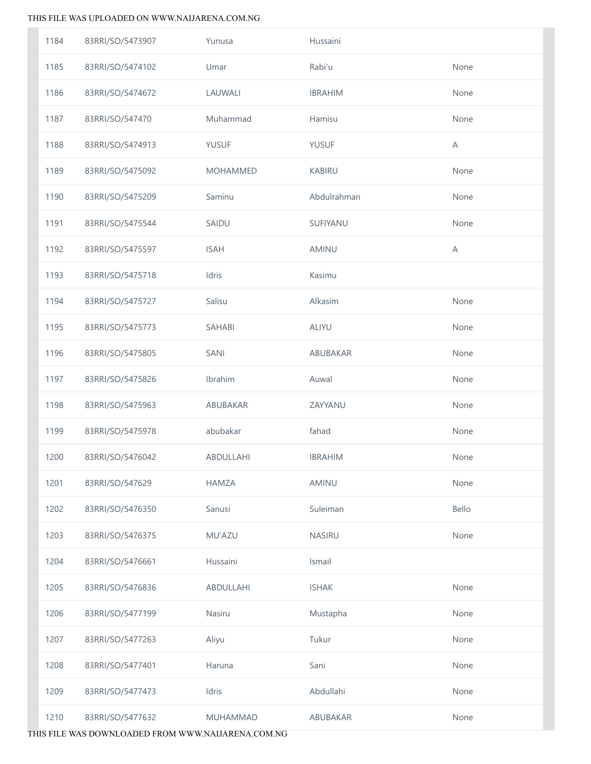| 1184 | 83RRI/SO/5473907 | Yunusa          | Hussaini       |       |
|------|------------------|-----------------|----------------|-------|
| 1185 | 83RRI/SO/5474102 | Umar            | Rabi'u         | None  |
| 1186 | 83RRI/SO/5474672 | LAUWALI         | <b>IBRAHIM</b> | None  |
| 1187 | 83RRI/SO/547470  | Muhammad        | Hamisu         | None  |
| 1188 | 83RRI/SO/5474913 | <b>YUSUF</b>    | <b>YUSUF</b>   | A     |
| 1189 | 83RRI/SO/5475092 | <b>MOHAMMED</b> | <b>KABIRU</b>  | None  |
| 1190 | 83RRI/SO/5475209 | Saminu          | Abdulrahman    | None  |
| 1191 | 83RRI/SO/5475544 | SAIDU           | SUFIYANU       | None  |
| 1192 | 83RRI/SO/5475597 | <b>ISAH</b>     | AMINU          | A     |
| 1193 | 83RRI/SO/5475718 | Idris           | Kasimu         |       |
| 1194 | 83RRI/SO/5475727 | Salisu          | Alkasim        | None  |
| 1195 | 83RRI/SO/5475773 | SAHABI          | ALIYU          | None  |
| 1196 | 83RRI/SO/5475805 | SANI            | ABUBAKAR       | None  |
| 1197 | 83RRI/SO/5475826 | Ibrahim         | Auwal          | None  |
| 1198 | 83RRI/SO/5475963 | ABUBAKAR        | ZAYYANU        | None  |
| 1199 | 83RRI/SO/5475978 | abubakar        | fahad          | None  |
| 1200 | 83RRI/SO/5476042 | ABDULLAHI       | <b>IBRAHIM</b> | None  |
| 1201 | 83RRI/SO/547629  | <b>HAMZA</b>    | AMINU          | None  |
| 1202 | 83RRI/SO/5476350 | Sanusi          | Suleiman       | Bello |
| 1203 | 83RRI/SO/5476375 | MU'AZU          | NASIRU         | None  |
| 1204 | 83RRI/SO/5476661 | Hussaini        | Ismail         |       |
| 1205 | 83RRI/SO/5476836 | ABDULLAHI       | <b>ISHAK</b>   | None  |
| 1206 | 83RRI/SO/5477199 | Nasiru          | Mustapha       | None  |
| 1207 | 83RRI/SO/5477263 | Aliyu           | Tukur          | None  |
| 1208 | 83RRI/SO/5477401 | Haruna          | Sani           | None  |
| 1209 | 83RRI/SO/5477473 | Idris           | Abdullahi      | None  |
| 1210 | 83RRI/SO/5477632 | MUHAMMAD        | ABUBAKAR       | None  |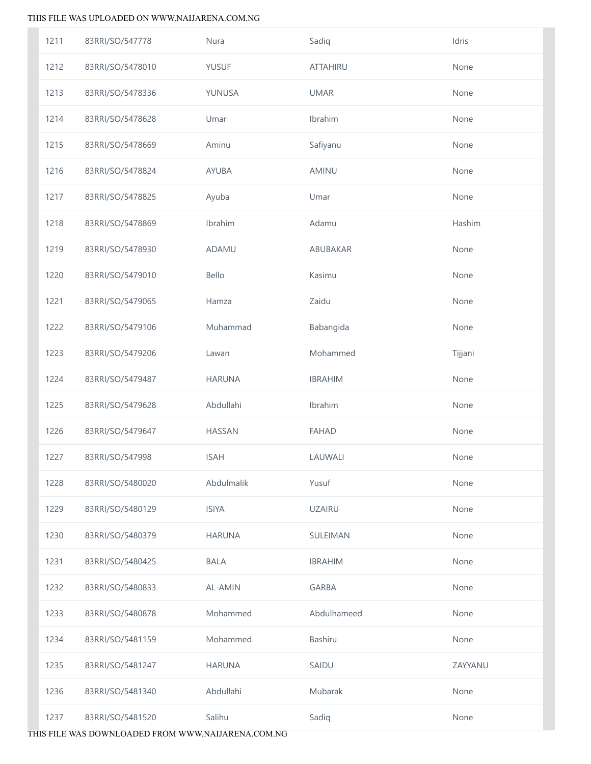| 1211 | 83RRI/SO/547778  | Nura           | Sadiq           | Idris   |
|------|------------------|----------------|-----------------|---------|
| 1212 | 83RRI/SO/5478010 | YUSUF          | <b>ATTAHIRU</b> | None    |
| 1213 | 83RRI/SO/5478336 | YUNUSA         | <b>UMAR</b>     | None    |
| 1214 | 83RRI/SO/5478628 | Umar           | Ibrahim         | None    |
| 1215 | 83RRI/SO/5478669 | Aminu          | Safiyanu        | None    |
| 1216 | 83RRI/SO/5478824 | <b>AYUBA</b>   | AMINU           | None    |
| 1217 | 83RRI/SO/5478825 | Ayuba          | Umar            | None    |
| 1218 | 83RRI/SO/5478869 | Ibrahim        | Adamu           | Hashim  |
| 1219 | 83RRI/SO/5478930 | ADAMU          | ABUBAKAR        | None    |
| 1220 | 83RRI/SO/5479010 | Bello          | Kasimu          | None    |
| 1221 | 83RRI/SO/5479065 | Hamza          | Zaidu           | None    |
| 1222 | 83RRI/SO/5479106 | Muhammad       | Babangida       | None    |
| 1223 | 83RRI/SO/5479206 | Lawan          | Mohammed        | Tijjani |
| 1224 | 83RRI/SO/5479487 | <b>HARUNA</b>  | <b>IBRAHIM</b>  | None    |
| 1225 | 83RRI/SO/5479628 | Abdullahi      | Ibrahim         | None    |
| 1226 | 83RRI/SO/5479647 | <b>HASSAN</b>  | <b>FAHAD</b>    | None    |
| 1227 | 83RRI/SO/547998  | <b>ISAH</b>    | LAUWALI         | None    |
| 1228 | 83RRI/SO/5480020 | Abdulmalik     | Yusuf           | None    |
| 1229 | 83RRI/SO/5480129 | <b>ISIYA</b>   | <b>UZAIRU</b>   | None    |
| 1230 | 83RRI/SO/5480379 | <b>HARUNA</b>  | <b>SULEIMAN</b> | None    |
| 1231 | 83RRI/SO/5480425 | <b>BALA</b>    | <b>IBRAHIM</b>  | None    |
| 1232 | 83RRI/SO/5480833 | <b>AL-AMIN</b> | <b>GARBA</b>    | None    |
| 1233 | 83RRI/SO/5480878 | Mohammed       | Abdulhameed     | None    |
| 1234 | 83RRI/SO/5481159 | Mohammed       | Bashiru         | None    |
| 1235 | 83RRI/SO/5481247 | <b>HARUNA</b>  | SAIDU           | ZAYYANU |
| 1236 | 83RRI/SO/5481340 | Abdullahi      | Mubarak         | None    |
| 1237 | 83RRI/SO/5481520 | Salihu         | Sadiq           | None    |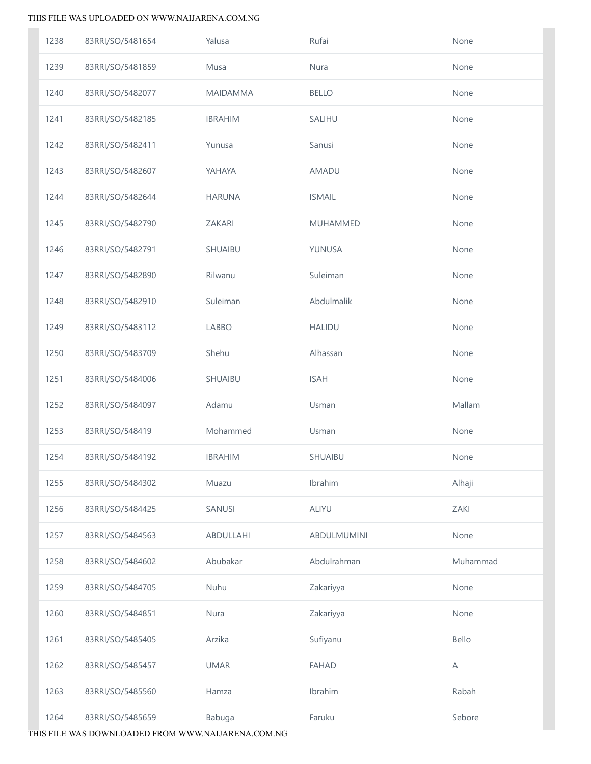| 1238 | 83RRI/SO/5481654 | Yalusa          | Rufai              | None     |
|------|------------------|-----------------|--------------------|----------|
| 1239 | 83RRI/SO/5481859 | Musa            | Nura               | None     |
| 1240 | 83RRI/SO/5482077 | <b>MAIDAMMA</b> | <b>BELLO</b>       | None     |
| 1241 | 83RRI/SO/5482185 | <b>IBRAHIM</b>  | SALIHU             | None     |
| 1242 | 83RRI/SO/5482411 | Yunusa          | Sanusi             | None     |
| 1243 | 83RRI/SO/5482607 | YAHAYA          | AMADU              | None     |
| 1244 | 83RRI/SO/5482644 | <b>HARUNA</b>   | <b>ISMAIL</b>      | None     |
| 1245 | 83RRI/SO/5482790 | ZAKARI          | <b>MUHAMMED</b>    | None     |
| 1246 | 83RRI/SO/5482791 | SHUAIBU         | YUNUSA             | None     |
| 1247 | 83RRI/SO/5482890 | Rilwanu         | Suleiman           | None     |
| 1248 | 83RRI/SO/5482910 | Suleiman        | Abdulmalik         | None     |
| 1249 | 83RRI/SO/5483112 | LABBO           | <b>HALIDU</b>      | None     |
| 1250 | 83RRI/SO/5483709 | Shehu           | Alhassan           | None     |
| 1251 | 83RRI/SO/5484006 | SHUAIBU         | <b>ISAH</b>        | None     |
| 1252 | 83RRI/SO/5484097 | Adamu           | Usman              | Mallam   |
| 1253 | 83RRI/SO/548419  | Mohammed        | Usman              | None     |
| 1254 | 83RRI/SO/5484192 | <b>IBRAHIM</b>  | SHUAIBU            | None     |
| 1255 | 83RRI/SO/5484302 | Muazu           | Ibrahim            | Alhaji   |
| 1256 | 83RRI/SO/5484425 | <b>SANUSI</b>   | ALIYU              | ZAKI     |
| 1257 | 83RRI/SO/5484563 | ABDULLAHI       | <b>ABDULMUMINI</b> | None     |
| 1258 | 83RRI/SO/5484602 | Abubakar        | Abdulrahman        | Muhammad |
| 1259 | 83RRI/SO/5484705 | Nuhu            | Zakariyya          | None     |
| 1260 | 83RRI/SO/5484851 | Nura            | Zakariyya          | None     |
| 1261 | 83RRI/SO/5485405 | Arzika          | Sufiyanu           | Bello    |
| 1262 | 83RRI/SO/5485457 | <b>UMAR</b>     | <b>FAHAD</b>       | A        |
| 1263 | 83RRI/SO/5485560 | Hamza           | Ibrahim            | Rabah    |
| 1264 | 83RRI/SO/5485659 | Babuga          | Faruku             | Sebore   |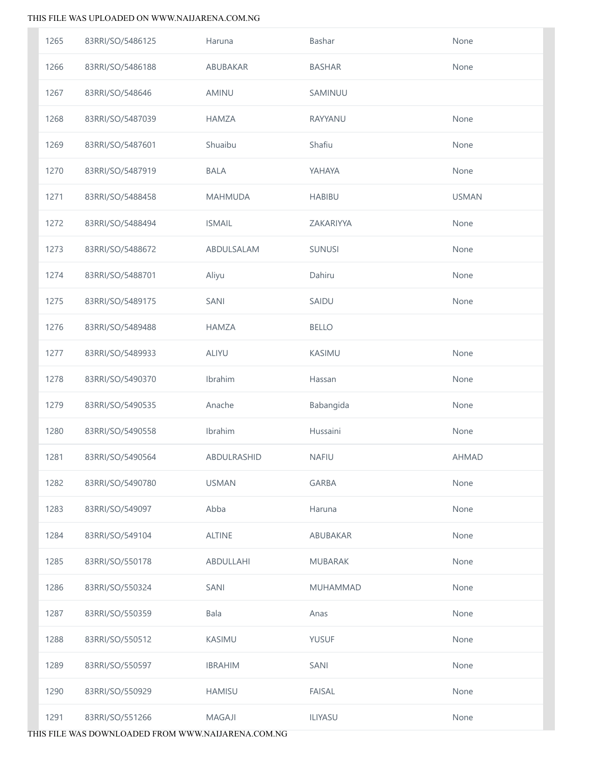| 1265 | 83RRI/SO/5486125 | Haruna         | Bashar         | None         |
|------|------------------|----------------|----------------|--------------|
| 1266 | 83RRI/SO/5486188 | ABUBAKAR       | <b>BASHAR</b>  | None         |
| 1267 | 83RRI/SO/548646  | <b>AMINU</b>   | SAMINUU        |              |
| 1268 | 83RRI/SO/5487039 | <b>HAMZA</b>   | RAYYANU        | None         |
| 1269 | 83RRI/SO/5487601 | Shuaibu        | Shafiu         | None         |
| 1270 | 83RRI/SO/5487919 | <b>BALA</b>    | YAHAYA         | None         |
| 1271 | 83RRI/SO/5488458 | <b>MAHMUDA</b> | <b>HABIBU</b>  | <b>USMAN</b> |
| 1272 | 83RRI/SO/5488494 | <b>ISMAIL</b>  | ZAKARIYYA      | None         |
| 1273 | 83RRI/SO/5488672 | ABDULSALAM     | SUNUSI         | None         |
| 1274 | 83RRI/SO/5488701 | Aliyu          | Dahiru         | None         |
| 1275 | 83RRI/SO/5489175 | SANI           | SAIDU          | None         |
| 1276 | 83RRI/SO/5489488 | <b>HAMZA</b>   | <b>BELLO</b>   |              |
| 1277 | 83RRI/SO/5489933 | <b>ALIYU</b>   | KASIMU         | None         |
| 1278 | 83RRI/SO/5490370 | Ibrahim        | Hassan         | None         |
| 1279 | 83RRI/SO/5490535 | Anache         | Babangida      | None         |
| 1280 | 83RRI/SO/5490558 | Ibrahim        | Hussaini       | None         |
| 1281 | 83RRI/SO/5490564 | ABDULRASHID    | <b>NAFIU</b>   | <b>AHMAD</b> |
| 1282 | 83RRI/SO/5490780 | <b>USMAN</b>   | <b>GARBA</b>   | None         |
| 1283 | 83RRI/SO/549097  | Abba           | Haruna         | None         |
| 1284 | 83RRI/SO/549104  | <b>ALTINE</b>  | ABUBAKAR       | None         |
| 1285 | 83RRI/SO/550178  | ABDULLAHI      | <b>MUBARAK</b> | None         |
| 1286 | 83RRI/SO/550324  | <b>SANI</b>    | MUHAMMAD       | None         |
| 1287 | 83RRI/SO/550359  | Bala           | Anas           | None         |
| 1288 | 83RRI/SO/550512  | KASIMU         | <b>YUSUF</b>   | None         |
| 1289 | 83RRI/SO/550597  | <b>IBRAHIM</b> | SANI           | None         |
| 1290 | 83RRI/SO/550929  | <b>HAMISU</b>  | <b>FAISAL</b>  | None         |
| 1291 | 83RRI/SO/551266  | MAGAJI         | ILIYASU        | None         |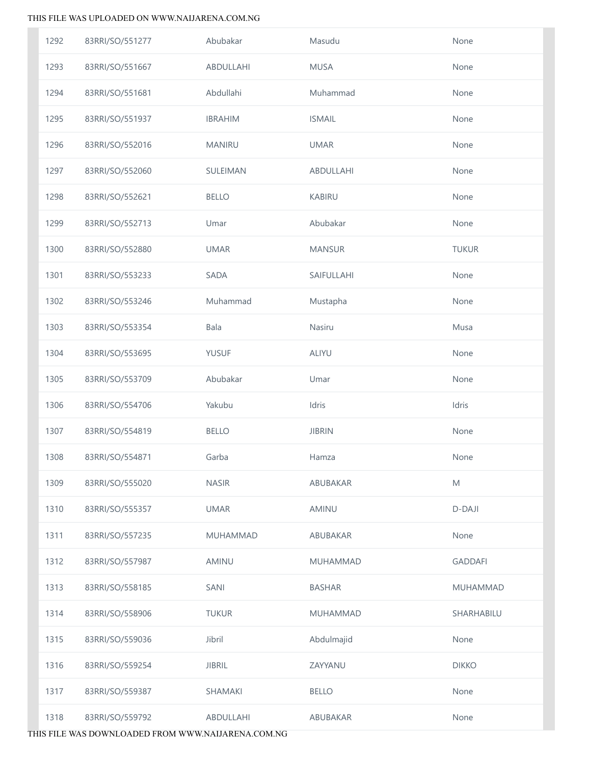| 1292 | 83RRI/SO/551277 | Abubakar       | Masudu        | None            |
|------|-----------------|----------------|---------------|-----------------|
| 1293 | 83RRI/SO/551667 | ABDULLAHI      | <b>MUSA</b>   | None            |
| 1294 | 83RRI/SO/551681 | Abdullahi      | Muhammad      | None            |
| 1295 | 83RRI/SO/551937 | <b>IBRAHIM</b> | <b>ISMAIL</b> | None            |
| 1296 | 83RRI/SO/552016 | <b>MANIRU</b>  | <b>UMAR</b>   | None            |
| 1297 | 83RRI/SO/552060 | SULEIMAN       | ABDULLAHI     | None            |
| 1298 | 83RRI/SO/552621 | <b>BELLO</b>   | <b>KABIRU</b> | None            |
| 1299 | 83RRI/SO/552713 | Umar           | Abubakar      | None            |
| 1300 | 83RRI/SO/552880 | <b>UMAR</b>    | <b>MANSUR</b> | <b>TUKUR</b>    |
| 1301 | 83RRI/SO/553233 | SADA           | SAIFULLAHI    | None            |
| 1302 | 83RRI/SO/553246 | Muhammad       | Mustapha      | None            |
| 1303 | 83RRI/SO/553354 | Bala           | Nasiru        | Musa            |
| 1304 | 83RRI/SO/553695 | YUSUF          | ALIYU         | None            |
| 1305 | 83RRI/SO/553709 | Abubakar       | Umar          | None            |
| 1306 | 83RRI/SO/554706 | Yakubu         | Idris         | Idris           |
| 1307 | 83RRI/SO/554819 | <b>BELLO</b>   | <b>JIBRIN</b> | None            |
| 1308 | 83RRI/SO/554871 | Garba          | Hamza         | None            |
| 1309 | 83RRI/SO/555020 | <b>NASIR</b>   | ABUBAKAR      | M               |
| 1310 | 83RRI/SO/555357 | <b>UMAR</b>    | AMINU         | D-DAJI          |
| 1311 | 83RRI/SO/557235 | MUHAMMAD       | ABUBAKAR      | None            |
| 1312 | 83RRI/SO/557987 | AMINU          | MUHAMMAD      | <b>GADDAFI</b>  |
| 1313 | 83RRI/SO/558185 | SANI           | <b>BASHAR</b> | <b>MUHAMMAD</b> |
| 1314 | 83RRI/SO/558906 | <b>TUKUR</b>   | MUHAMMAD      | SHARHABILU      |
| 1315 | 83RRI/SO/559036 | Jibril         | Abdulmajid    | None            |
| 1316 | 83RRI/SO/559254 | <b>JIBRIL</b>  | ZAYYANU       | <b>DIKKO</b>    |
| 1317 | 83RRI/SO/559387 | SHAMAKI        | <b>BELLO</b>  | None            |
| 1318 | 83RRI/SO/559792 | ABDULLAHI      | ABUBAKAR      | None            |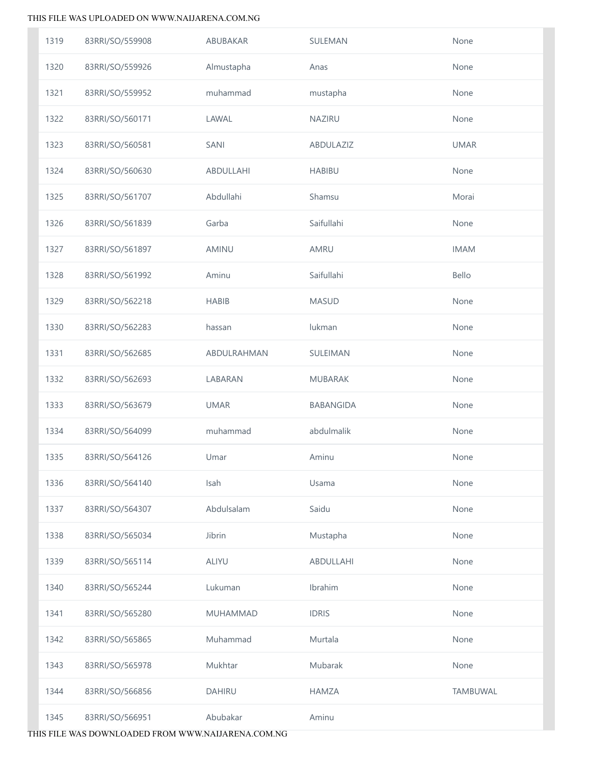| 1319 | 83RRI/SO/559908 | ABUBAKAR      | SULEMAN          | None        |
|------|-----------------|---------------|------------------|-------------|
| 1320 | 83RRI/SO/559926 | Almustapha    | Anas             | None        |
| 1321 | 83RRI/SO/559952 | muhammad      | mustapha         | None        |
| 1322 | 83RRI/SO/560171 | LAWAL         | <b>NAZIRU</b>    | None        |
| 1323 | 83RRI/SO/560581 | SANI          | ABDULAZIZ        | <b>UMAR</b> |
| 1324 | 83RRI/SO/560630 | ABDULLAHI     | <b>HABIBU</b>    | None        |
| 1325 | 83RRI/SO/561707 | Abdullahi     | Shamsu           | Morai       |
| 1326 | 83RRI/SO/561839 | Garba         | Saifullahi       | None        |
| 1327 | 83RRI/SO/561897 | AMINU         | AMRU             | <b>IMAM</b> |
| 1328 | 83RRI/SO/561992 | Aminu         | Saifullahi       | Bello       |
| 1329 | 83RRI/SO/562218 | <b>HABIB</b>  | <b>MASUD</b>     | None        |
| 1330 | 83RRI/SO/562283 | hassan        | lukman           | None        |
| 1331 | 83RRI/SO/562685 | ABDULRAHMAN   | SULEIMAN         | None        |
| 1332 | 83RRI/SO/562693 | LABARAN       | MUBARAK          | None        |
| 1333 | 83RRI/SO/563679 | <b>UMAR</b>   | <b>BABANGIDA</b> | None        |
| 1334 | 83RRI/SO/564099 | muhammad      | abdulmalik       | None        |
| 1335 | 83RRI/SO/564126 | Umar          | Aminu            | None        |
| 1336 | 83RRI/SO/564140 | Isah          | Usama            | None        |
| 1337 | 83RRI/SO/564307 | Abdulsalam    | Saidu            | None        |
| 1338 | 83RRI/SO/565034 | Jibrin        | Mustapha         | None        |
| 1339 | 83RRI/SO/565114 | ALIYU         | ABDULLAHI        | None        |
| 1340 | 83RRI/SO/565244 | Lukuman       | Ibrahim          | None        |
| 1341 | 83RRI/SO/565280 | MUHAMMAD      | <b>IDRIS</b>     | None        |
| 1342 | 83RRI/SO/565865 | Muhammad      | Murtala          | None        |
| 1343 | 83RRI/SO/565978 | Mukhtar       | Mubarak          | None        |
| 1344 | 83RRI/SO/566856 | <b>DAHIRU</b> | <b>HAMZA</b>     | TAMBUWAL    |
| 1345 | 83RRI/SO/566951 | Abubakar      | Aminu            |             |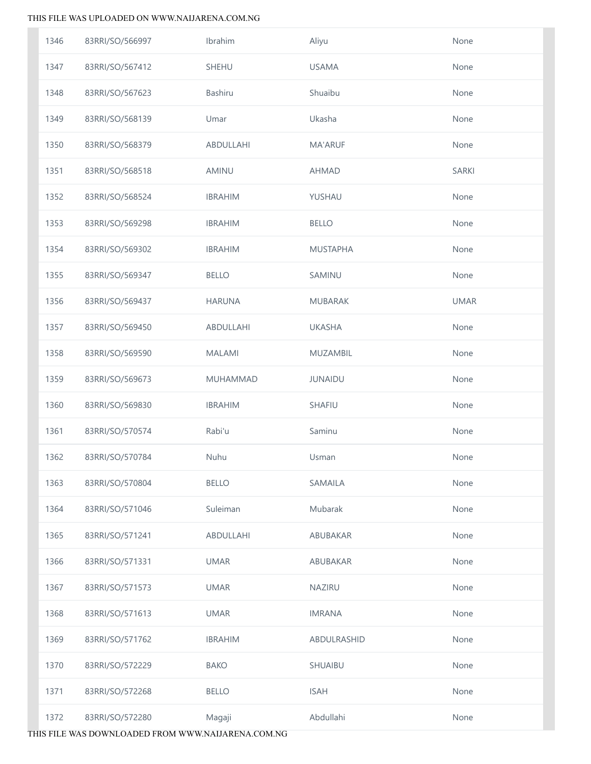| 1346 | 83RRI/SO/566997 | Ibrahim        | Aliyu           | None         |
|------|-----------------|----------------|-----------------|--------------|
| 1347 | 83RRI/SO/567412 | SHEHU          | <b>USAMA</b>    | None         |
| 1348 | 83RRI/SO/567623 | <b>Bashiru</b> | Shuaibu         | None         |
| 1349 | 83RRI/SO/568139 | Umar           | Ukasha          | None         |
| 1350 | 83RRI/SO/568379 | ABDULLAHI      | <b>MA'ARUF</b>  | None         |
| 1351 | 83RRI/SO/568518 | AMINU          | <b>AHMAD</b>    | <b>SARKI</b> |
| 1352 | 83RRI/SO/568524 | <b>IBRAHIM</b> | YUSHAU          | None         |
| 1353 | 83RRI/SO/569298 | <b>IBRAHIM</b> | <b>BELLO</b>    | None         |
| 1354 | 83RRI/SO/569302 | <b>IBRAHIM</b> | <b>MUSTAPHA</b> | None         |
| 1355 | 83RRI/SO/569347 | <b>BELLO</b>   | SAMINU          | None         |
| 1356 | 83RRI/SO/569437 | <b>HARUNA</b>  | MUBARAK         | <b>UMAR</b>  |
| 1357 | 83RRI/SO/569450 | ABDULLAHI      | <b>UKASHA</b>   | None         |
| 1358 | 83RRI/SO/569590 | <b>MALAMI</b>  | <b>MUZAMBIL</b> | None         |
| 1359 | 83RRI/SO/569673 | MUHAMMAD       | <b>JUNAIDU</b>  | None         |
| 1360 | 83RRI/SO/569830 | <b>IBRAHIM</b> | SHAFIU          | None         |
| 1361 | 83RRI/SO/570574 | Rabi'u         | Saminu          | None         |
| 1362 | 83RRI/SO/570784 | Nuhu           | Usman           | None         |
| 1363 | 83RRI/SO/570804 | <b>BELLO</b>   | <b>SAMAILA</b>  | None         |
| 1364 | 83RRI/SO/571046 | Suleiman       | Mubarak         | None         |
| 1365 | 83RRI/SO/571241 | ABDULLAHI      | ABUBAKAR        | None         |
| 1366 | 83RRI/SO/571331 | <b>UMAR</b>    | ABUBAKAR        | None         |
| 1367 | 83RRI/SO/571573 | <b>UMAR</b>    | <b>NAZIRU</b>   | None         |
| 1368 | 83RRI/SO/571613 | <b>UMAR</b>    | <b>IMRANA</b>   | None         |
| 1369 | 83RRI/SO/571762 | <b>IBRAHIM</b> | ABDULRASHID     | None         |
| 1370 | 83RRI/SO/572229 | <b>BAKO</b>    | SHUAIBU         | None         |
| 1371 | 83RRI/SO/572268 | <b>BELLO</b>   | <b>ISAH</b>     | None         |
| 1372 | 83RRI/SO/572280 | Magaji         | Abdullahi       | None         |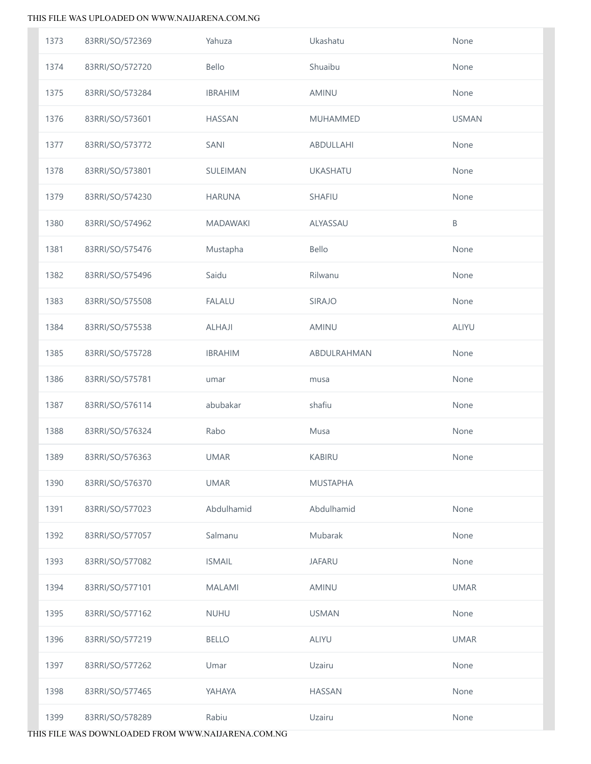| 1373 | 83RRI/SO/572369 | Yahuza          | Ukashatu        | None         |
|------|-----------------|-----------------|-----------------|--------------|
| 1374 | 83RRI/SO/572720 | Bello           | Shuaibu         | None         |
| 1375 | 83RRI/SO/573284 | <b>IBRAHIM</b>  | AMINU           | None         |
| 1376 | 83RRI/SO/573601 | <b>HASSAN</b>   | MUHAMMED        | <b>USMAN</b> |
| 1377 | 83RRI/SO/573772 | SANI            | ABDULLAHI       | None         |
| 1378 | 83RRI/SO/573801 | SULEIMAN        | <b>UKASHATU</b> | None         |
| 1379 | 83RRI/SO/574230 | <b>HARUNA</b>   | SHAFIU          | None         |
| 1380 | 83RRI/SO/574962 | <b>MADAWAKI</b> | ALYASSAU        | $\sf B$      |
| 1381 | 83RRI/SO/575476 | Mustapha        | Bello           | None         |
| 1382 | 83RRI/SO/575496 | Saidu           | Rilwanu         | None         |
| 1383 | 83RRI/SO/575508 | <b>FALALU</b>   | SIRAJO          | None         |
| 1384 | 83RRI/SO/575538 | ALHAJI          | AMINU           | ALIYU        |
| 1385 | 83RRI/SO/575728 | <b>IBRAHIM</b>  | ABDULRAHMAN     | None         |
| 1386 | 83RRI/SO/575781 | umar            | musa            | None         |
| 1387 | 83RRI/SO/576114 | abubakar        | shafiu          | None         |
| 1388 | 83RRI/SO/576324 | Rabo            | Musa            | None         |
| 1389 | 83RRI/SO/576363 | <b>UMAR</b>     | <b>KABIRU</b>   | None         |
| 1390 | 83RRI/SO/576370 | <b>UMAR</b>     | <b>MUSTAPHA</b> |              |
| 1391 | 83RRI/SO/577023 | Abdulhamid      | Abdulhamid      | None         |
| 1392 | 83RRI/SO/577057 | Salmanu         | Mubarak         | None         |
| 1393 | 83RRI/SO/577082 | <b>ISMAIL</b>   | <b>JAFARU</b>   | None         |
| 1394 | 83RRI/SO/577101 | <b>MALAMI</b>   | AMINU           | <b>UMAR</b>  |
| 1395 | 83RRI/SO/577162 | <b>NUHU</b>     | <b>USMAN</b>    | None         |
| 1396 | 83RRI/SO/577219 | <b>BELLO</b>    | <b>ALIYU</b>    | <b>UMAR</b>  |
| 1397 | 83RRI/SO/577262 | Umar            | Uzairu          | None         |
| 1398 | 83RRI/SO/577465 | YAHAYA          | <b>HASSAN</b>   | None         |
| 1399 | 83RRI/SO/578289 | Rabiu           | Uzairu          | None         |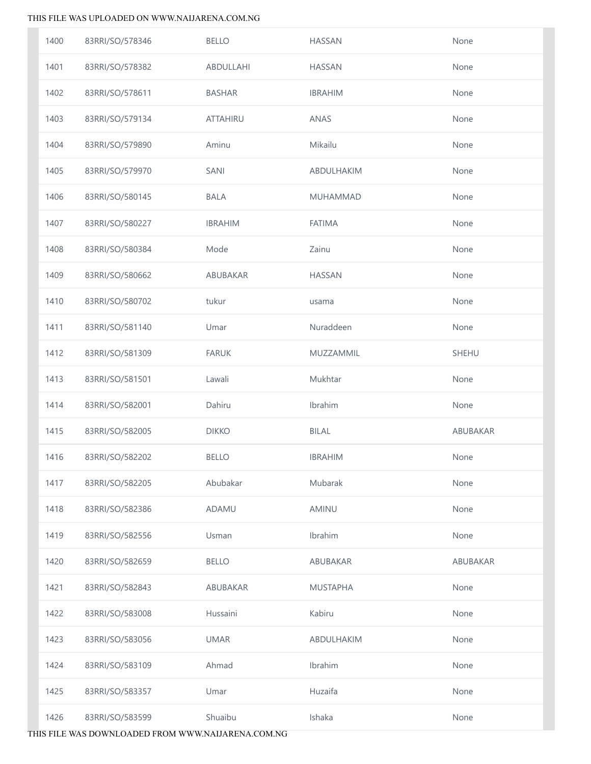| 1400 | 83RRI/SO/578346 | <b>BELLO</b>    | <b>HASSAN</b>   | None     |
|------|-----------------|-----------------|-----------------|----------|
| 1401 | 83RRI/SO/578382 | ABDULLAHI       | <b>HASSAN</b>   | None     |
| 1402 | 83RRI/SO/578611 | <b>BASHAR</b>   | <b>IBRAHIM</b>  | None     |
| 1403 | 83RRI/SO/579134 | <b>ATTAHIRU</b> | <b>ANAS</b>     | None     |
| 1404 | 83RRI/SO/579890 | Aminu           | Mikailu         | None     |
| 1405 | 83RRI/SO/579970 | SANI            | ABDULHAKIM      | None     |
| 1406 | 83RRI/SO/580145 | <b>BALA</b>     | MUHAMMAD        | None     |
| 1407 | 83RRI/SO/580227 | <b>IBRAHIM</b>  | <b>FATIMA</b>   | None     |
| 1408 | 83RRI/SO/580384 | Mode            | Zainu           | None     |
| 1409 | 83RRI/SO/580662 | ABUBAKAR        | <b>HASSAN</b>   | None     |
| 1410 | 83RRI/SO/580702 | tukur           | usama           | None     |
| 1411 | 83RRI/SO/581140 | Umar            | Nuraddeen       | None     |
| 1412 | 83RRI/SO/581309 | <b>FARUK</b>    | MUZZAMMIL       | SHEHU    |
| 1413 | 83RRI/SO/581501 | Lawali          | Mukhtar         | None     |
| 1414 | 83RRI/SO/582001 | Dahiru          | Ibrahim         | None     |
| 1415 | 83RRI/SO/582005 | <b>DIKKO</b>    | <b>BILAL</b>    | ABUBAKAR |
| 1416 | 83RRI/SO/582202 | <b>BELLO</b>    | <b>IBRAHIM</b>  | None     |
| 1417 | 83RRI/SO/582205 | Abubakar        | Mubarak         | None     |
| 1418 | 83RRI/SO/582386 | ADAMU           | AMINU           | None     |
| 1419 | 83RRI/SO/582556 | Usman           | Ibrahim         | None     |
| 1420 | 83RRI/SO/582659 | <b>BELLO</b>    | ABUBAKAR        | ABUBAKAR |
| 1421 | 83RRI/SO/582843 | ABUBAKAR        | <b>MUSTAPHA</b> | None     |
| 1422 | 83RRI/SO/583008 | Hussaini        | Kabiru          | None     |
| 1423 | 83RRI/SO/583056 | <b>UMAR</b>     | ABDULHAKIM      | None     |
| 1424 | 83RRI/SO/583109 | Ahmad           | Ibrahim         | None     |
| 1425 | 83RRI/SO/583357 | Umar            | Huzaifa         | None     |
| 1426 | 83RRI/SO/583599 | Shuaibu         | Ishaka          | None     |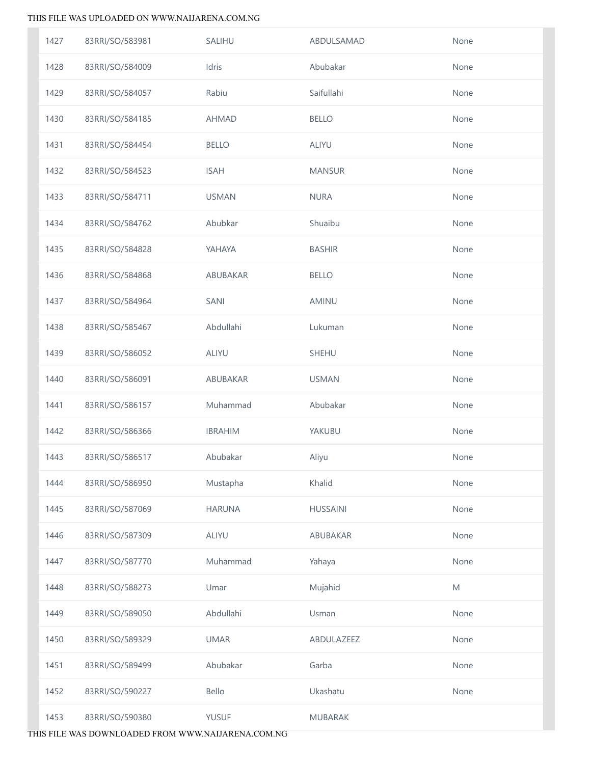| 1427 | 83RRI/SO/583981 | SALIHU         | ABDULSAMAD      | None |
|------|-----------------|----------------|-----------------|------|
| 1428 | 83RRI/SO/584009 | Idris          | Abubakar        | None |
| 1429 | 83RRI/SO/584057 | Rabiu          | Saifullahi      | None |
| 1430 | 83RRI/SO/584185 | <b>AHMAD</b>   | <b>BELLO</b>    | None |
| 1431 | 83RRI/SO/584454 | <b>BELLO</b>   | ALIYU           | None |
| 1432 | 83RRI/SO/584523 | <b>ISAH</b>    | <b>MANSUR</b>   | None |
| 1433 | 83RRI/SO/584711 | <b>USMAN</b>   | <b>NURA</b>     | None |
| 1434 | 83RRI/SO/584762 | Abubkar        | Shuaibu         | None |
| 1435 | 83RRI/SO/584828 | YAHAYA         | <b>BASHIR</b>   | None |
| 1436 | 83RRI/SO/584868 | ABUBAKAR       | <b>BELLO</b>    | None |
| 1437 | 83RRI/SO/584964 | SANI           | AMINU           | None |
| 1438 | 83RRI/SO/585467 | Abdullahi      | Lukuman         | None |
| 1439 | 83RRI/SO/586052 | ALIYU          | SHEHU           | None |
| 1440 | 83RRI/SO/586091 | ABUBAKAR       | <b>USMAN</b>    | None |
| 1441 | 83RRI/SO/586157 | Muhammad       | Abubakar        | None |
| 1442 | 83RRI/SO/586366 | <b>IBRAHIM</b> | YAKUBU          | None |
| 1443 | 83RRI/SO/586517 | Abubakar       | Aliyu           | None |
| 1444 | 83RRI/SO/586950 | Mustapha       | Khalid          | None |
| 1445 | 83RRI/SO/587069 | <b>HARUNA</b>  | <b>HUSSAINI</b> | None |
| 1446 | 83RRI/SO/587309 | <b>ALIYU</b>   | ABUBAKAR        | None |
| 1447 | 83RRI/SO/587770 | Muhammad       | Yahaya          | None |
| 1448 | 83RRI/SO/588273 | Umar           | Mujahid         | M    |
| 1449 | 83RRI/SO/589050 | Abdullahi      | Usman           | None |
| 1450 | 83RRI/SO/589329 | <b>UMAR</b>    | ABDULAZEEZ      | None |
| 1451 | 83RRI/SO/589499 | Abubakar       | Garba           | None |
| 1452 | 83RRI/SO/590227 | Bello          | Ukashatu        | None |
| 1453 | 83RRI/SO/590380 | <b>YUSUF</b>   | <b>MUBARAK</b>  |      |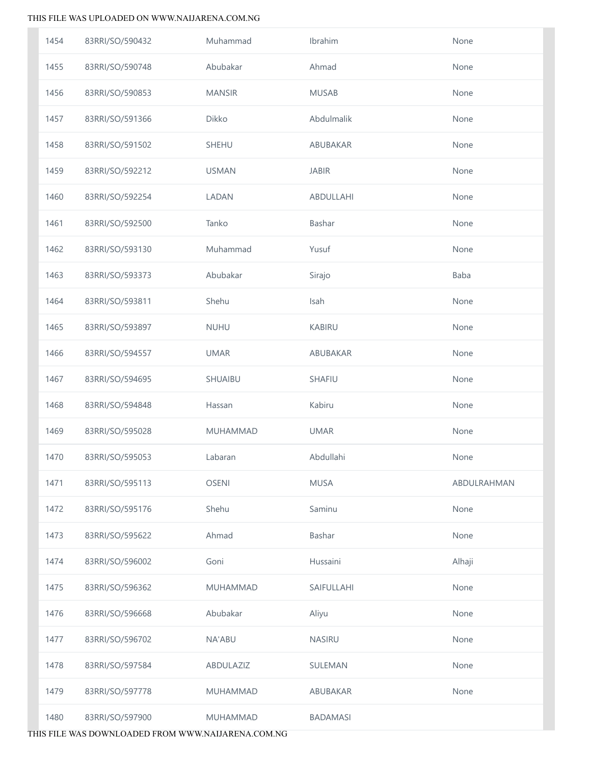| 1454 | 83RRI/SO/590432 | Muhammad        | Ibrahim         | None        |
|------|-----------------|-----------------|-----------------|-------------|
| 1455 | 83RRI/SO/590748 | Abubakar        | Ahmad           | None        |
| 1456 | 83RRI/SO/590853 | <b>MANSIR</b>   | <b>MUSAB</b>    | None        |
| 1457 | 83RRI/SO/591366 | Dikko           | Abdulmalik      | None        |
| 1458 | 83RRI/SO/591502 | <b>SHEHU</b>    | ABUBAKAR        | None        |
| 1459 | 83RRI/SO/592212 | <b>USMAN</b>    | <b>JABIR</b>    | None        |
| 1460 | 83RRI/SO/592254 | LADAN           | ABDULLAHI       | None        |
| 1461 | 83RRI/SO/592500 | Tanko           | Bashar          | None        |
| 1462 | 83RRI/SO/593130 | Muhammad        | Yusuf           | None        |
| 1463 | 83RRI/SO/593373 | Abubakar        | Sirajo          | Baba        |
| 1464 | 83RRI/SO/593811 | Shehu           | Isah            | None        |
| 1465 | 83RRI/SO/593897 | <b>NUHU</b>     | <b>KABIRU</b>   | None        |
| 1466 | 83RRI/SO/594557 | <b>UMAR</b>     | ABUBAKAR        | None        |
| 1467 | 83RRI/SO/594695 | SHUAIBU         | SHAFIU          | None        |
| 1468 | 83RRI/SO/594848 | Hassan          | Kabiru          | None        |
| 1469 | 83RRI/SO/595028 | <b>MUHAMMAD</b> | <b>UMAR</b>     | None        |
| 1470 | 83RRI/SO/595053 | Labaran         | Abdullahi       | None        |
| 1471 | 83RRI/SO/595113 | <b>OSENI</b>    | <b>MUSA</b>     | ABDULRAHMAN |
| 1472 | 83RRI/SO/595176 | Shehu           | Saminu          | None        |
| 1473 | 83RRI/SO/595622 | Ahmad           | Bashar          | None        |
| 1474 | 83RRI/SO/596002 | Goni            | Hussaini        | Alhaji      |
| 1475 | 83RRI/SO/596362 | MUHAMMAD        | SAIFULLAHI      | None        |
| 1476 | 83RRI/SO/596668 | Abubakar        | Aliyu           | None        |
| 1477 | 83RRI/SO/596702 | <b>NA'ABU</b>   | NASIRU          | None        |
| 1478 | 83RRI/SO/597584 | ABDULAZIZ       | SULEMAN         | None        |
| 1479 | 83RRI/SO/597778 | <b>MUHAMMAD</b> | ABUBAKAR        | None        |
| 1480 | 83RRI/SO/597900 | MUHAMMAD        | <b>BADAMASI</b> |             |